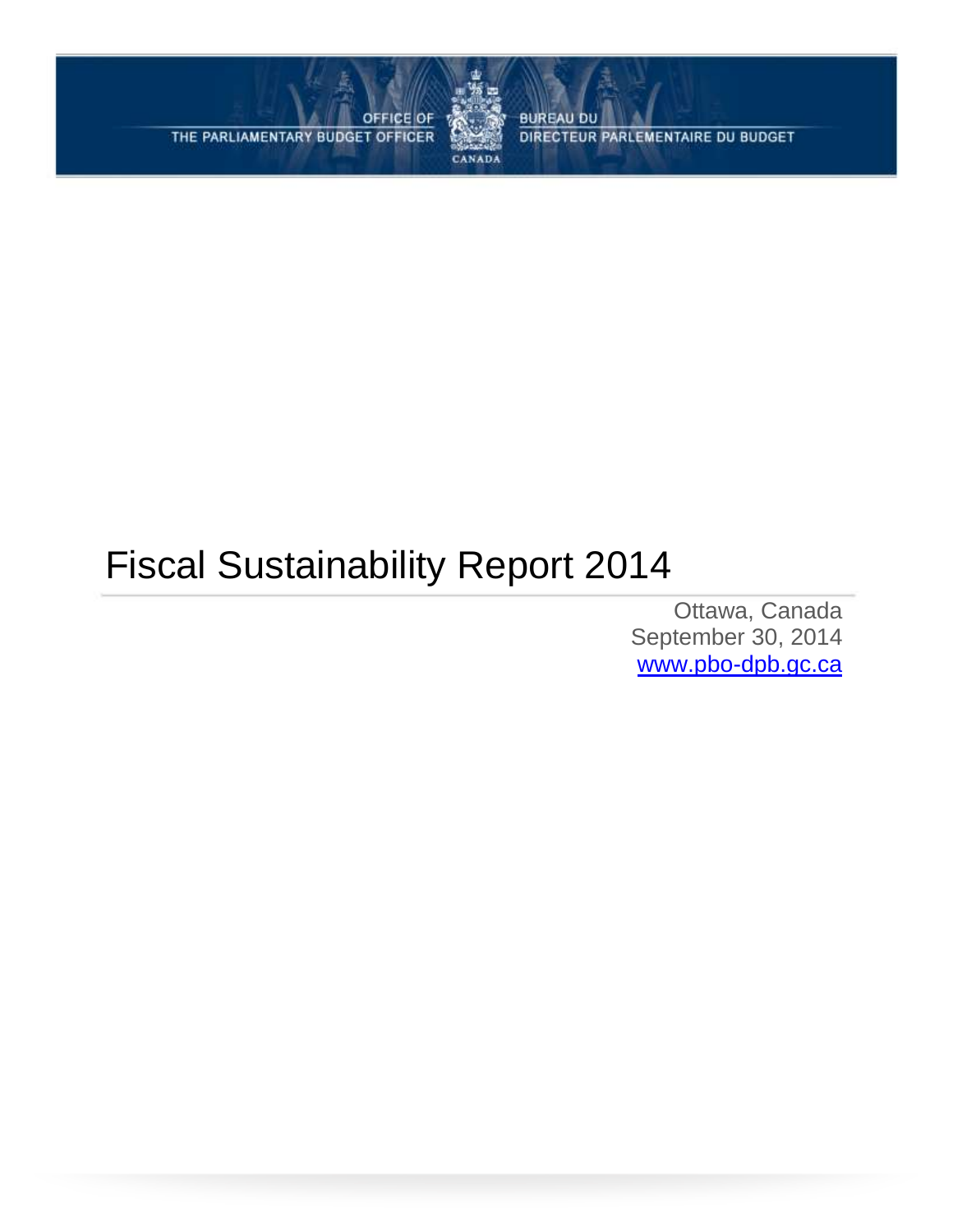**OFFICE OF** THE PARLIAMENTARY BUDGET OFFICER



**BUREAU DU** DIRECTEUR PARLEMENTAIRE DU BUDGET

# Fiscal Sustainability Report 2014

Ottawa, Canada September 30, 2014 [www.pbo-dpb.gc.ca](http://www.pbo-dpb.gc.ca/)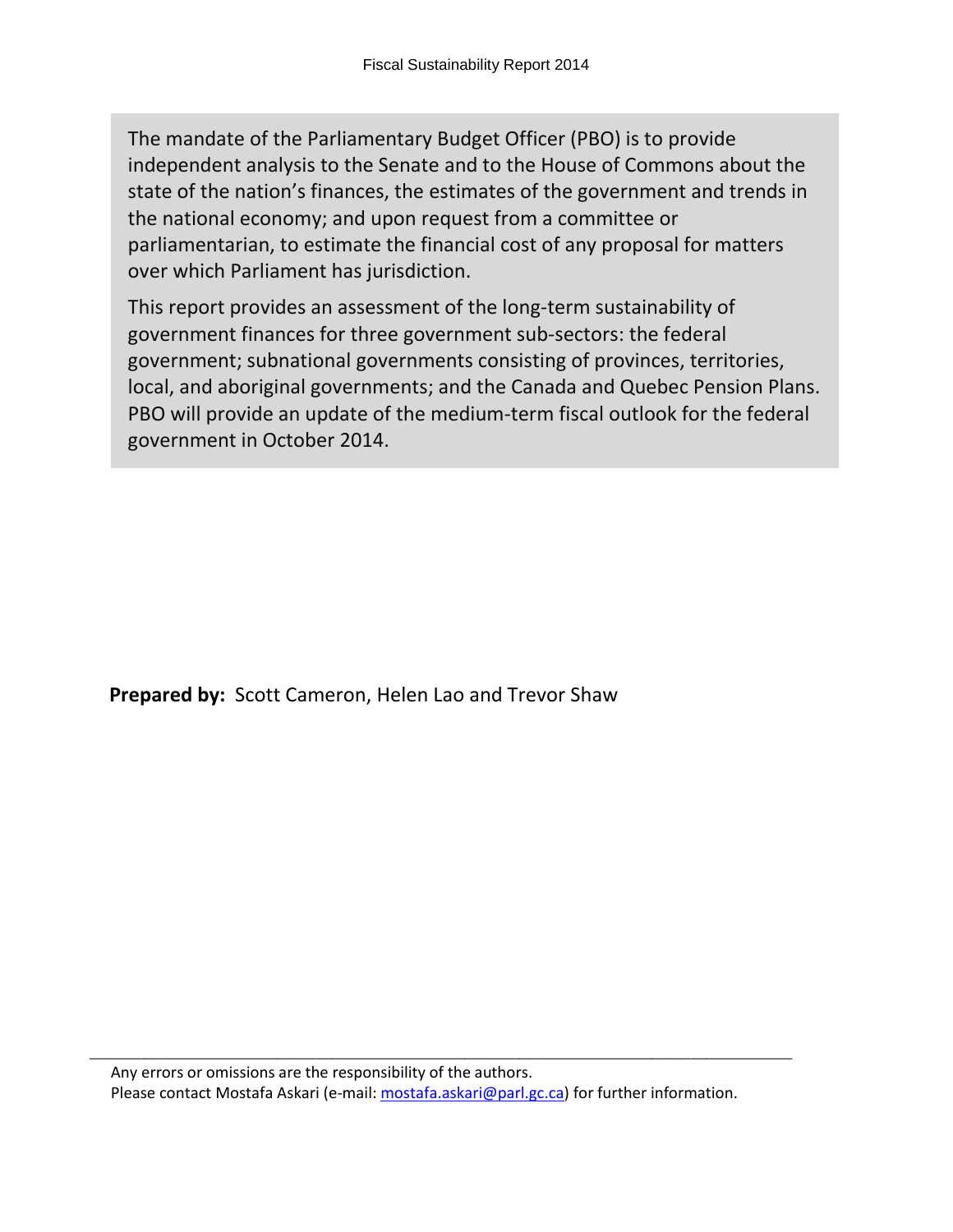The mandate of the Parliamentary Budget Officer (PBO) is to provide independent analysis to the Senate and to the House of Commons about the state of the nation's finances, the estimates of the government and trends in the national economy; and upon request from a committee or parliamentarian, to estimate the financial cost of any proposal for matters over which Parliament has jurisdiction.

This report provides an assessment of the long-term sustainability of government finances for three government sub-sectors: the federal government; subnational governments consisting of provinces, territories, local, and aboriginal governments; and the Canada and Quebec Pension Plans. PBO will provide an update of the medium-term fiscal outlook for the federal government in October 2014.

**Prepared by:** Scott Cameron, Helen Lao and Trevor Shaw

\_\_\_\_\_\_\_\_\_\_\_\_\_\_\_\_\_\_\_\_\_\_\_\_\_\_\_\_\_\_\_\_\_\_\_\_\_\_\_\_\_\_\_\_\_\_\_\_\_\_\_\_\_\_\_\_\_\_\_\_\_\_\_\_\_\_\_\_\_\_\_\_\_\_\_\_\_\_\_\_\_\_\_\_\_\_\_\_\_\_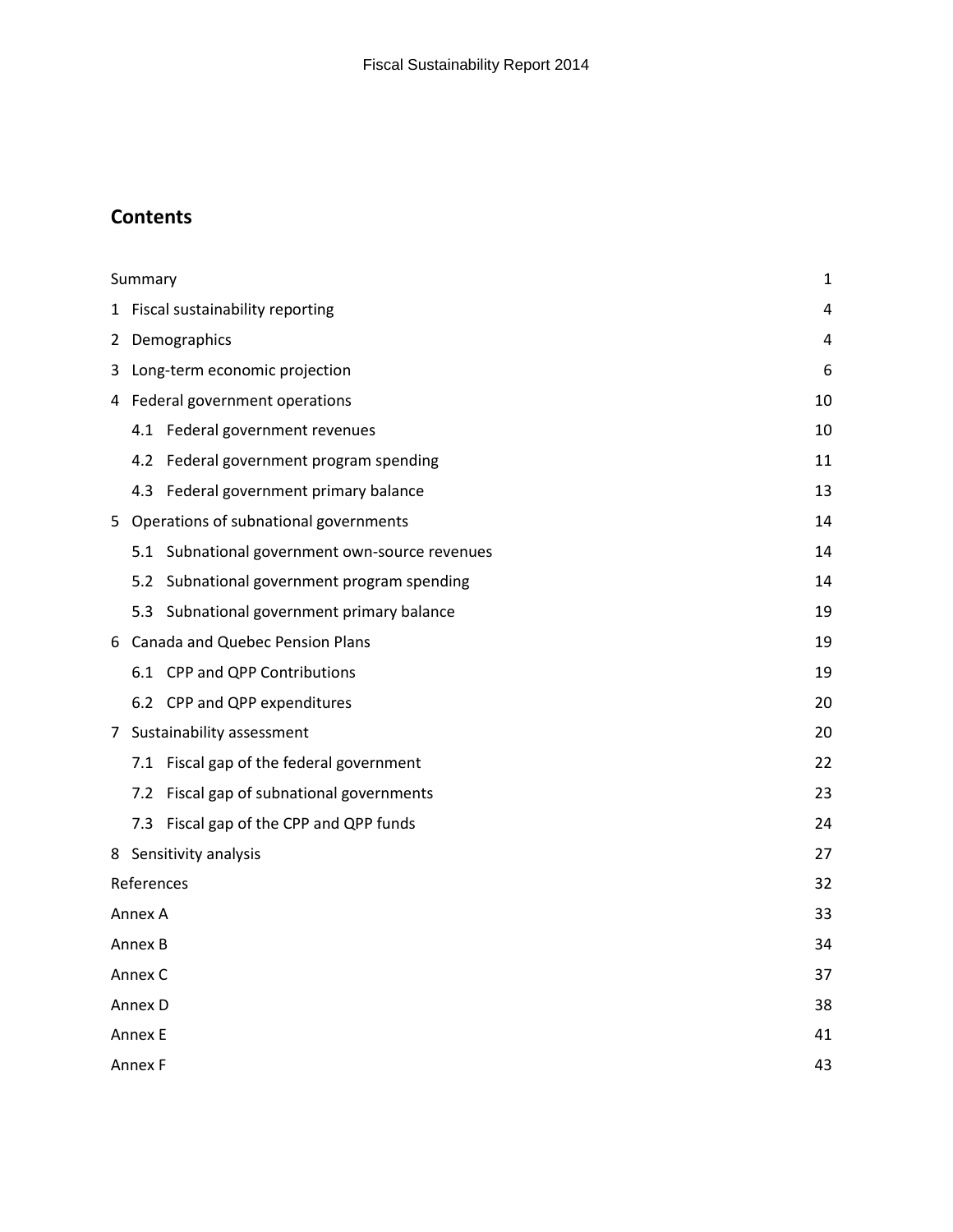## **Contents**

|                       | Summary       |                                                | $\mathbf{1}$ |  |  |
|-----------------------|---------------|------------------------------------------------|--------------|--|--|
|                       |               | 1 Fiscal sustainability reporting              | 4            |  |  |
| $\mathbf{2}^{\prime}$ |               | Demographics                                   | 4            |  |  |
| 3                     |               | Long-term economic projection                  | 6            |  |  |
|                       |               | 4 Federal government operations                | 10           |  |  |
|                       |               | 4.1 Federal government revenues                | 10           |  |  |
|                       |               | 4.2 Federal government program spending        | 11           |  |  |
|                       |               | 4.3 Federal government primary balance         | 13           |  |  |
| 5.                    |               | Operations of subnational governments          | 14           |  |  |
|                       |               | 5.1 Subnational government own-source revenues | 14           |  |  |
|                       |               | 5.2 Subnational government program spending    | 14           |  |  |
|                       |               | 5.3 Subnational government primary balance     | 19           |  |  |
|                       |               | 6 Canada and Quebec Pension Plans              | 19           |  |  |
|                       |               | 6.1 CPP and QPP Contributions                  | 19           |  |  |
|                       |               | 6.2 CPP and QPP expenditures                   | 20           |  |  |
|                       |               | 7 Sustainability assessment                    | 20           |  |  |
|                       |               | 7.1 Fiscal gap of the federal government       | 22           |  |  |
|                       | 7.2           | Fiscal gap of subnational governments          | 23           |  |  |
|                       |               | 7.3 Fiscal gap of the CPP and QPP funds        | 24           |  |  |
|                       |               | 8 Sensitivity analysis                         | 27           |  |  |
|                       | References    |                                                | 32           |  |  |
|                       | Annex A       |                                                | 33           |  |  |
|                       | Annex B       |                                                | 34           |  |  |
|                       | Annex C       |                                                | 37           |  |  |
|                       | Annex D       |                                                | 38           |  |  |
|                       | Annex E       |                                                | 41           |  |  |
|                       | Annex F<br>43 |                                                |              |  |  |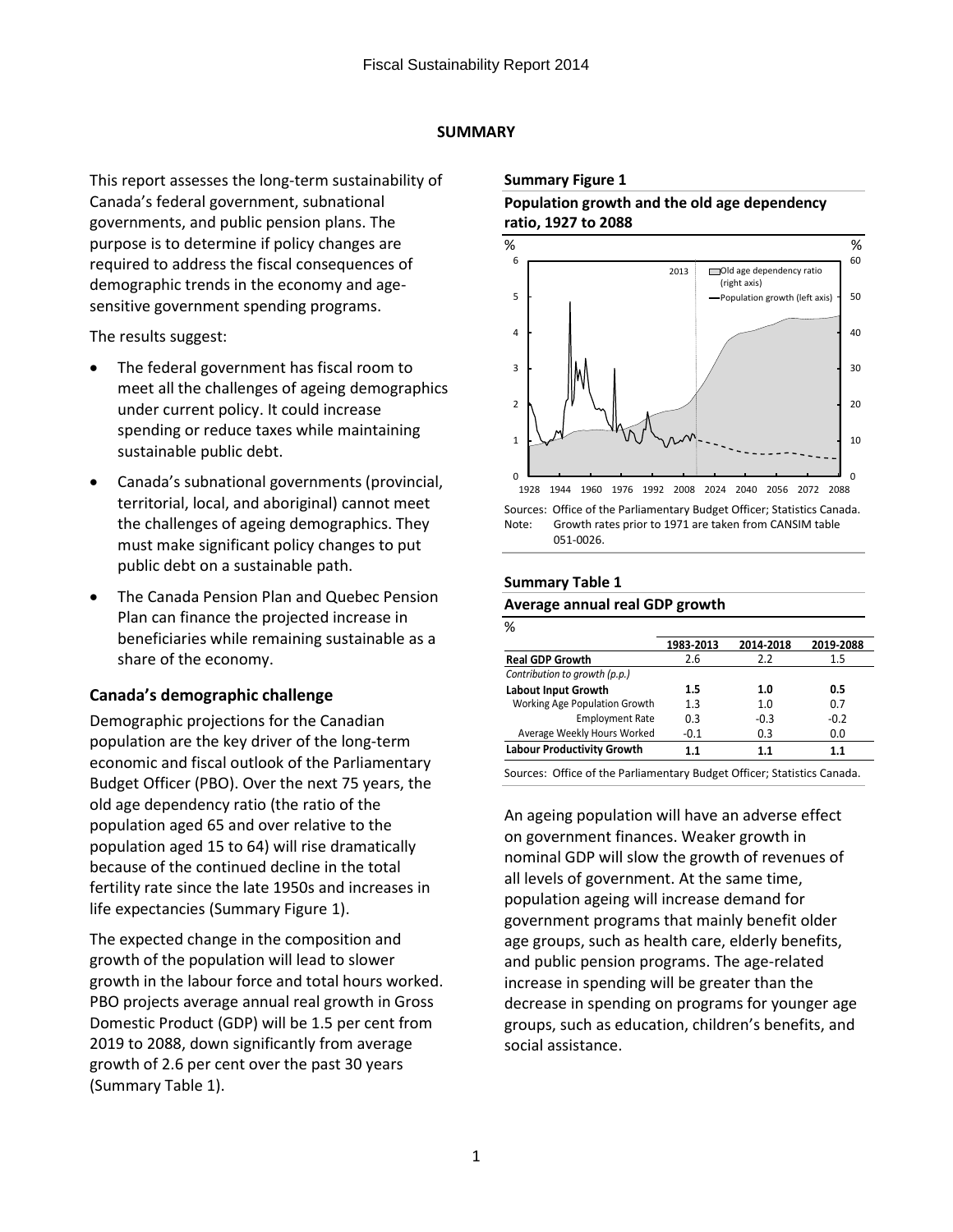## **SUMMARY**

<span id="page-3-0"></span>This report assesses the long-term sustainability of Canada's federal government, subnational governments, and public pension plans. The purpose is to determine if policy changes are required to address the fiscal consequences of demographic trends in the economy and agesensitive government spending programs.

The results suggest:

- The federal government has fiscal room to meet all the challenges of ageing demographics under current policy. It could increase spending or reduce taxes while maintaining sustainable public debt.
- Canada's subnational governments (provincial, territorial, local, and aboriginal) cannot meet the challenges of ageing demographics. They must make significant policy changes to put public debt on a sustainable path.
- The Canada Pension Plan and Quebec Pension Plan can finance the projected increase in beneficiaries while remaining sustainable as a share of the economy.

## **Canada's demographic challenge**

Demographic projections for the Canadian population are the key driver of the long-term economic and fiscal outlook of the Parliamentary Budget Officer (PBO). Over the next 75 years, the old age dependency ratio (the ratio of the population aged 65 and over relative to the population aged 15 to 64) will rise dramatically because of the continued decline in the total fertility rate since the late 1950s and increases in life expectancies (Summary Figure 1).

The expected change in the composition and growth of the population will lead to slower growth in the labour force and total hours worked. PBO projects average annual real growth in Gross Domestic Product (GDP) will be 1.5 per cent from 2019 to 2088, down significantly from average growth of 2.6 per cent over the past 30 years (Summary Table 1).

## **Summary Figure 1**

## **Population growth and the old age dependency ratio, 1927 to 2088**



Sources: Office of the Parliamentary Budget Officer; Statistics Canada. Note: Growth rates prior to 1971 are taken from CANSIM table 051-0026.

## **Summary Table 1**

#### **Average annual real GDP growth**

| ℅                                 |           |           |           |
|-----------------------------------|-----------|-----------|-----------|
|                                   | 1983-2013 | 2014-2018 | 2019-2088 |
| <b>Real GDP Growth</b>            | 2.6       | 2.2       | 1.5       |
| Contribution to growth (p.p.)     |           |           |           |
| <b>Labout Input Growth</b>        | 1.5       | 1.0       | 0.5       |
| Working Age Population Growth     | 1.3       | 1.0       | 0.7       |
| <b>Employment Rate</b>            | 0.3       | $-0.3$    | $-0.2$    |
| Average Weekly Hours Worked       | $-0.1$    | 0.3       | 0.0       |
| <b>Labour Productivity Growth</b> | 1.1       | 1.1       | 1.1       |

Sources: Office of the Parliamentary Budget Officer; Statistics Canada.

An ageing population will have an adverse effect on government finances. Weaker growth in nominal GDP will slow the growth of revenues of all levels of government. At the same time, population ageing will increase demand for government programs that mainly benefit older age groups, such as health care, elderly benefits, and public pension programs. The age-related increase in spending will be greater than the decrease in spending on programs for younger age groups, such as education, children's benefits, and social assistance.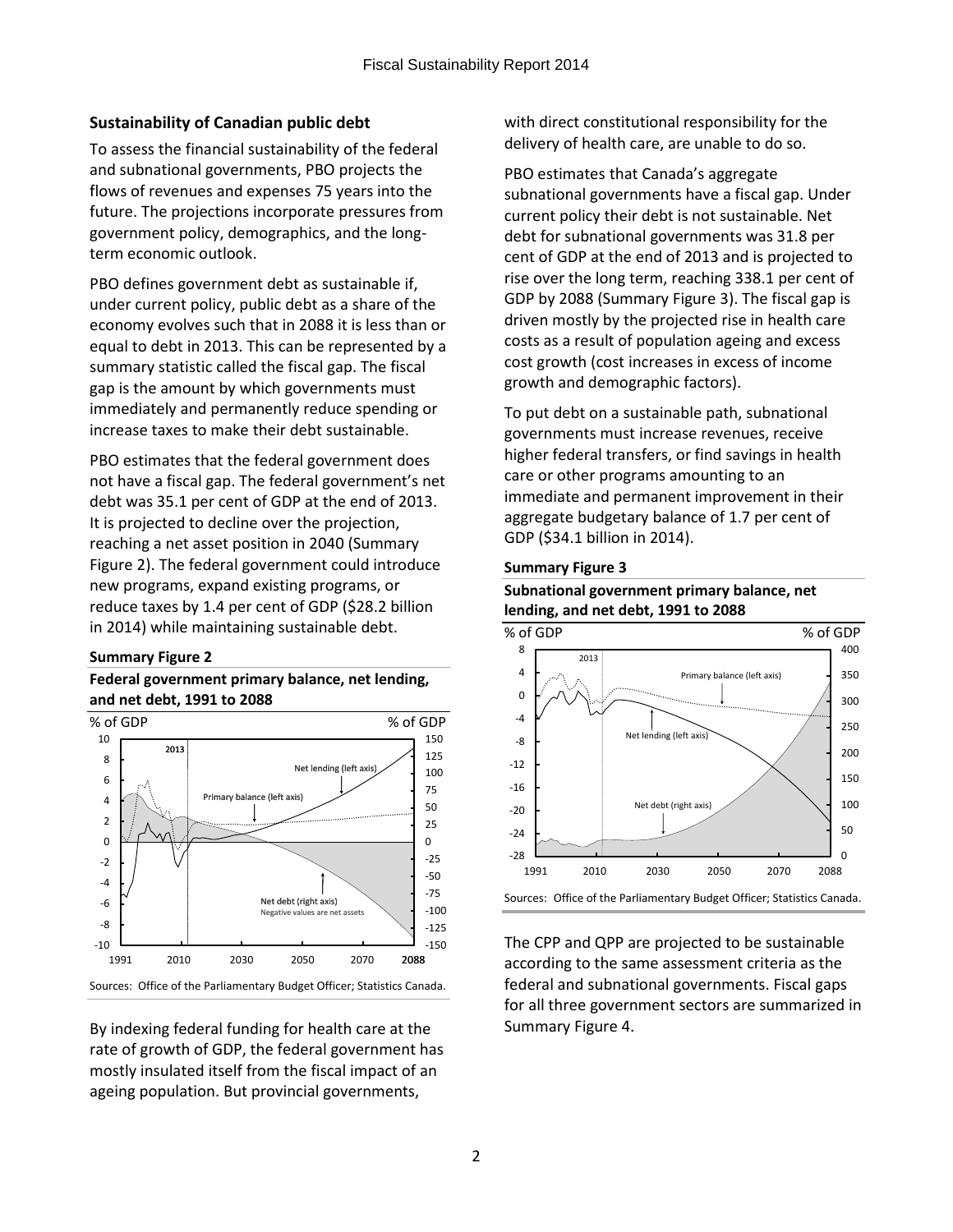## **Sustainability of Canadian public debt**

To assess the financial sustainability of the federal and subnational governments, PBO projects the flows of revenues and expenses 75 years into the future. The projections incorporate pressures from government policy, demographics, and the longterm economic outlook.

PBO defines government debt as sustainable if, under current policy, public debt as a share of the economy evolves such that in 2088 it is less than or equal to debt in 2013. This can be represented by a summary statistic called the fiscal gap. The fiscal gap is the amount by which governments must immediately and permanently reduce spending or increase taxes to make their debt sustainable.

PBO estimates that the federal government does not have a fiscal gap. The federal government's net debt was 35.1 per cent of GDP at the end of 2013. It is projected to decline over the projection, reaching a net asset position in 2040 (Summary Figure 2). The federal government could introduce new programs, expand existing programs, or reduce taxes by 1.4 per cent of GDP (\$28.2 billion in 2014) while maintaining sustainable debt.

## **Summary Figure 2**

## **Federal government primary balance, net lending, and net debt, 1991 to 2088**



By indexing federal funding for health care at the rate of growth of GDP, the federal government has mostly insulated itself from the fiscal impact of an ageing population. But provincial governments,

with direct constitutional responsibility for the delivery of health care, are unable to do so.

PBO estimates that Canada's aggregate subnational governments have a fiscal gap. Under current policy their debt is not sustainable. Net debt for subnational governments was 31.8 per cent of GDP at the end of 2013 and is projected to rise over the long term, reaching 338.1 per cent of GDP by 2088 (Summary Figure 3). The fiscal gap is driven mostly by the projected rise in health care costs as a result of population ageing and excess cost growth (cost increases in excess of income growth and demographic factors).

To put debt on a sustainable path, subnational governments must increase revenues, receive higher federal transfers, or find savings in health care or other programs amounting to an immediate and permanent improvement in their aggregate budgetary balance of 1.7 per cent of GDP (\$34.1 billion in 2014).

#### **Summary Figure 3**





The CPP and QPP are projected to be sustainable according to the same assessment criteria as the federal and subnational governments. Fiscal gaps for all three government sectors are summarized in Summary Figure 4.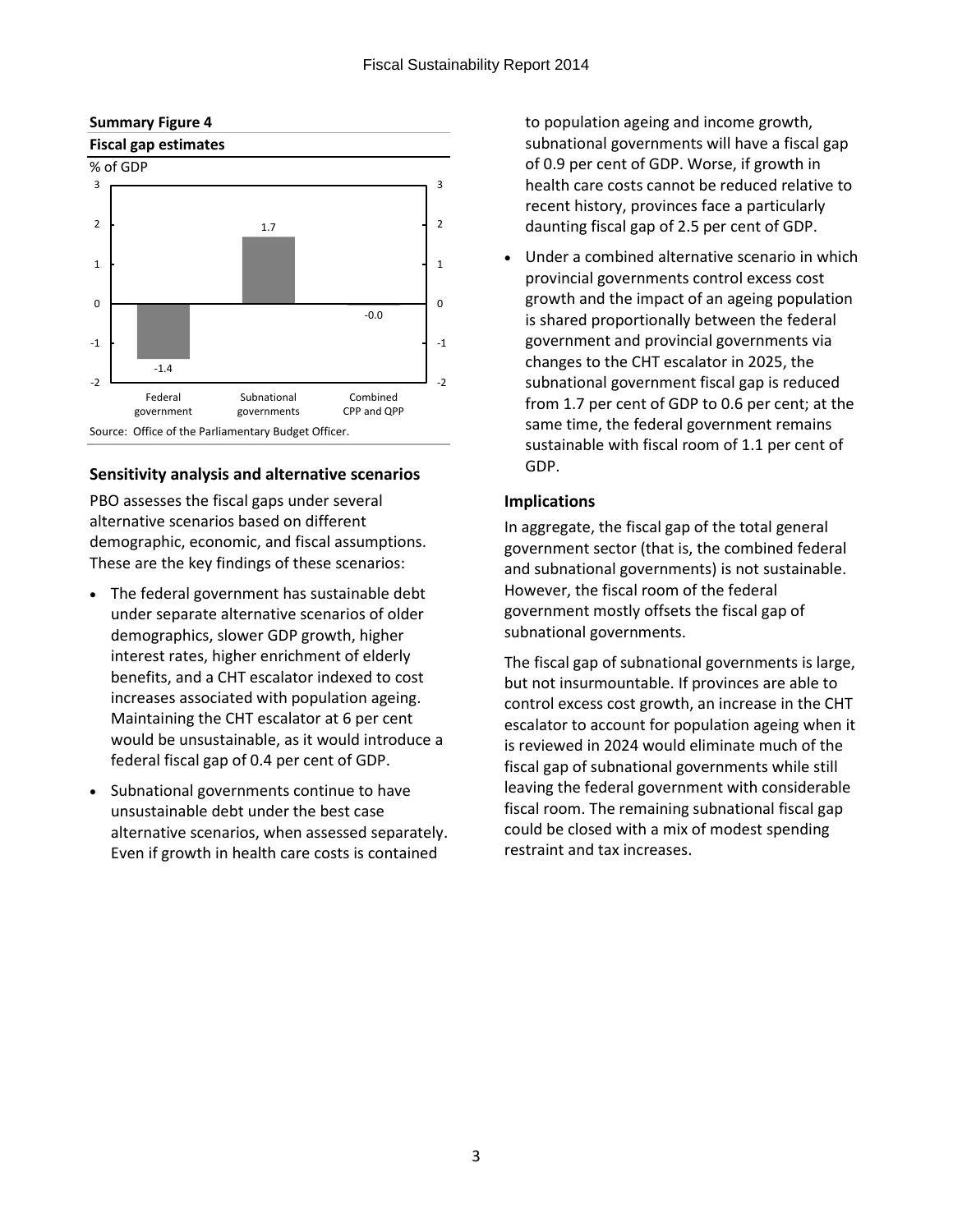

#### **Summary Figure 4**

## **Sensitivity analysis and alternative scenarios**

PBO assesses the fiscal gaps under several alternative scenarios based on different demographic, economic, and fiscal assumptions. These are the key findings of these scenarios:

- The federal government has sustainable debt under separate alternative scenarios of older demographics, slower GDP growth, higher interest rates, higher enrichment of elderly benefits, and a CHT escalator indexed to cost increases associated with population ageing. Maintaining the CHT escalator at 6 per cent would be unsustainable, as it would introduce a federal fiscal gap of 0.4 per cent of GDP.
- Subnational governments continue to have unsustainable debt under the best case alternative scenarios, when assessed separately. Even if growth in health care costs is contained

to population ageing and income growth, subnational governments will have a fiscal gap of 0.9 per cent of GDP. Worse, if growth in health care costs cannot be reduced relative to recent history, provinces face a particularly daunting fiscal gap of 2.5 per cent of GDP.

 Under a combined alternative scenario in which provincial governments control excess cost growth and the impact of an ageing population is shared proportionally between the federal government and provincial governments via changes to the CHT escalator in 2025, the subnational government fiscal gap is reduced from 1.7 per cent of GDP to 0.6 per cent; at the same time, the federal government remains sustainable with fiscal room of 1.1 per cent of GDP.

## **Implications**

In aggregate, the fiscal gap of the total general government sector (that is, the combined federal and subnational governments) is not sustainable. However, the fiscal room of the federal government mostly offsets the fiscal gap of subnational governments.

The fiscal gap of subnational governments is large, but not insurmountable. If provinces are able to control excess cost growth, an increase in the CHT escalator to account for population ageing when it is reviewed in 2024 would eliminate much of the fiscal gap of subnational governments while still leaving the federal government with considerable fiscal room. The remaining subnational fiscal gap could be closed with a mix of modest spending restraint and tax increases.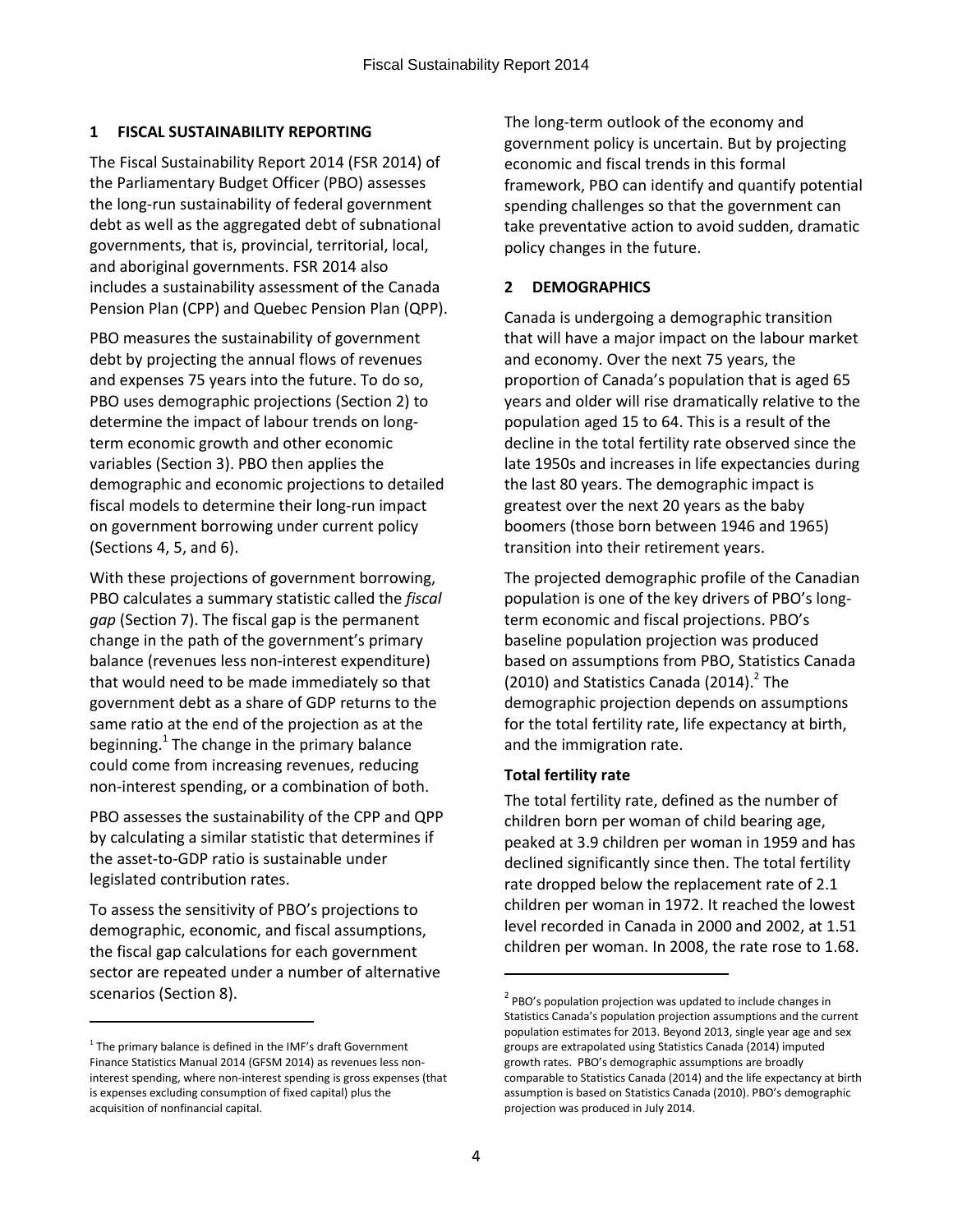## <span id="page-6-0"></span>**1 FISCAL SUSTAINABILITY REPORTING**

The Fiscal Sustainability Report 2014 (FSR 2014) of the Parliamentary Budget Officer (PBO) assesses the long-run sustainability of federal government debt as well as the aggregated debt of subnational governments, that is, provincial, territorial, local, and aboriginal governments. FSR 2014 also includes a sustainability assessment of the Canada Pension Plan (CPP) and Quebec Pension Plan (QPP).

PBO measures the sustainability of government debt by projecting the annual flows of revenues and expenses 75 years into the future. To do so, PBO uses demographic projections (Section 2) to determine the impact of labour trends on longterm economic growth and other economic variables (Section 3). PBO then applies the demographic and economic projections to detailed fiscal models to determine their long-run impact on government borrowing under current policy (Sections 4, 5, and 6).

With these projections of government borrowing, PBO calculates a summary statistic called the *fiscal gap* (Section 7). The fiscal gap is the permanent change in the path of the government's primary balance (revenues less non-interest expenditure) that would need to be made immediately so that government debt as a share of GDP returns to the same ratio at the end of the projection as at the beginning.<sup>1</sup> The change in the primary balance could come from increasing revenues, reducing non-interest spending, or a combination of both.

PBO assesses the sustainability of the CPP and QPP by calculating a similar statistic that determines if the asset-to-GDP ratio is sustainable under legislated contribution rates.

To assess the sensitivity of PBO's projections to demographic, economic, and fiscal assumptions, the fiscal gap calculations for each government sector are repeated under a number of alternative scenarios (Section 8).

 $\overline{a}$ 

The long-term outlook of the economy and government policy is uncertain. But by projecting economic and fiscal trends in this formal framework, PBO can identify and quantify potential spending challenges so that the government can take preventative action to avoid sudden, dramatic policy changes in the future.

## <span id="page-6-1"></span>**2 DEMOGRAPHICS**

Canada is undergoing a demographic transition that will have a major impact on the labour market and economy. Over the next 75 years, the proportion of Canada's population that is aged 65 years and older will rise dramatically relative to the population aged 15 to 64. This is a result of the decline in the total fertility rate observed since the late 1950s and increases in life expectancies during the last 80 years. The demographic impact is greatest over the next 20 years as the baby boomers (those born between 1946 and 1965) transition into their retirement years.

The projected demographic profile of the Canadian population is one of the key drivers of PBO's longterm economic and fiscal projections. PBO's baseline population projection was produced based on assumptions from PBO, Statistics Canada (2010) and Statistics Canada (2014).<sup>2</sup> The demographic projection depends on assumptions for the total fertility rate, life expectancy at birth, and the immigration rate.

## **Total fertility rate**

The total fertility rate, defined as the number of children born per woman of child bearing age, peaked at 3.9 children per woman in 1959 and has declined significantly since then. The total fertility rate dropped below the replacement rate of 2.1 children per woman in 1972. It reached the lowest level recorded in Canada in 2000 and 2002, at 1.51 children per woman. In 2008, the rate rose to 1.68.

 $\overline{\phantom{a}}$ 

 $1$  The primary balance is defined in the IMF's draft Government Finance Statistics Manual 2014 (GFSM 2014) as revenues less noninterest spending, where non-interest spending is gross expenses (that is expenses excluding consumption of fixed capital) plus the acquisition of nonfinancial capital.

 $2$  PBO's population projection was updated to include changes in Statistics Canada's population projection assumptions and the current population estimates for 2013. Beyond 2013, single year age and sex groups are extrapolated using Statistics Canada (2014) imputed growth rates. PBO's demographic assumptions are broadly comparable to Statistics Canada (2014) and the life expectancy at birth assumption is based on Statistics Canada (2010). PBO's demographic projection was produced in July 2014.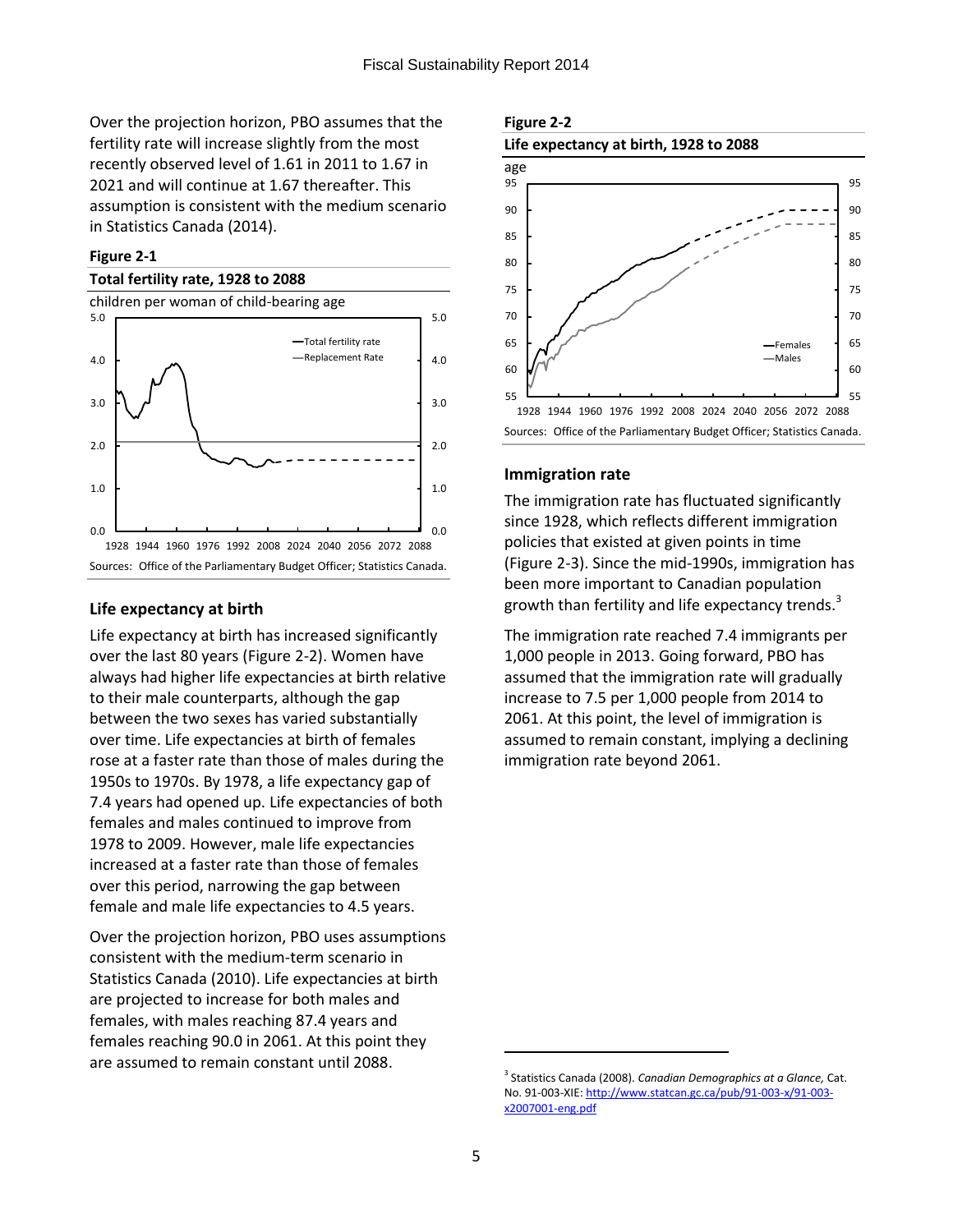Over the projection horizon, PBO assumes that the fertility rate will increase slightly from the most recently observed level of 1.61 in 2011 to 1.67 in 2021 and will continue at 1.67 thereafter. This assumption is consistent with the medium scenario in Statistics Canada (2014).

#### **Figure 2-1**





#### **Life expectancy at birth**

Life expectancy at birth has increased significantly over the last 80 years (Figure 2-2). Women have always had higher life expectancies at birth relative to their male counterparts, although the gap between the two sexes has varied substantially over time. Life expectancies at birth of females rose at a faster rate than those of males during the 1950s to 1970s. By 1978, a life expectancy gap of 7.4 years had opened up. Life expectancies of both females and males continued to improve from 1978 to 2009. However, male life expectancies increased at a faster rate than those of females over this period, narrowing the gap between female and male life expectancies to 4.5 years.

Over the projection horizon, PBO uses assumptions consistent with the medium-term scenario in Statistics Canada (2010). Life expectancies at birth are projected to increase for both males and females, with males reaching 87.4 years and females reaching 90.0 in 2061. At this point they are assumed to remain constant until 2088.





## **Immigration rate**

The immigration rate has fluctuated significantly since 1928, which reflects different immigration policies that existed at given points in time (Figure 2-3). Since the mid-1990s, immigration has been more important to Canadian population growth than fertility and life expectancy trends. $3$ 

The immigration rate reached 7.4 immigrants per 1,000 people in 2013. Going forward, PBO has assumed that the immigration rate will gradually increase to 7.5 per 1,000 people from 2014 to 2061. At this point, the level of immigration is assumed to remain constant, implying a declining immigration rate beyond 2061.

 $\overline{a}$ 

<sup>3</sup> Statistics Canada (2008). *Canadian Demographics at a Glance,* Cat. No. 91-003-XIE: [http://www.statcan.gc.ca/pub/91-003-x/91-003](http://www.statcan.gc.ca/pub/91-003-x/91-003-x2007001-eng.pdf) [x2007001-eng.pdf](http://www.statcan.gc.ca/pub/91-003-x/91-003-x2007001-eng.pdf)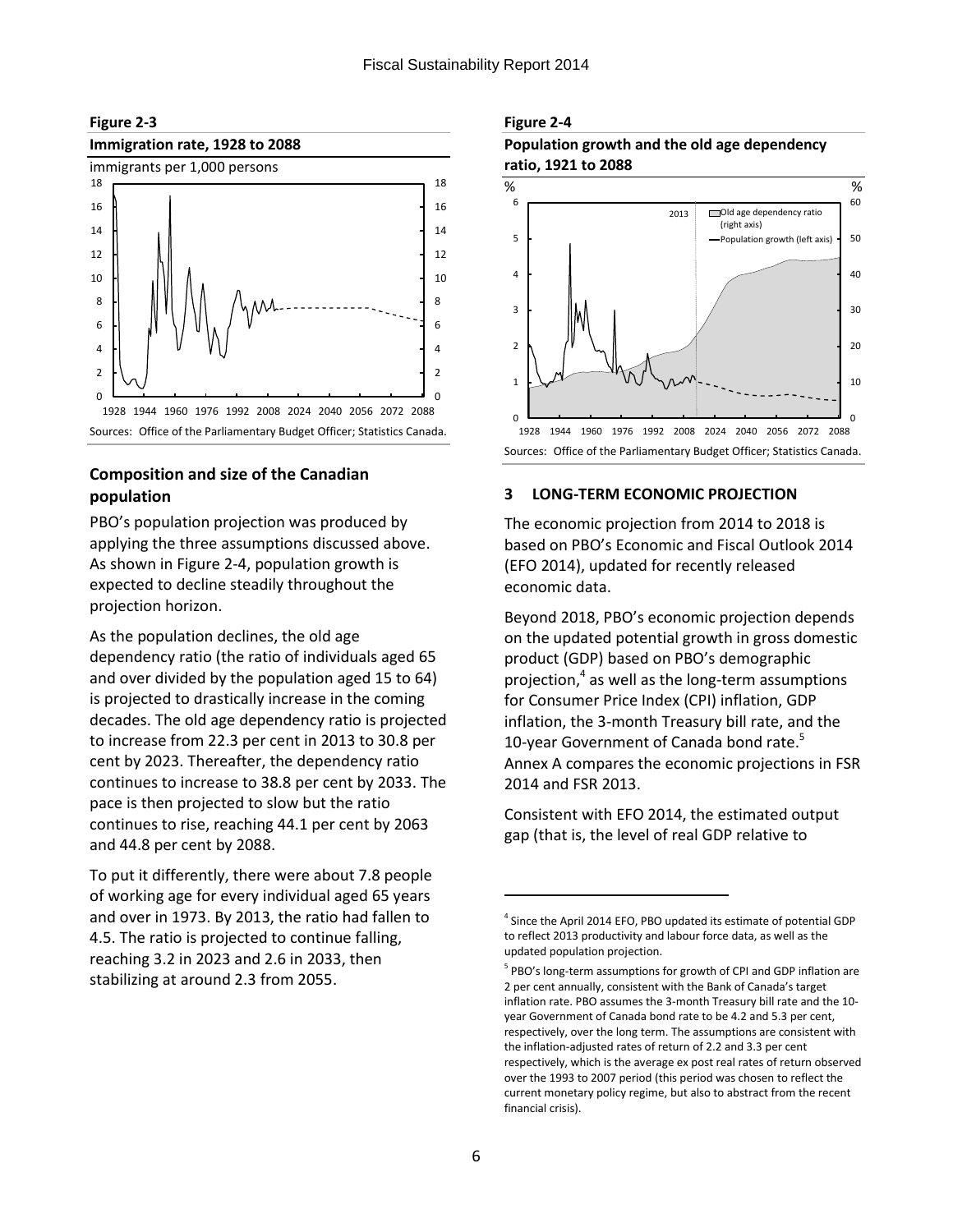

## **Composition and size of the Canadian population**

PBO's population projection was produced by applying the three assumptions discussed above. As shown in Figure 2-4, population growth is expected to decline steadily throughout the projection horizon.

As the population declines, the old age dependency ratio (the ratio of individuals aged 65 and over divided by the population aged 15 to 64) is projected to drastically increase in the coming decades. The old age dependency ratio is projected to increase from 22.3 per cent in 2013 to 30.8 per cent by 2023. Thereafter, the dependency ratio continues to increase to 38.8 per cent by 2033. The pace is then projected to slow but the ratio continues to rise, reaching 44.1 per cent by 2063 and 44.8 per cent by 2088.

To put it differently, there were about 7.8 people of working age for every individual aged 65 years and over in 1973. By 2013, the ratio had fallen to 4.5. The ratio is projected to continue falling, reaching 3.2 in 2023 and 2.6 in 2033, then stabilizing at around 2.3 from 2055.

#### **Figure 2-4**





#### <span id="page-8-0"></span>**3 LONG-TERM ECONOMIC PROJECTION**

The economic projection from 2014 to 2018 is based on PBO's Economic and Fiscal Outlook 2014 (EFO 2014), updated for recently released economic data.

Beyond 2018, PBO's economic projection depends on the updated potential growth in gross domestic product (GDP) based on PBO's demographic projection,<sup>4</sup> as well as the long-term assumptions for Consumer Price Index (CPI) inflation, GDP inflation, the 3-month Treasury bill rate, and the 10-year Government of Canada bond rate.<sup>5</sup> Annex A compares the economic projections in FSR 2014 and FSR 2013.

Consistent with EFO 2014, the estimated output gap (that is, the level of real GDP relative to

 $\overline{\phantom{a}}$ 

<sup>&</sup>lt;sup>4</sup> Since the April 2014 EFO, PBO updated its estimate of potential GDP to reflect 2013 productivity and labour force data, as well as the updated population projection.

<sup>&</sup>lt;sup>5</sup> PBO's long-term assumptions for growth of CPI and GDP inflation are 2 per cent annually, consistent with the Bank of Canada's target inflation rate. PBO assumes the 3-month Treasury bill rate and the 10 year Government of Canada bond rate to be 4.2 and 5.3 per cent, respectively, over the long term. The assumptions are consistent with the inflation-adjusted rates of return of 2.2 and 3.3 per cent respectively, which is the average ex post real rates of return observed over the 1993 to 2007 period (this period was chosen to reflect the current monetary policy regime, but also to abstract from the recent financial crisis).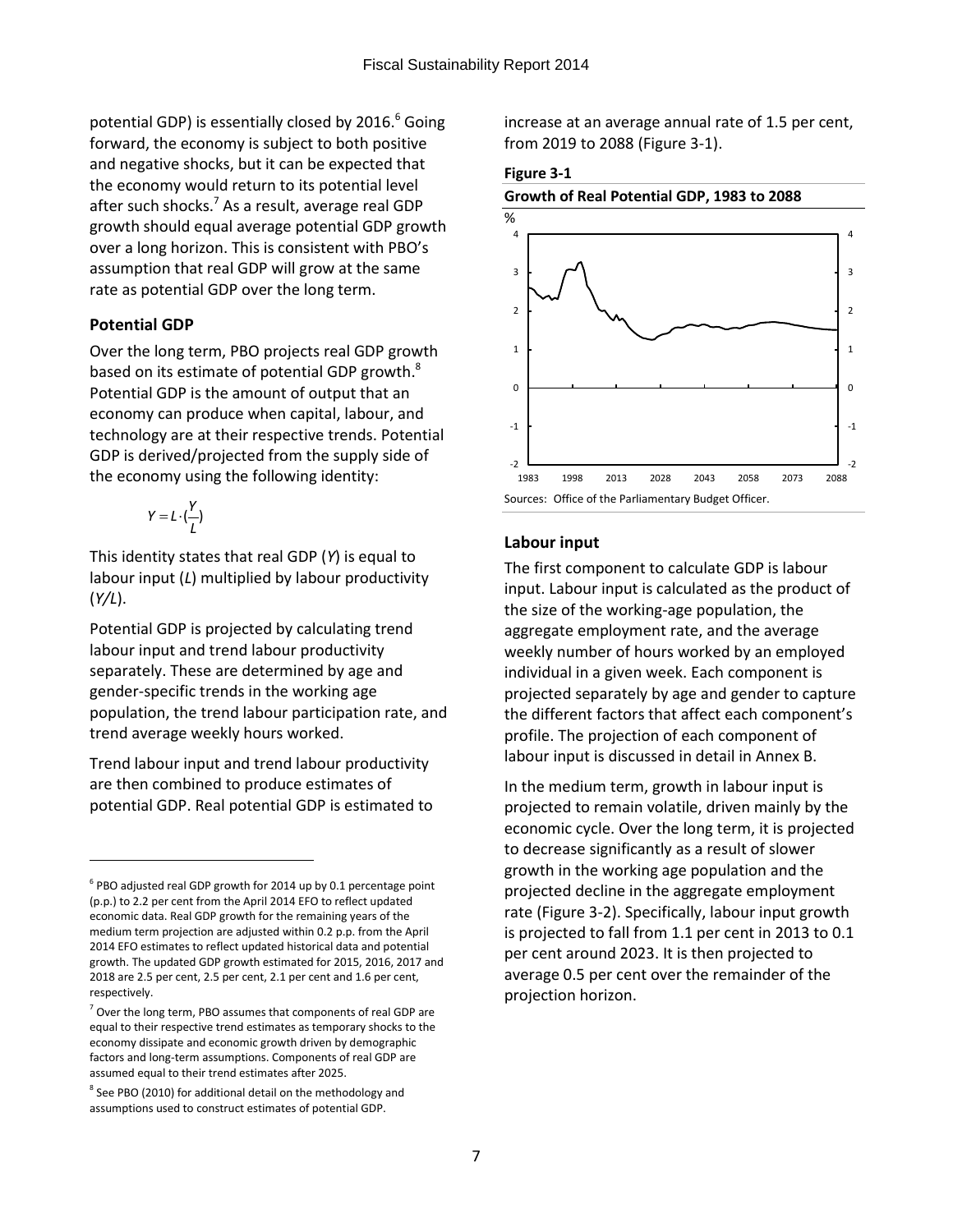potential GDP) is essentially closed by 2016.<sup>6</sup> Going forward, the economy is subject to both positive and negative shocks, but it can be expected that the economy would return to its potential level after such shocks.<sup>7</sup> As a result, average real GDP growth should equal average potential GDP growth over a long horizon. This is consistent with PBO's assumption that real GDP will grow at the same rate as potential GDP over the long term.

## **Potential GDP**

Over the long term, PBO projects real GDP growth based on its estimate of potential GDP growth. $^{8}$ Potential GDP is the amount of output that an economy can produce when capital, labour, and technology are at their respective trends. Potential GDP is derived/projected from the supply side of the economy using the following identity:

$$
Y = L \cdot (\frac{Y}{L})
$$

 $\overline{a}$ 

This identity states that real GDP (*Y*) is equal to labour input (*L*) multiplied by labour productivity (*Y/L*).

Potential GDP is projected by calculating trend labour input and trend labour productivity separately. These are determined by age and gender-specific trends in the working age population, the trend labour participation rate, and trend average weekly hours worked.

Trend labour input and trend labour productivity are then combined to produce estimates of potential GDP. Real potential GDP is estimated to increase at an average annual rate of 1.5 per cent, from 2019 to 2088 (Figure 3-1).







## **Labour input**

The first component to calculate GDP is labour input. Labour input is calculated as the product of the size of the working-age population, the aggregate employment rate, and the average weekly number of hours worked by an employed individual in a given week. Each component is projected separately by age and gender to capture the different factors that affect each component's profile. The projection of each component of labour input is discussed in detail in Annex B.

In the medium term, growth in labour input is projected to remain volatile, driven mainly by the economic cycle. Over the long term, it is projected to decrease significantly as a result of slower growth in the working age population and the projected decline in the aggregate employment rate (Figure 3-2). Specifically, labour input growth is projected to fall from 1.1 per cent in 2013 to 0.1 per cent around 2023. It is then projected to average 0.5 per cent over the remainder of the projection horizon.

 $6$  PBO adjusted real GDP growth for 2014 up by 0.1 percentage point (p.p.) to 2.2 per cent from the April 2014 EFO to reflect updated economic data. Real GDP growth for the remaining years of the medium term projection are adjusted within 0.2 p.p. from the April 2014 EFO estimates to reflect updated historical data and potential growth. The updated GDP growth estimated for 2015, 2016, 2017 and 2018 are 2.5 per cent, 2.5 per cent, 2.1 per cent and 1.6 per cent, respectively.

 $7$  Over the long term, PBO assumes that components of real GDP are equal to their respective trend estimates as temporary shocks to the economy dissipate and economic growth driven by demographic factors and long-term assumptions. Components of real GDP are assumed equal to their trend estimates after 2025.

<sup>&</sup>lt;sup>8</sup> See PBO (2010) for additional detail on the methodology and assumptions used to construct estimates of potential GDP.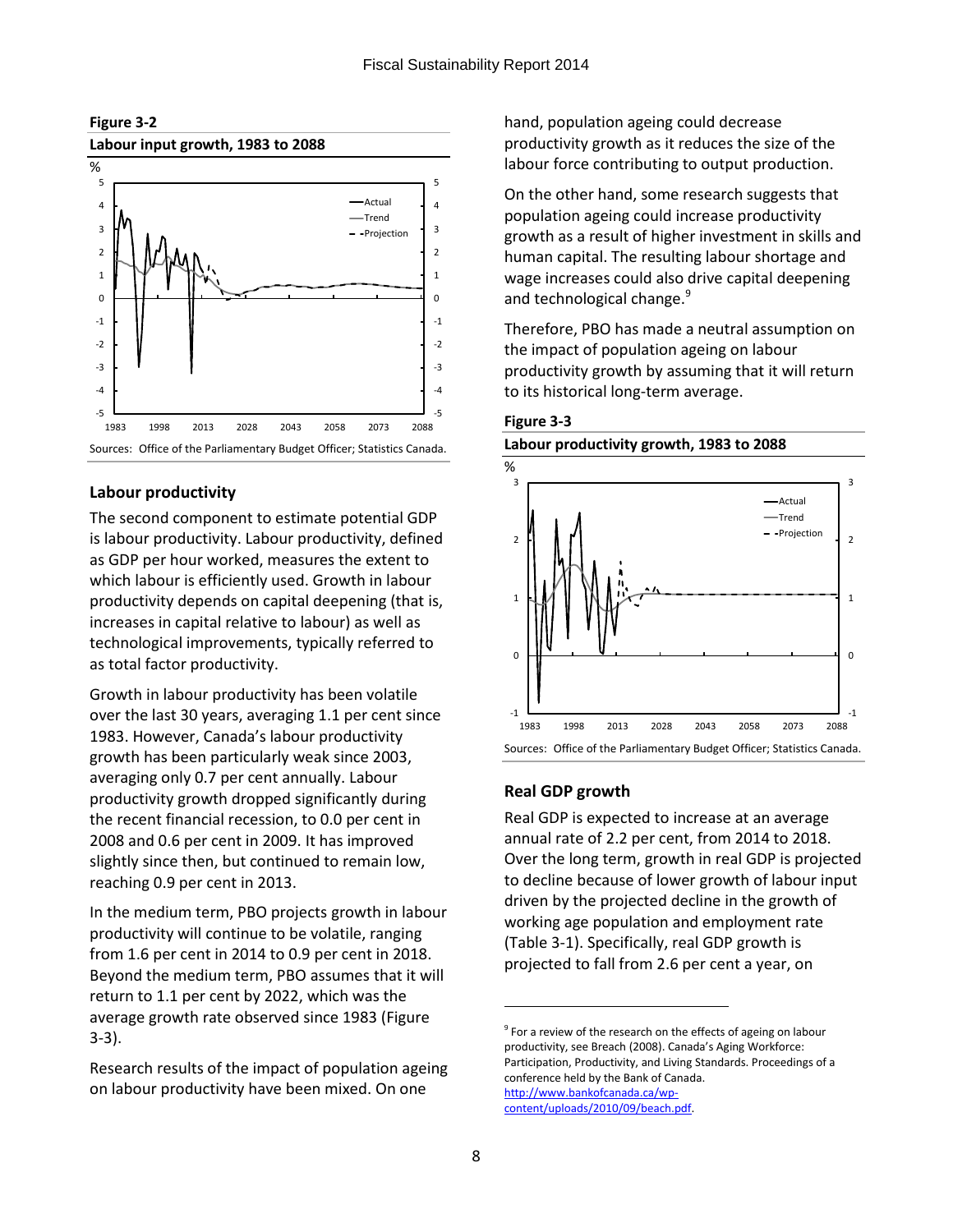

#### **Figure 3-2**

#### **Labour productivity**

The second component to estimate potential GDP is labour productivity. Labour productivity, defined as GDP per hour worked, measures the extent to which labour is efficiently used. Growth in labour productivity depends on capital deepening (that is, increases in capital relative to labour) as well as technological improvements, typically referred to as total factor productivity.

Growth in labour productivity has been volatile over the last 30 years, averaging 1.1 per cent since 1983. However, Canada's labour productivity growth has been particularly weak since 2003, averaging only 0.7 per cent annually. Labour productivity growth dropped significantly during the recent financial recession, to 0.0 per cent in 2008 and 0.6 per cent in 2009. It has improved slightly since then, but continued to remain low, reaching 0.9 per cent in 2013.

In the medium term, PBO projects growth in labour productivity will continue to be volatile, ranging from 1.6 per cent in 2014 to 0.9 per cent in 2018. Beyond the medium term, PBO assumes that it will return to 1.1 per cent by 2022, which was the average growth rate observed since 1983 (Figure 3-3).

Research results of the impact of population ageing on labour productivity have been mixed. On one

hand, population ageing could decrease productivity growth as it reduces the size of the labour force contributing to output production.

On the other hand, some research suggests that population ageing could increase productivity growth as a result of higher investment in skills and human capital. The resulting labour shortage and wage increases could also drive capital deepening and technological change.<sup>9</sup>

Therefore, PBO has made a neutral assumption on the impact of population ageing on labour productivity growth by assuming that it will return to its historical long-term average.

**Figure 3-3**





## **Real GDP growth**

Real GDP is expected to increase at an average annual rate of 2.2 per cent, from 2014 to 2018. Over the long term, growth in real GDP is projected to decline because of lower growth of labour input driven by the projected decline in the growth of working age population and employment rate (Table 3-1). Specifically, real GDP growth is projected to fall from 2.6 per cent a year, on

 $\overline{a}$ 

<sup>&</sup>lt;sup>9</sup> For a review of the research on the effects of ageing on labour productivity, see Breach (2008). Canada's Aging Workforce: Participation, Productivity, and Living Standards. Proceedings of a conference held by the Bank of Canada. [http://www.bankofcanada.ca/wp](http://www.bankofcanada.ca/wp-content/uploads/2010/09/beach.pdf)[content/uploads/2010/09/beach.pdf.](http://www.bankofcanada.ca/wp-content/uploads/2010/09/beach.pdf)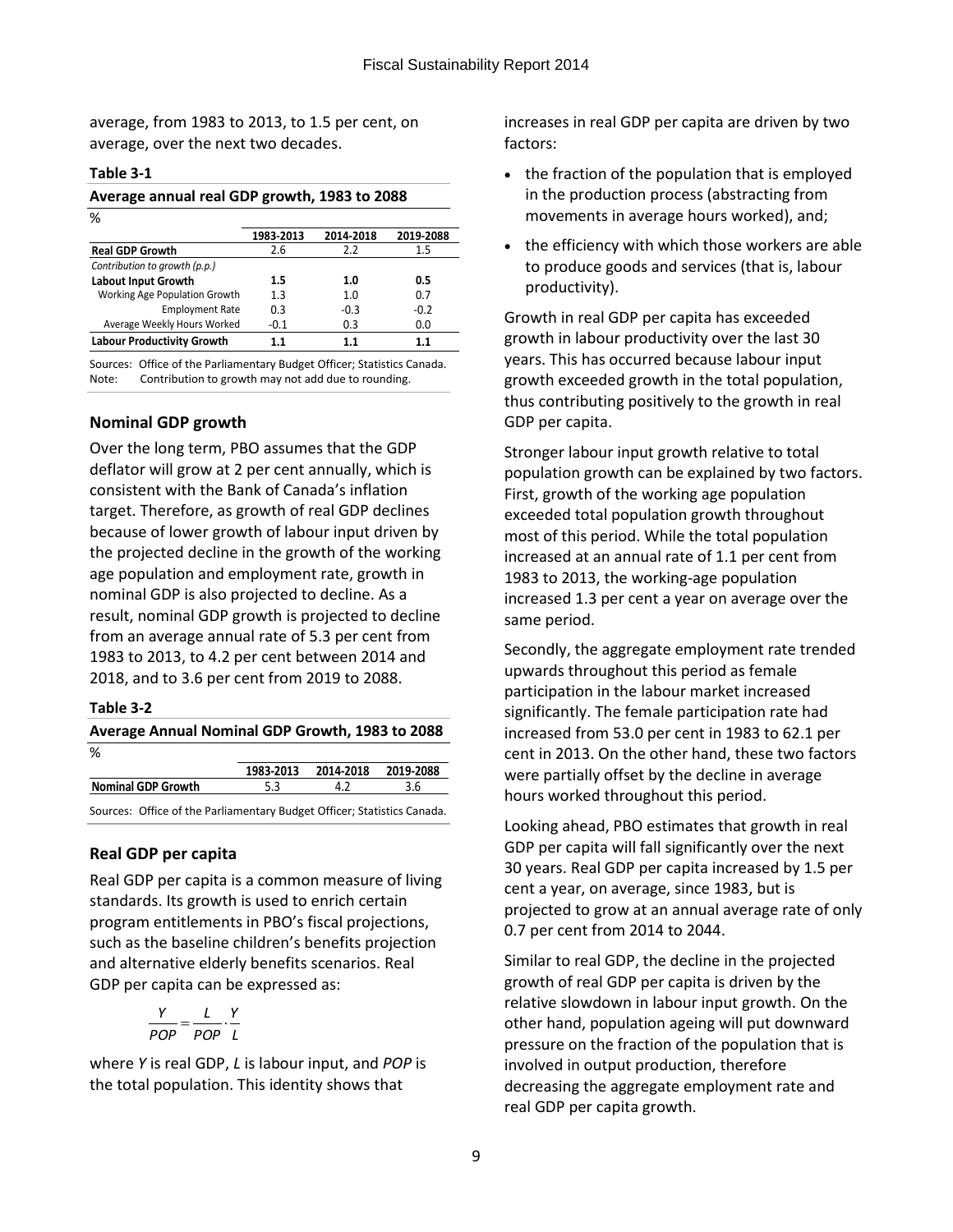average, from 1983 to 2013, to 1.5 per cent, on average, over the next two decades.

#### **Table 3-1**

| Average annual real GDP growth, 1983 to 2088 |           |           |           |  |  |  |  |
|----------------------------------------------|-----------|-----------|-----------|--|--|--|--|
| %                                            |           |           |           |  |  |  |  |
|                                              | 1983-2013 | 2014-2018 | 2019-2088 |  |  |  |  |
| <b>Real GDP Growth</b>                       | 2.6       | 22        | $1.5\,$   |  |  |  |  |
| Contribution to growth (p.p.)                |           |           |           |  |  |  |  |
| <b>Labout Input Growth</b>                   | 1.5       | 1.0       | 0.5       |  |  |  |  |
| Working Age Population Growth                | 1.3       | 1.0       | 0.7       |  |  |  |  |
| <b>Employment Rate</b>                       | 0.3       | $-0.3$    | $-0.2$    |  |  |  |  |

Sources: Office of the Parliamentary Budget Officer; Statistics Canada. Note: Contribution to growth may not add due to rounding.

Average Weekly Hours Worked -0.1 0.3 0.0 **Labour Productivity Growth 1.1 1.1 1.1**

## **Nominal GDP growth**

Over the long term, PBO assumes that the GDP deflator will grow at 2 per cent annually, which is consistent with the Bank of Canada's inflation target. Therefore, as growth of real GDP declines because of lower growth of labour input driven by the projected decline in the growth of the working age population and employment rate, growth in nominal GDP is also projected to decline. As a result, nominal GDP growth is projected to decline from an average annual rate of 5.3 per cent from 1983 to 2013, to 4.2 per cent between 2014 and 2018, and to 3.6 per cent from 2019 to 2088.

#### **Table 3-2**

|   | Average Annual Nominal GDP Growth, 1983 to 2088 |
|---|-------------------------------------------------|
| % |                                                 |

|                           |     | 1983-2013 2014-2018 | 2019-2088 |
|---------------------------|-----|---------------------|-----------|
| <b>Nominal GDP Growth</b> | 5.3 |                     | 3.6       |
|                           |     |                     |           |

Sources: Office of the Parliamentary Budget Officer; Statistics Canada.

## **Real GDP per capita**

Real GDP per capita is a common measure of living standards. Its growth is used to enrich certain program entitlements in PBO's fiscal projections, such as the baseline children's benefits projection and alternative elderly benefits scenarios. Real GDP per capita can be expressed as:

$$
\frac{Y}{POP} = \frac{L}{POP} \cdot \frac{Y}{L}
$$

where *Y* is real GDP, *L* is labour input, and *POP* is the total population. This identity shows that

increases in real GDP per capita are driven by two factors:

- the fraction of the population that is employed in the production process (abstracting from movements in average hours worked), and;
- the efficiency with which those workers are able to produce goods and services (that is, labour productivity).

Growth in real GDP per capita has exceeded growth in labour productivity over the last 30 years. This has occurred because labour input growth exceeded growth in the total population, thus contributing positively to the growth in real GDP per capita.

Stronger labour input growth relative to total population growth can be explained by two factors. First, growth of the working age population exceeded total population growth throughout most of this period. While the total population increased at an annual rate of 1.1 per cent from 1983 to 2013, the working-age population increased 1.3 per cent a year on average over the same period.

Secondly, the aggregate employment rate trended upwards throughout this period as female participation in the labour market increased significantly. The female participation rate had increased from 53.0 per cent in 1983 to 62.1 per cent in 2013. On the other hand, these two factors were partially offset by the decline in average hours worked throughout this period.

Looking ahead, PBO estimates that growth in real GDP per capita will fall significantly over the next 30 years. Real GDP per capita increased by 1.5 per cent a year, on average, since 1983, but is projected to grow at an annual average rate of only 0.7 per cent from 2014 to 2044.

Similar to real GDP, the decline in the projected growth of real GDP per capita is driven by the relative slowdown in labour input growth. On the other hand, population ageing will put downward pressure on the fraction of the population that is involved in output production, therefore decreasing the aggregate employment rate and real GDP per capita growth.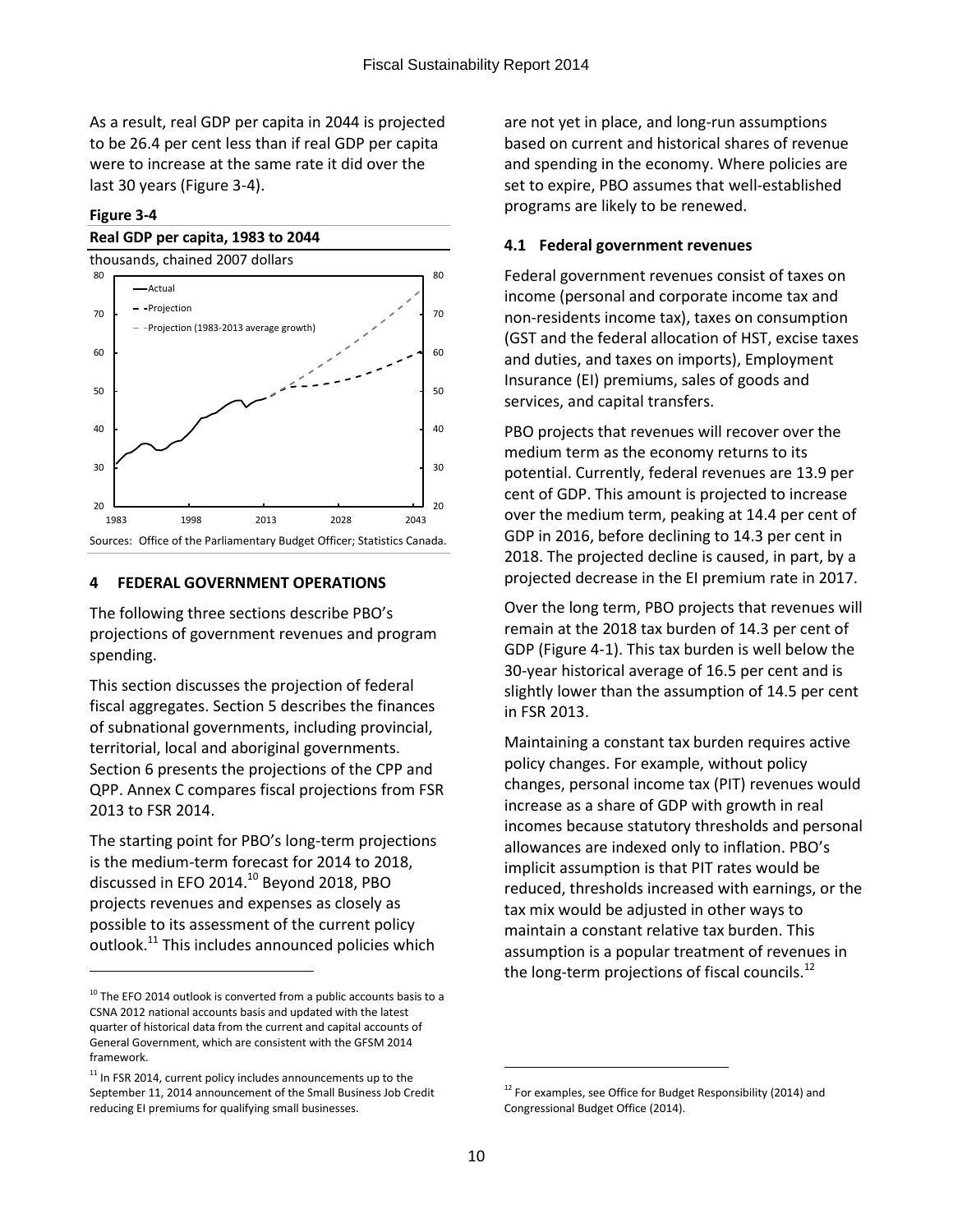As a result, real GDP per capita in 2044 is projected to be 26.4 per cent less than if real GDP per capita were to increase at the same rate it did over the last 30 years (Figure 3-4).

#### **Figure 3-4**

 $\overline{a}$ 



#### <span id="page-12-0"></span>**4 FEDERAL GOVERNMENT OPERATIONS**

The following three sections describe PBO's projections of government revenues and program spending.

This section discusses the projection of federal fiscal aggregates. Section 5 describes the finances of subnational governments, including provincial, territorial, local and aboriginal governments. Section 6 presents the projections of the CPP and QPP. Annex C compares fiscal projections from FSR 2013 to FSR 2014.

The starting point for PBO's long-term projections is the medium-term forecast for 2014 to 2018, discussed in EFO 2014.<sup>10</sup> Beyond 2018, PBO projects revenues and expenses as closely as possible to its assessment of the current policy outlook.<sup>11</sup> This includes announced policies which

are not yet in place, and long-run assumptions based on current and historical shares of revenue and spending in the economy. Where policies are set to expire, PBO assumes that well-established programs are likely to be renewed.

#### <span id="page-12-1"></span>**4.1 Federal government revenues**

Federal government revenues consist of taxes on income (personal and corporate income tax and non-residents income tax), taxes on consumption (GST and the federal allocation of HST, excise taxes and duties, and taxes on imports), Employment Insurance (EI) premiums, sales of goods and services, and capital transfers.

PBO projects that revenues will recover over the medium term as the economy returns to its potential. Currently, federal revenues are 13.9 per cent of GDP. This amount is projected to increase over the medium term, peaking at 14.4 per cent of GDP in 2016, before declining to 14.3 per cent in 2018. The projected decline is caused, in part, by a projected decrease in the EI premium rate in 2017.

Over the long term, PBO projects that revenues will remain at the 2018 tax burden of 14.3 per cent of GDP (Figure 4-1). This tax burden is well below the 30-year historical average of 16.5 per cent and is slightly lower than the assumption of 14.5 per cent in FSR 2013.

Maintaining a constant tax burden requires active policy changes. For example, without policy changes, personal income tax (PIT) revenues would increase as a share of GDP with growth in real incomes because statutory thresholds and personal allowances are indexed only to inflation. PBO's implicit assumption is that PIT rates would be reduced, thresholds increased with earnings, or the tax mix would be adjusted in other ways to maintain a constant relative tax burden. This assumption is a popular treatment of revenues in the long-term projections of fiscal councils. $^{12}$ 

 $\overline{a}$ 

 $10$  The EFO 2014 outlook is converted from a public accounts basis to a CSNA 2012 national accounts basis and updated with the latest quarter of historical data from the current and capital accounts of General Government, which are consistent with the GFSM 2014 framework.

 $11$  In FSR 2014, current policy includes announcements up to the September 11, 2014 announcement of the Small Business Job Credit reducing EI premiums for qualifying small businesses.

 $12$  For examples, see Office for Budget Responsibility (2014) and Congressional Budget Office (2014).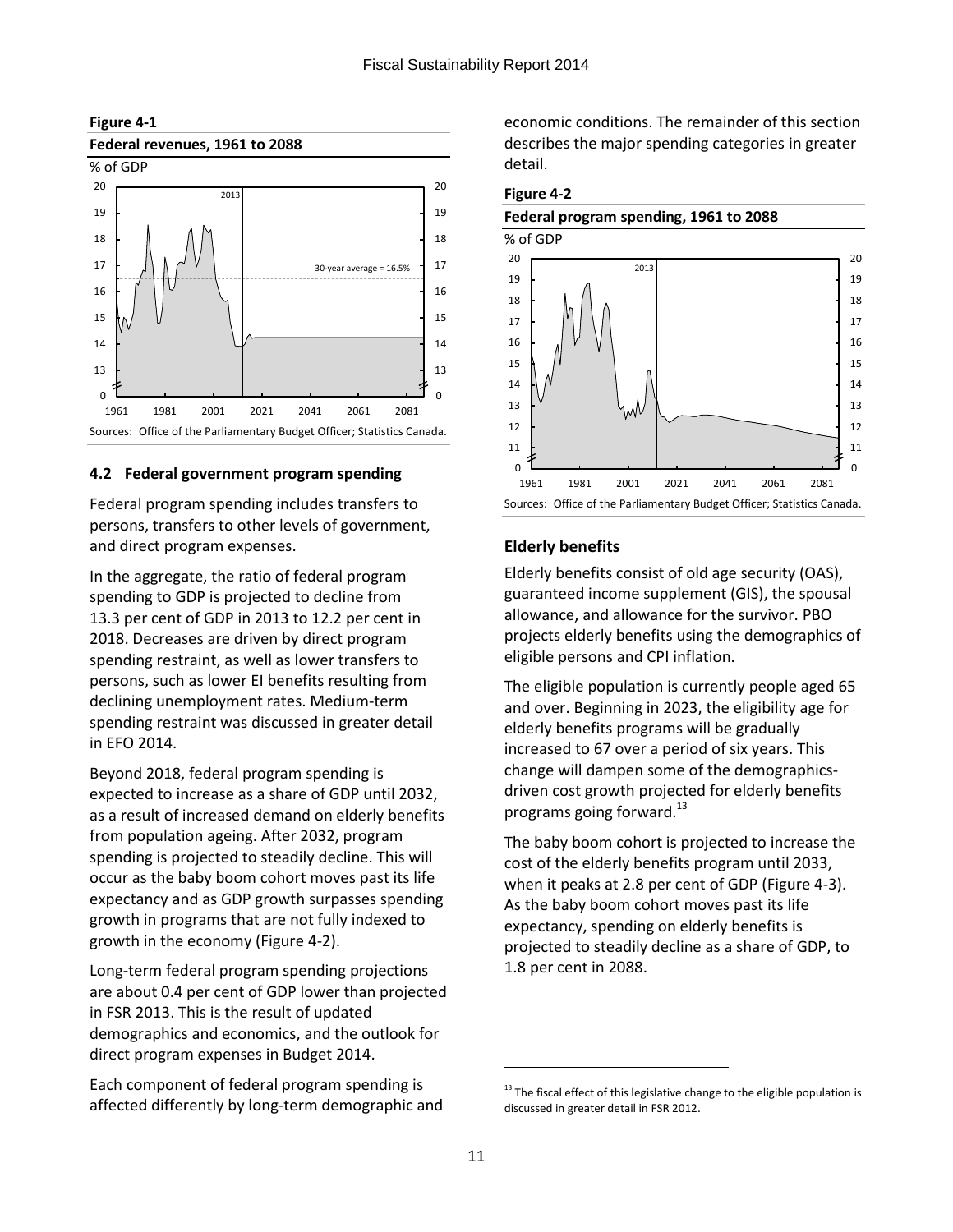

#### **Figure 4-1**

#### <span id="page-13-0"></span>**4.2 Federal government program spending**

Federal program spending includes transfers to persons, transfers to other levels of government, and direct program expenses.

In the aggregate, the ratio of federal program spending to GDP is projected to decline from 13.3 per cent of GDP in 2013 to 12.2 per cent in 2018. Decreases are driven by direct program spending restraint, as well as lower transfers to persons, such as lower EI benefits resulting from declining unemployment rates. Medium-term spending restraint was discussed in greater detail in EFO 2014.

Beyond 2018, federal program spending is expected to increase as a share of GDP until 2032, as a result of increased demand on elderly benefits from population ageing. After 2032, program spending is projected to steadily decline. This will occur as the baby boom cohort moves past its life expectancy and as GDP growth surpasses spending growth in programs that are not fully indexed to growth in the economy (Figure 4-2).

Long-term federal program spending projections are about 0.4 per cent of GDP lower than projected in FSR 2013. This is the result of updated demographics and economics, and the outlook for direct program expenses in Budget 2014.

Each component of federal program spending is affected differently by long-term demographic and economic conditions. The remainder of this section describes the major spending categories in greater detail.





## **Elderly benefits**

Elderly benefits consist of old age security (OAS), guaranteed income supplement (GIS), the spousal allowance, and allowance for the survivor. PBO projects elderly benefits using the demographics of eligible persons and CPI inflation.

The eligible population is currently people aged 65 and over. Beginning in 2023, the eligibility age for elderly benefits programs will be gradually increased to 67 over a period of six years. This change will dampen some of the demographicsdriven cost growth projected for elderly benefits programs going forward.<sup>13</sup>

The baby boom cohort is projected to increase the cost of the elderly benefits program until 2033, when it peaks at 2.8 per cent of GDP (Figure 4-3). As the baby boom cohort moves past its life expectancy, spending on elderly benefits is projected to steadily decline as a share of GDP, to 1.8 per cent in 2088.

 $\overline{a}$ 

 $13$  The fiscal effect of this legislative change to the eligible population is discussed in greater detail in FSR 2012.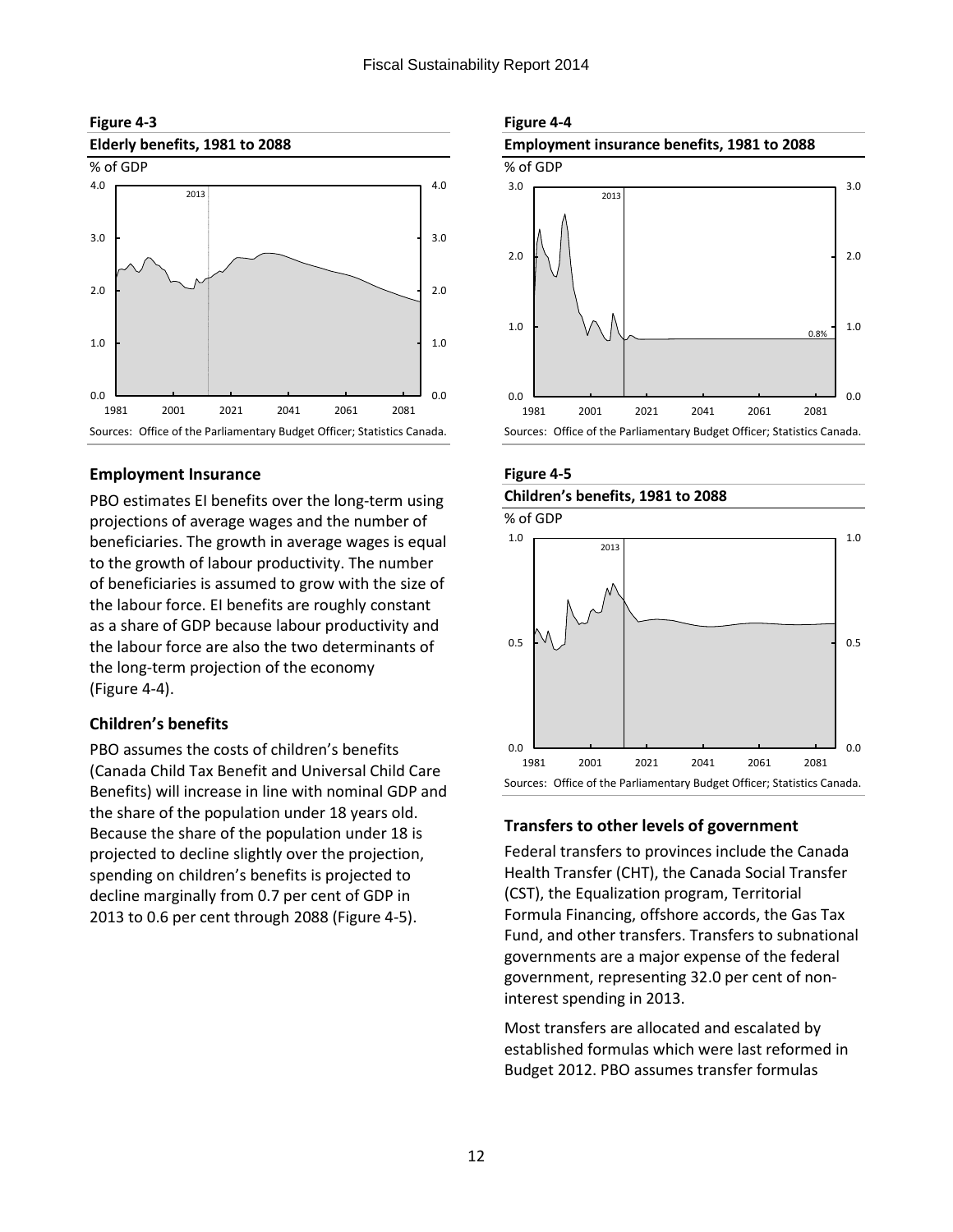



## **Employment Insurance**

PBO estimates EI benefits over the long-term using projections of average wages and the number of beneficiaries. The growth in average wages is equal to the growth of labour productivity. The number of beneficiaries is assumed to grow with the size of the labour force. EI benefits are roughly constant as a share of GDP because labour productivity and the labour force are also the two determinants of the long-term projection of the economy (Figure 4-4).

## **Children's benefits**

PBO assumes the costs of children's benefits (Canada Child Tax Benefit and Universal Child Care Benefits) will increase in line with nominal GDP and the share of the population under 18 years old. Because the share of the population under 18 is projected to decline slightly over the projection, spending on children's benefits is projected to decline marginally from 0.7 per cent of GDP in 2013 to 0.6 per cent through 2088 (Figure 4-5).





Sources: Office of the Parliamentary Budget Officer; Statistics Canada.





## **Transfers to other levels of government**

Federal transfers to provinces include the Canada Health Transfer (CHT), the Canada Social Transfer (CST), the Equalization program, Territorial Formula Financing, offshore accords, the Gas Tax Fund, and other transfers. Transfers to subnational governments are a major expense of the federal government, representing 32.0 per cent of noninterest spending in 2013.

Most transfers are allocated and escalated by established formulas which were last reformed in Budget 2012. PBO assumes transfer formulas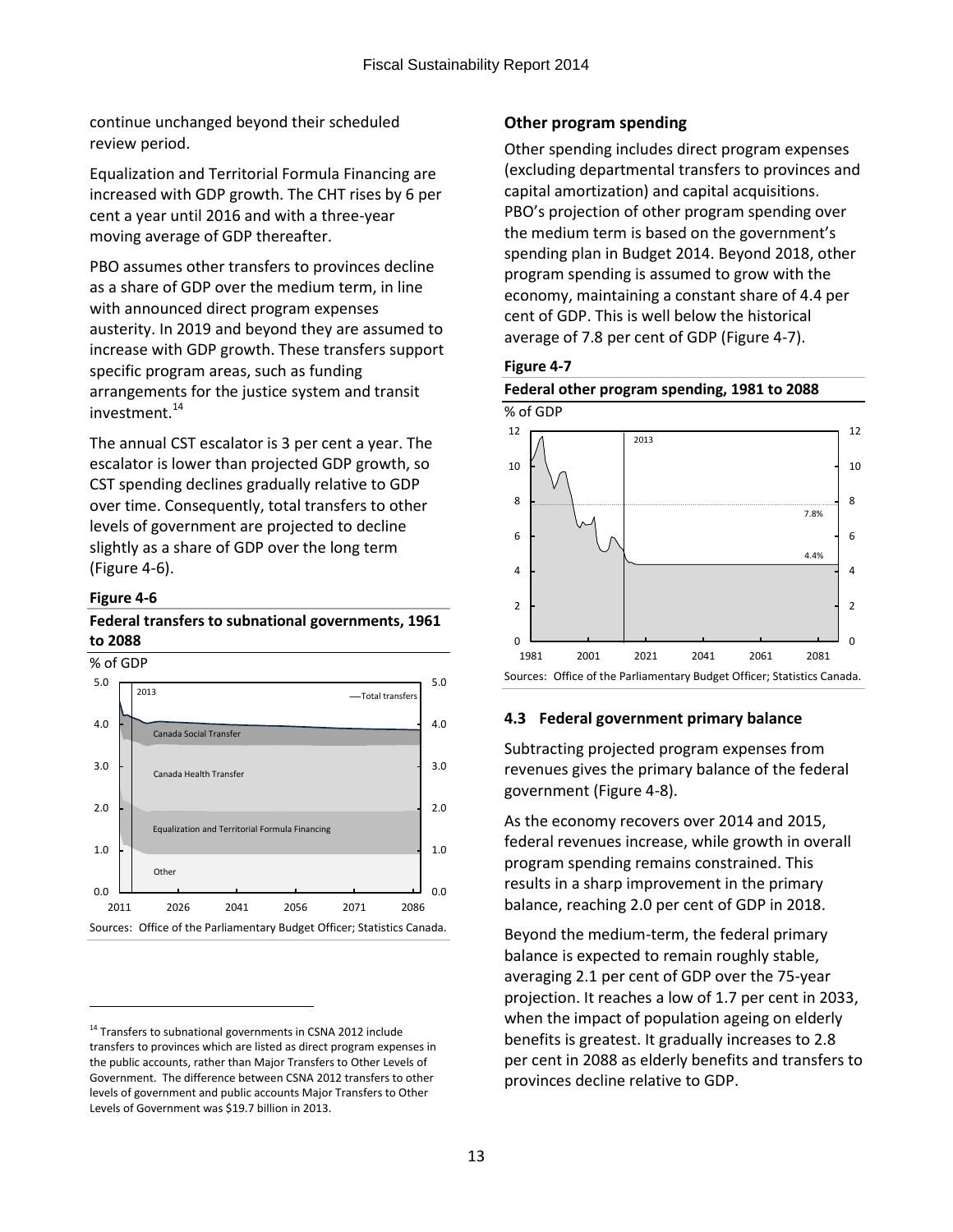continue unchanged beyond their scheduled review period.

Equalization and Territorial Formula Financing are increased with GDP growth. The CHT rises by 6 per cent a year until 2016 and with a three-year moving average of GDP thereafter.

PBO assumes other transfers to provinces decline as a share of GDP over the medium term, in line with announced direct program expenses austerity. In 2019 and beyond they are assumed to increase with GDP growth. These transfers support specific program areas, such as funding arrangements for the justice system and transit investment.<sup>14</sup>

The annual CST escalator is 3 per cent a year. The escalator is lower than projected GDP growth, so CST spending declines gradually relative to GDP over time. Consequently, total transfers to other levels of government are projected to decline slightly as a share of GDP over the long term (Figure 4-6).

#### **Figure 4-6**

 $\overline{a}$ 

#### **Federal transfers to subnational governments, 1961 to 2088**



#### **Other program spending**

Other spending includes direct program expenses (excluding departmental transfers to provinces and capital amortization) and capital acquisitions. PBO's projection of other program spending over the medium term is based on the government's spending plan in Budget 2014. Beyond 2018, other program spending is assumed to grow with the economy, maintaining a constant share of 4.4 per cent of GDP. This is well below the historical average of 7.8 per cent of GDP (Figure 4-7).



#### <span id="page-15-0"></span>**4.3 Federal government primary balance**

Subtracting projected program expenses from revenues gives the primary balance of the federal government (Figure 4-8).

As the economy recovers over 2014 and 2015, federal revenues increase, while growth in overall program spending remains constrained. This results in a sharp improvement in the primary balance, reaching 2.0 per cent of GDP in 2018.

Beyond the medium-term, the federal primary balance is expected to remain roughly stable, averaging 2.1 per cent of GDP over the 75-year projection. It reaches a low of 1.7 per cent in 2033, when the impact of population ageing on elderly benefits is greatest. It gradually increases to 2.8 per cent in 2088 as elderly benefits and transfers to provinces decline relative to GDP.

<sup>&</sup>lt;sup>14</sup> Transfers to subnational governments in CSNA 2012 include transfers to provinces which are listed as direct program expenses in the public accounts, rather than Major Transfers to Other Levels of Government. The difference between CSNA 2012 transfers to other levels of government and public accounts Major Transfers to Other Levels of Government was \$19.7 billion in 2013.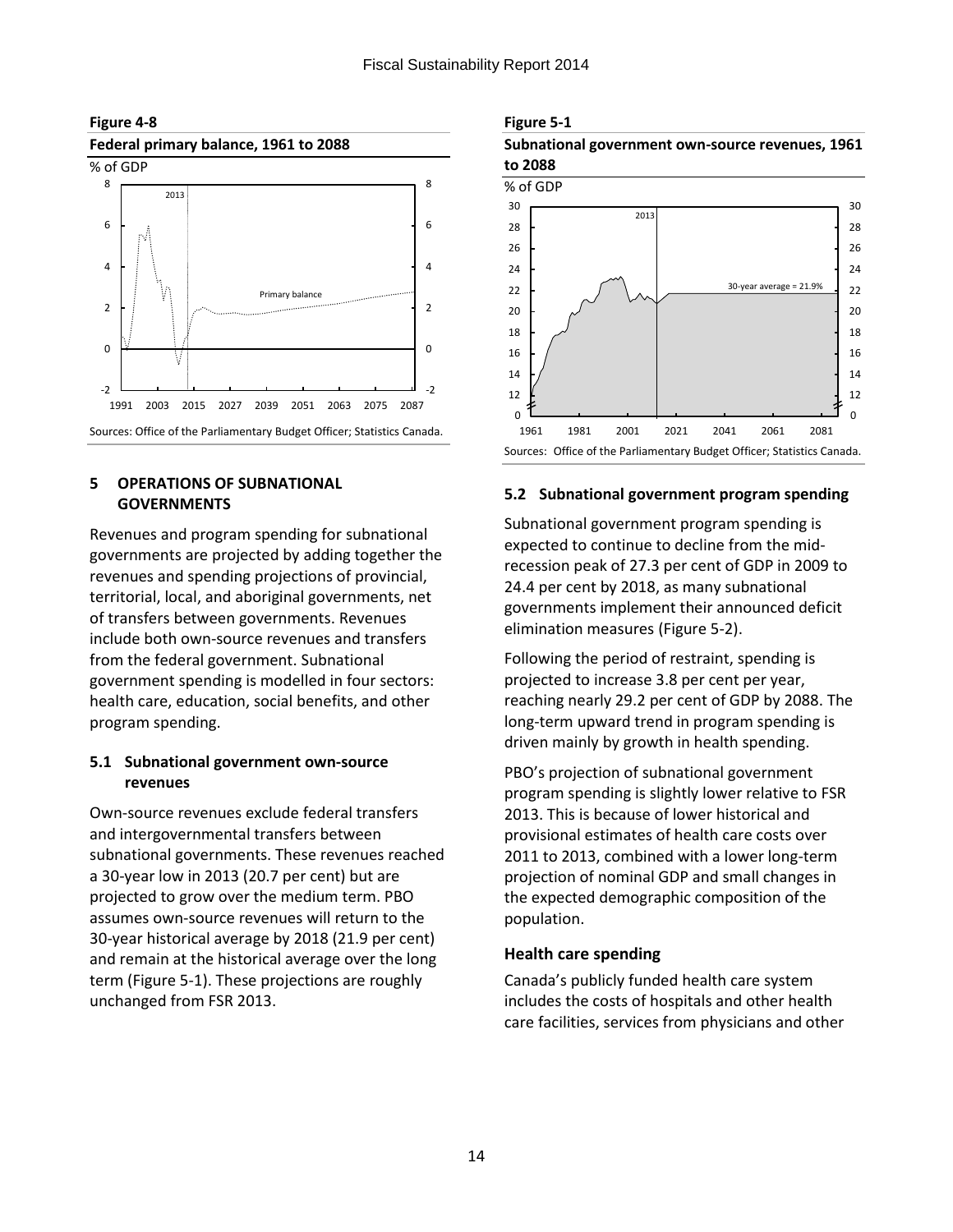



## <span id="page-16-0"></span>**5 OPERATIONS OF SUBNATIONAL GOVERNMENTS**

Revenues and program spending for subnational governments are projected by adding together the revenues and spending projections of provincial, territorial, local, and aboriginal governments, net of transfers between governments. Revenues include both own-source revenues and transfers from the federal government. Subnational government spending is modelled in four sectors: health care, education, social benefits, and other program spending.

## <span id="page-16-1"></span>**5.1 Subnational government own-source revenues**

Own-source revenues exclude federal transfers and intergovernmental transfers between subnational governments. These revenues reached a 30-year low in 2013 (20.7 per cent) but are projected to grow over the medium term. PBO assumes own-source revenues will return to the 30-year historical average by 2018 (21.9 per cent) and remain at the historical average over the long term (Figure 5-1). These projections are roughly unchanged from FSR 2013.

#### **Figure 5-1**





## <span id="page-16-2"></span>**5.2 Subnational government program spending**

Subnational government program spending is expected to continue to decline from the midrecession peak of 27.3 per cent of GDP in 2009 to 24.4 per cent by 2018, as many subnational governments implement their announced deficit elimination measures (Figure 5-2).

Following the period of restraint, spending is projected to increase 3.8 per cent per year, reaching nearly 29.2 per cent of GDP by 2088. The long-term upward trend in program spending is driven mainly by growth in health spending.

PBO's projection of subnational government program spending is slightly lower relative to FSR 2013. This is because of lower historical and provisional estimates of health care costs over 2011 to 2013, combined with a lower long-term projection of nominal GDP and small changes in the expected demographic composition of the population.

## **Health care spending**

Canada's publicly funded health care system includes the costs of hospitals and other health care facilities, services from physicians and other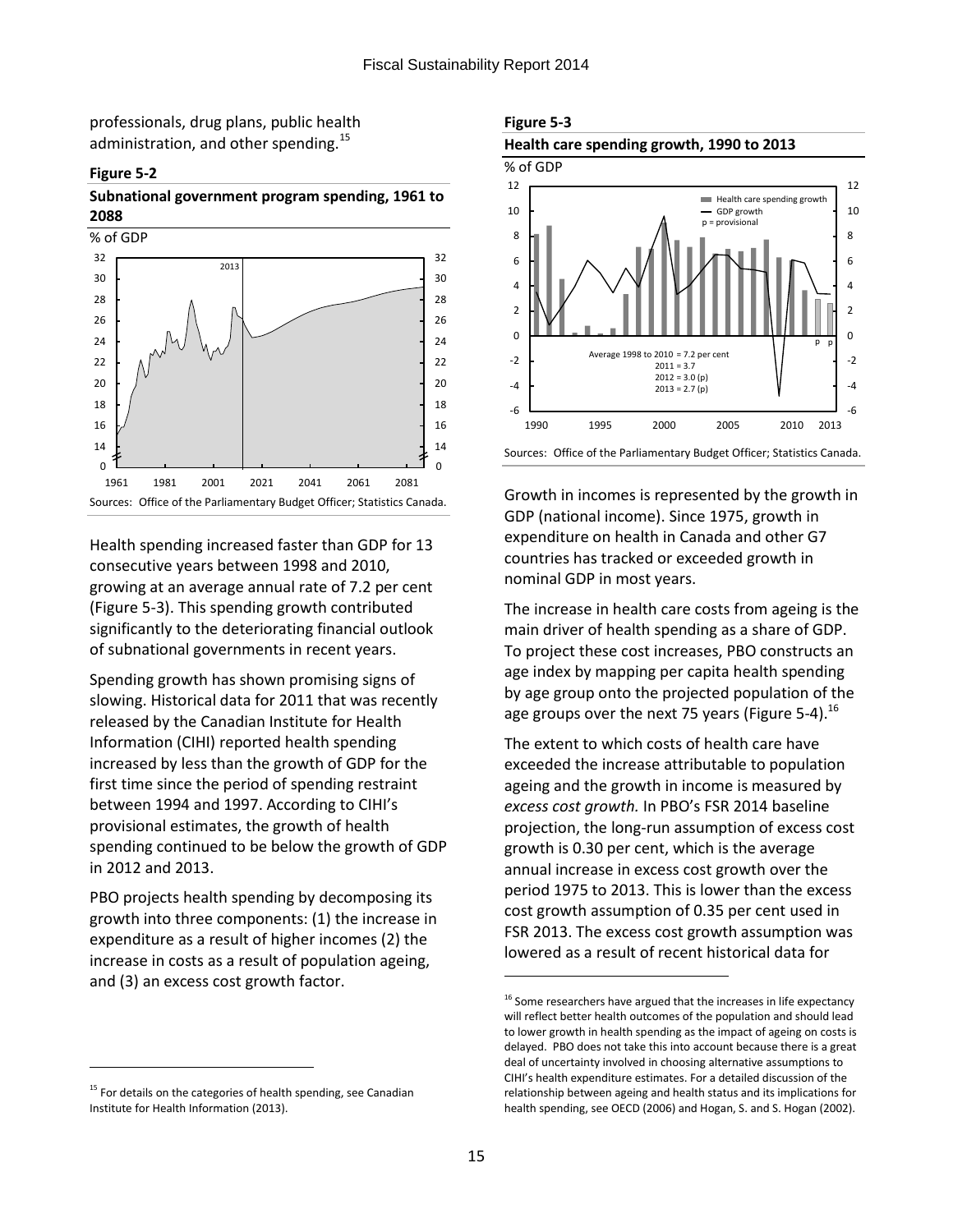professionals, drug plans, public health administration, and other spending.<sup>15</sup>

#### **Figure 5-2**

**Subnational government program spending, 1961 to 2088**



Health spending increased faster than GDP for 13 consecutive years between 1998 and 2010, growing at an average annual rate of 7.2 per cent (Figure 5-3). This spending growth contributed significantly to the deteriorating financial outlook of subnational governments in recent years.

Spending growth has shown promising signs of slowing. Historical data for 2011 that was recently released by the Canadian Institute for Health Information (CIHI) reported health spending increased by less than the growth of GDP for the first time since the period of spending restraint between 1994 and 1997. According to CIHI's provisional estimates, the growth of health spending continued to be below the growth of GDP in 2012 and 2013.

PBO projects health spending by decomposing its growth into three components: (1) the increase in expenditure as a result of higher incomes (2) the increase in costs as a result of population ageing, and (3) an excess cost growth factor.

 $\overline{a}$ 

## **Figure 5-3**



Sources: Office of the Parliamentary Budget Officer; Statistics Canada.

Growth in incomes is represented by the growth in GDP (national income). Since 1975, growth in expenditure on health in Canada and other G7 countries has tracked or exceeded growth in nominal GDP in most years.

The increase in health care costs from ageing is the main driver of health spending as a share of GDP. To project these cost increases, PBO constructs an age index by mapping per capita health spending by age group onto the projected population of the age groups over the next 75 years (Figure 5-4).  $^{16}$ 

The extent to which costs of health care have exceeded the increase attributable to population ageing and the growth in income is measured by *excess cost growth.* In PBO's FSR 2014 baseline projection, the long-run assumption of excess cost growth is 0.30 per cent, which is the average annual increase in excess cost growth over the period 1975 to 2013. This is lower than the excess cost growth assumption of 0.35 per cent used in FSR 2013. The excess cost growth assumption was lowered as a result of recent historical data for

 $\overline{\phantom{a}}$ 

<sup>&</sup>lt;sup>15</sup> For details on the categories of health spending, see Canadian Institute for Health Information (2013).

 $16$  Some researchers have argued that the increases in life expectancy will reflect better health outcomes of the population and should lead to lower growth in health spending as the impact of ageing on costs is delayed. PBO does not take this into account because there is a great deal of uncertainty involved in choosing alternative assumptions to CIHI's health expenditure estimates. For a detailed discussion of the relationship between ageing and health status and its implications for health spending, see OECD (2006) and Hogan, S. and S. Hogan (2002).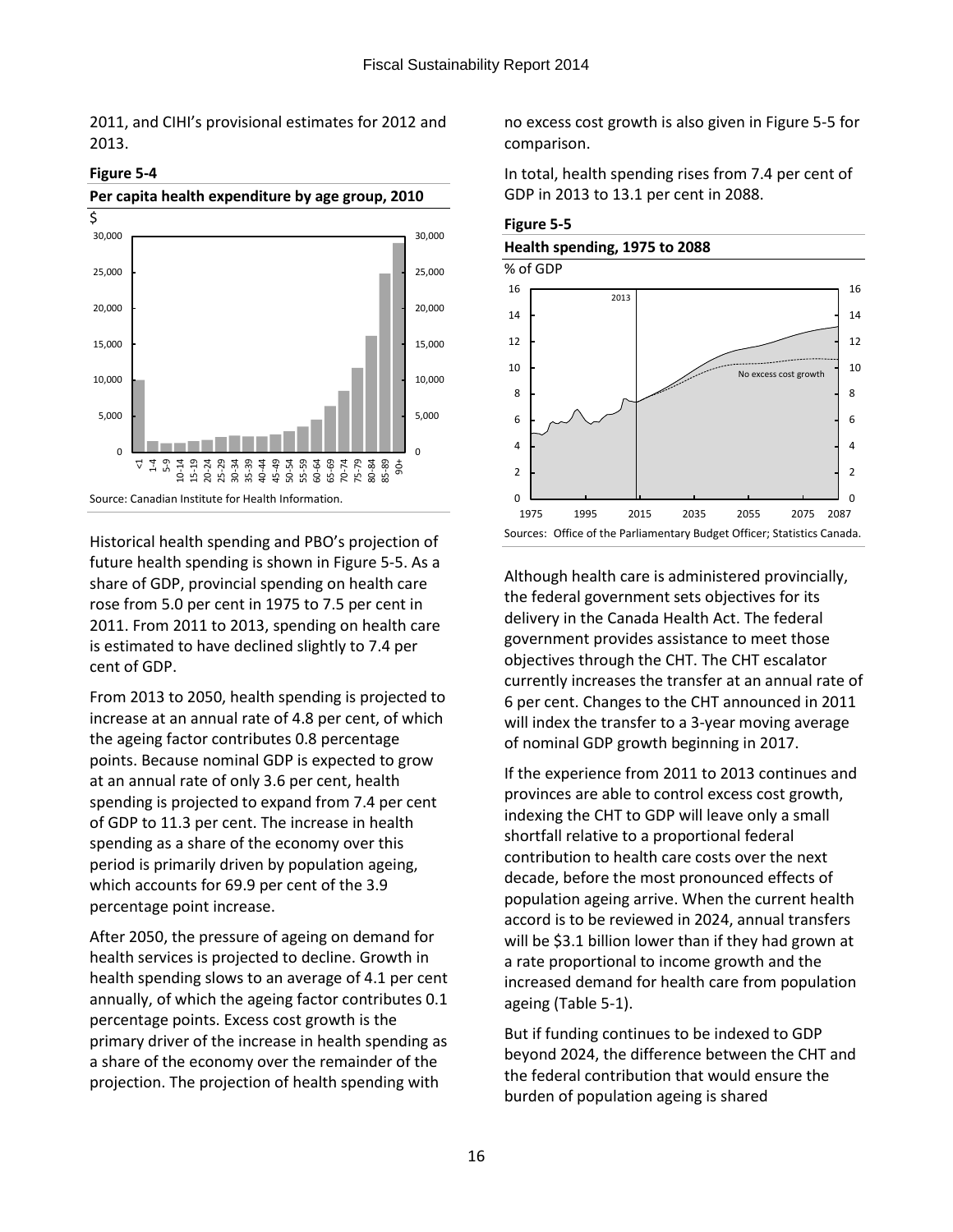2011, and CIHI's provisional estimates for 2012 and 2013.

#### **Figure 5-4**

#### **Per capita health expenditure by age group, 2010**  $\mathsf{\hat{S}}$



Historical health spending and PBO's projection of future health spending is shown in Figure 5-5. As a share of GDP, provincial spending on health care rose from 5.0 per cent in 1975 to 7.5 per cent in 2011. From 2011 to 2013, spending on health care is estimated to have declined slightly to 7.4 per cent of GDP.

From 2013 to 2050, health spending is projected to increase at an annual rate of 4.8 per cent, of which the ageing factor contributes 0.8 percentage points. Because nominal GDP is expected to grow at an annual rate of only 3.6 per cent, health spending is projected to expand from 7.4 per cent of GDP to 11.3 per cent. The increase in health spending as a share of the economy over this period is primarily driven by population ageing, which accounts for 69.9 per cent of the 3.9 percentage point increase.

After 2050, the pressure of ageing on demand for health services is projected to decline. Growth in health spending slows to an average of 4.1 per cent annually, of which the ageing factor contributes 0.1 percentage points. Excess cost growth is the primary driver of the increase in health spending as a share of the economy over the remainder of the projection. The projection of health spending with

no excess cost growth is also given in Figure 5-5 for comparison.

In total, health spending rises from 7.4 per cent of GDP in 2013 to 13.1 per cent in 2088.



Although health care is administered provincially, the federal government sets objectives for its delivery in the Canada Health Act. The federal government provides assistance to meet those objectives through the CHT. The CHT escalator currently increases the transfer at an annual rate of 6 per cent. Changes to the CHT announced in 2011 will index the transfer to a 3-year moving average of nominal GDP growth beginning in 2017.

If the experience from 2011 to 2013 continues and provinces are able to control excess cost growth, indexing the CHT to GDP will leave only a small shortfall relative to a proportional federal contribution to health care costs over the next decade, before the most pronounced effects of population ageing arrive. When the current health accord is to be reviewed in 2024, annual transfers will be \$3.1 billion lower than if they had grown at a rate proportional to income growth and the increased demand for health care from population ageing (Table 5-1).

But if funding continues to be indexed to GDP beyond 2024, the difference between the CHT and the federal contribution that would ensure the burden of population ageing is shared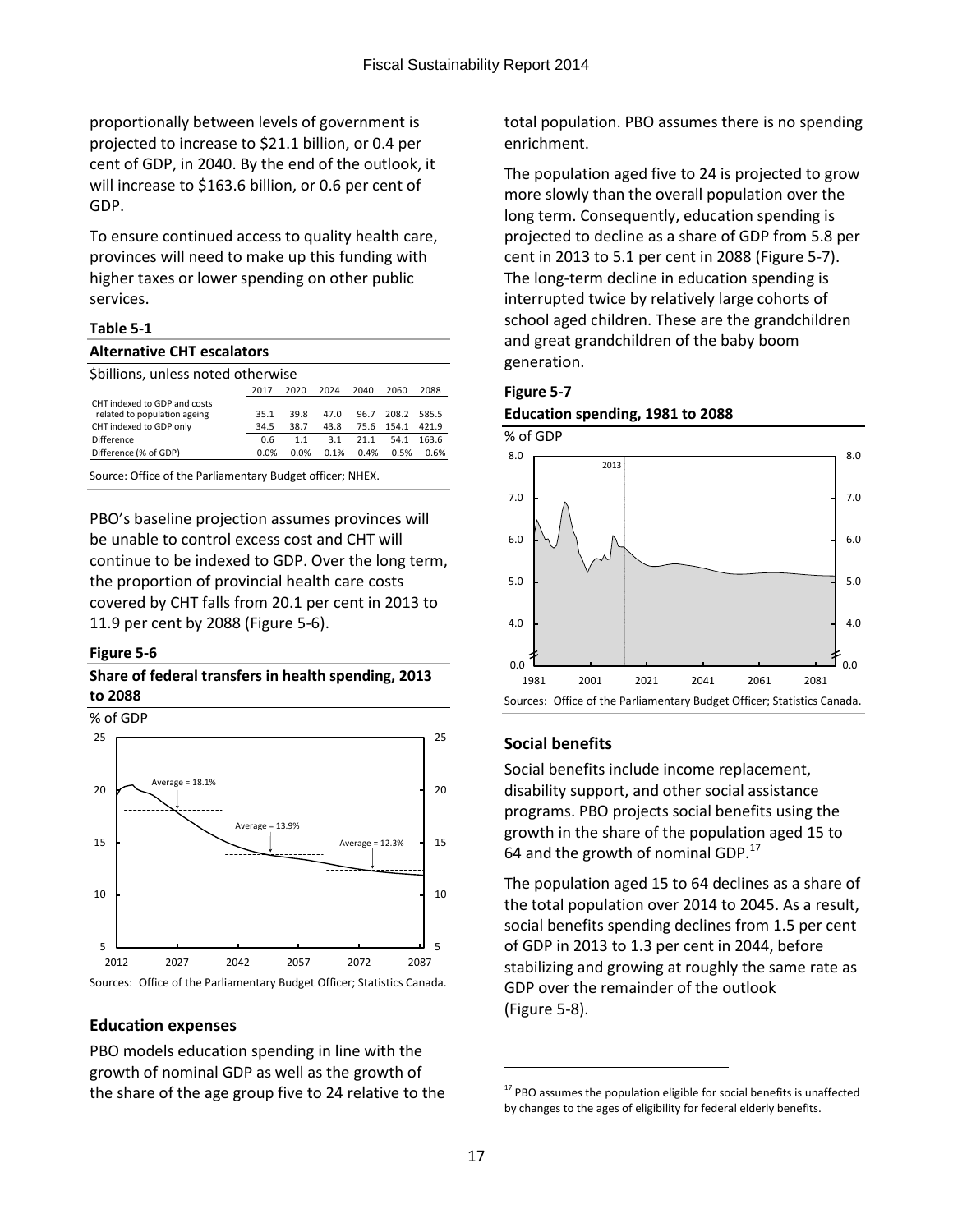proportionally between levels of government is projected to increase to \$21.1 billion, or 0.4 per cent of GDP, in 2040. By the end of the outlook, it will increase to \$163.6 billion, or 0.6 per cent of GDP.

To ensure continued access to quality health care, provinces will need to make up this funding with higher taxes or lower spending on other public services.

#### **Table 5-1**

#### **Alternative CHT escalators**

| Sbillions, unless noted otherwise                            |      |      |      |      |       |       |  |
|--------------------------------------------------------------|------|------|------|------|-------|-------|--|
|                                                              | 2017 | 2020 | 2024 | 2040 | 2060  | 2088  |  |
| CHT indexed to GDP and costs<br>related to population ageing | 35.1 | 39.8 | 47.0 | 96.7 | 208.2 | 585.5 |  |
| CHT indexed to GDP only                                      | 34.5 | 38.7 | 43.8 | 75.6 | 154.1 | 421.9 |  |
| Difference                                                   | 0.6  | 1.1  | 3.1  | 211  | 54.1  | 163.6 |  |
| Difference (% of GDP)                                        | 0.0% | 0.0% | 0.1% | 0.4% | 0.5%  | 0.6%  |  |

Source: Office of the Parliamentary Budget officer; NHEX.

PBO's baseline projection assumes provinces will be unable to control excess cost and CHT will continue to be indexed to GDP. Over the long term, the proportion of provincial health care costs covered by CHT falls from 20.1 per cent in 2013 to 11.9 per cent by 2088 (Figure 5-6).

#### **Figure 5-6**

#### **Share of federal transfers in health spending, 2013 to 2088**



#### **Education expenses**

PBO models education spending in line with the growth of nominal GDP as well as the growth of the share of the age group five to 24 relative to the total population. PBO assumes there is no spending enrichment.

The population aged five to 24 is projected to grow more slowly than the overall population over the long term. Consequently, education spending is projected to decline as a share of GDP from 5.8 per cent in 2013 to 5.1 per cent in 2088 (Figure 5-7). The long-term decline in education spending is interrupted twice by relatively large cohorts of school aged children. These are the grandchildren and great grandchildren of the baby boom generation.

#### **Figure 5-7**



#### **Social benefits**

Social benefits include income replacement, disability support, and other social assistance programs. PBO projects social benefits using the growth in the share of the population aged 15 to 64 and the growth of nominal GDP. $^{17}$ 

The population aged 15 to 64 declines as a share of the total population over 2014 to 2045. As a result, social benefits spending declines from 1.5 per cent of GDP in 2013 to 1.3 per cent in 2044, before stabilizing and growing at roughly the same rate as GDP over the remainder of the outlook (Figure 5-8).

 $\overline{a}$ 

 $17$  PBO assumes the population eligible for social benefits is unaffected by changes to the ages of eligibility for federal elderly benefits.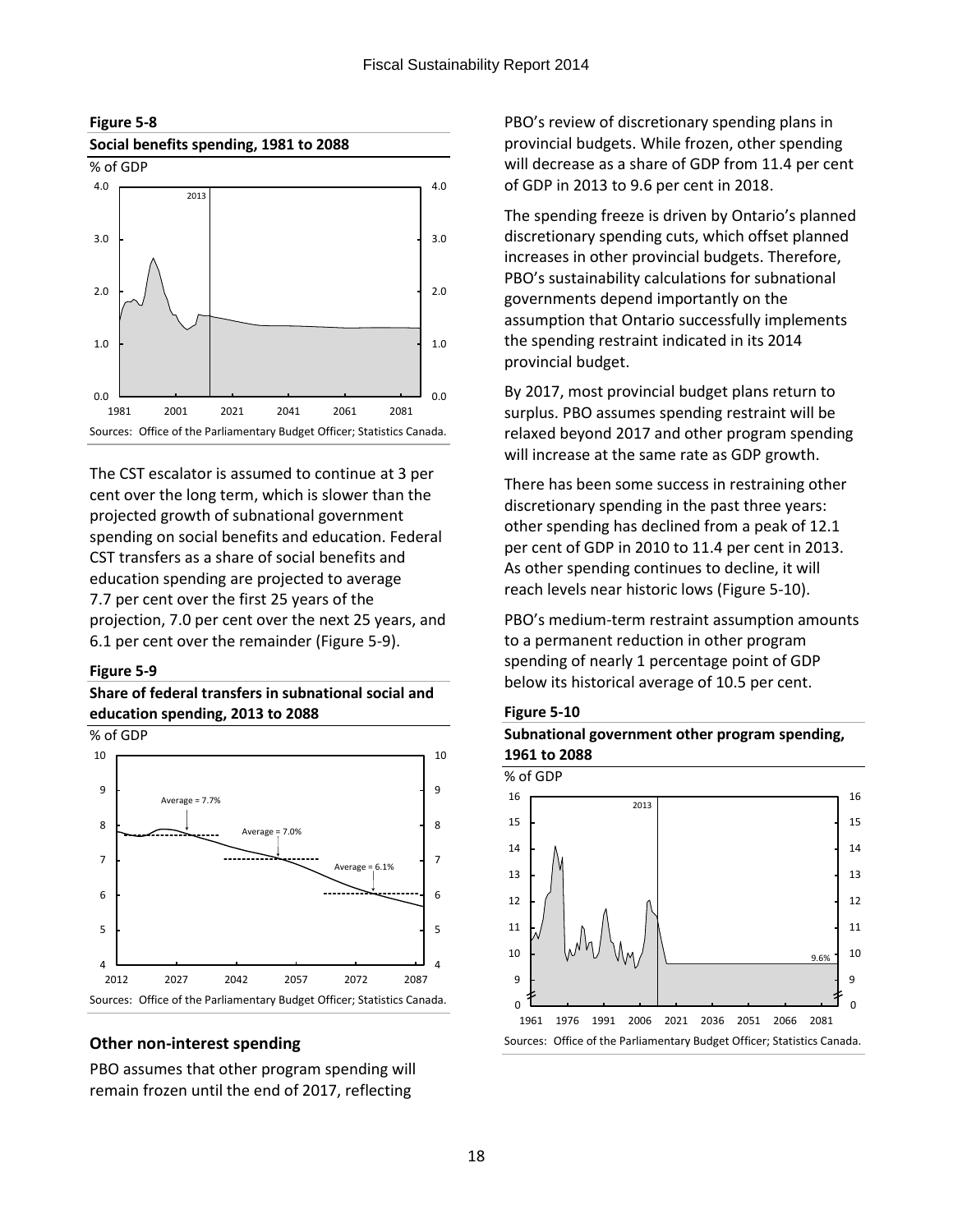

#### **Figure 5-8**

The CST escalator is assumed to continue at 3 per cent over the long term, which is slower than the projected growth of subnational government spending on social benefits and education. Federal CST transfers as a share of social benefits and education spending are projected to average 7.7 per cent over the first 25 years of the projection, 7.0 per cent over the next 25 years, and 6.1 per cent over the remainder (Figure 5-9).

#### **Figure 5-9**

## **Share of federal transfers in subnational social and education spending, 2013 to 2088**



#### **Other non-interest spending**

PBO assumes that other program spending will remain frozen until the end of 2017, reflecting

PBO's review of discretionary spending plans in provincial budgets. While frozen, other spending will decrease as a share of GDP from 11.4 per cent of GDP in 2013 to 9.6 per cent in 2018.

The spending freeze is driven by Ontario's planned discretionary spending cuts, which offset planned increases in other provincial budgets. Therefore, PBO's sustainability calculations for subnational governments depend importantly on the assumption that Ontario successfully implements the spending restraint indicated in its 2014 provincial budget.

By 2017, most provincial budget plans return to surplus. PBO assumes spending restraint will be relaxed beyond 2017 and other program spending will increase at the same rate as GDP growth.

There has been some success in restraining other discretionary spending in the past three years: other spending has declined from a peak of 12.1 per cent of GDP in 2010 to 11.4 per cent in 2013. As other spending continues to decline, it will reach levels near historic lows (Figure 5-10).

PBO's medium-term restraint assumption amounts to a permanent reduction in other program spending of nearly 1 percentage point of GDP below its historical average of 10.5 per cent.

#### **Figure 5-10**



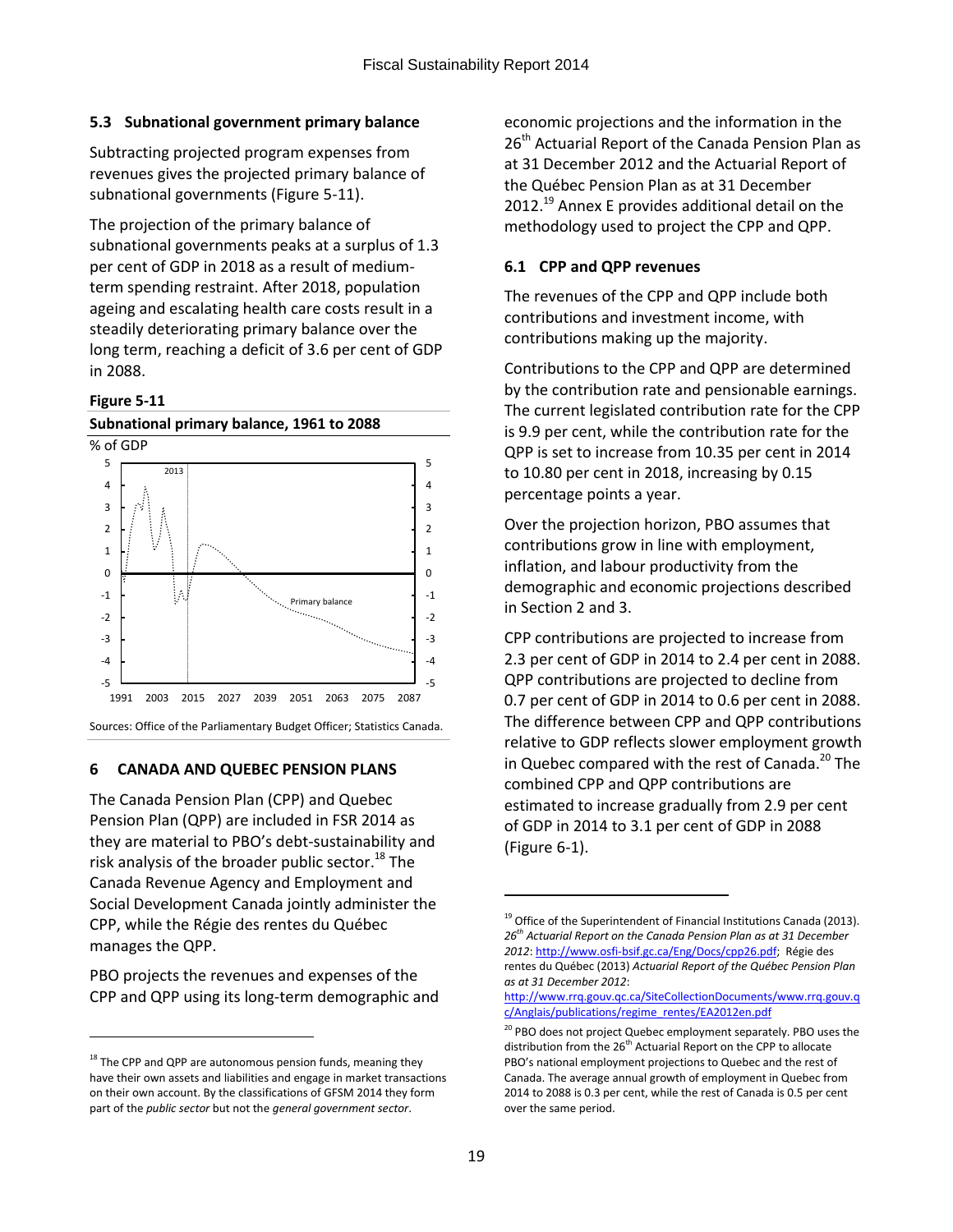## <span id="page-21-0"></span>**5.3 Subnational government primary balance**

Subtracting projected program expenses from revenues gives the projected primary balance of subnational governments (Figure 5-11).

The projection of the primary balance of subnational governments peaks at a surplus of 1.3 per cent of GDP in 2018 as a result of mediumterm spending restraint. After 2018, population ageing and escalating health care costs result in a steadily deteriorating primary balance over the long term, reaching a deficit of 3.6 per cent of GDP in 2088.

## **Figure 5-11**

 $\overline{a}$ 



## <span id="page-21-1"></span>**6 CANADA AND QUEBEC PENSION PLANS**

The Canada Pension Plan (CPP) and Quebec Pension Plan (QPP) are included in FSR 2014 as they are material to PBO's debt-sustainability and risk analysis of the broader public sector.<sup>18</sup> The Canada Revenue Agency and Employment and Social Development Canada jointly administer the CPP, while the Régie des rentes du Québec manages the QPP.

PBO projects the revenues and expenses of the CPP and QPP using its long-term demographic and

economic projections and the information in the 26<sup>th</sup> Actuarial Report of the Canada Pension Plan as at 31 December 2012 and the Actuarial Report of the Québec Pension Plan as at 31 December 2012. <sup>19</sup> Annex E provides additional detail on the methodology used to project the CPP and QPP.

## <span id="page-21-2"></span>**6.1 CPP and QPP revenues**

The revenues of the CPP and QPP include both contributions and investment income, with contributions making up the majority.

Contributions to the CPP and QPP are determined by the contribution rate and pensionable earnings. The current legislated contribution rate for the CPP is 9.9 per cent, while the contribution rate for the QPP is set to increase from 10.35 per cent in 2014 to 10.80 per cent in 2018, increasing by 0.15 percentage points a year.

Over the projection horizon, PBO assumes that contributions grow in line with employment, inflation, and labour productivity from the demographic and economic projections described in Section 2 and 3.

CPP contributions are projected to increase from 2.3 per cent of GDP in 2014 to 2.4 per cent in 2088. QPP contributions are projected to decline from 0.7 per cent of GDP in 2014 to 0.6 per cent in 2088. The difference between CPP and QPP contributions relative to GDP reflects slower employment growth in Quebec compared with the rest of Canada. <sup>20</sup> The combined CPP and QPP contributions are estimated to increase gradually from 2.9 per cent of GDP in 2014 to 3.1 per cent of GDP in 2088 (Figure 6-1).

 $\overline{\phantom{a}}$ 

<sup>&</sup>lt;sup>18</sup> The CPP and QPP are autonomous pension funds, meaning they have their own assets and liabilities and engage in market transactions on their own account. By the classifications of GFSM 2014 they form part of the *public sector* but not the *general government sector*.

 $19$  Office of the Superintendent of Financial Institutions Canada (2013). *26th Actuarial Report on the Canada Pension Plan as at 31 December 2012*: [http://www.osfi-bsif.gc.ca/Eng/Docs/cpp26.pdf;](http://www.osfi-bsif.gc.ca/Eng/Docs/cpp26.pdf) Régie des rentes du Québec (2013) *Actuarial Report of the Québec Pension Plan as at 31 December 2012*:

[http://www.rrq.gouv.qc.ca/SiteCollectionDocuments/www.rrq.gouv.q](http://www.rrq.gouv.qc.ca/SiteCollectionDocuments/www.rrq.gouv.qc/Anglais/publications/regime_rentes/EA2012en.pdf) [c/Anglais/publications/regime\\_rentes/EA2012en.pdf](http://www.rrq.gouv.qc.ca/SiteCollectionDocuments/www.rrq.gouv.qc/Anglais/publications/regime_rentes/EA2012en.pdf)

<sup>&</sup>lt;sup>20</sup> PBO does not project Quebec employment separately. PBO uses the distribution from the  $26<sup>th</sup>$  Actuarial Report on the CPP to allocate PBO's national employment projections to Quebec and the rest of Canada. The average annual growth of employment in Quebec from 2014 to 2088 is 0.3 per cent, while the rest of Canada is 0.5 per cent over the same period.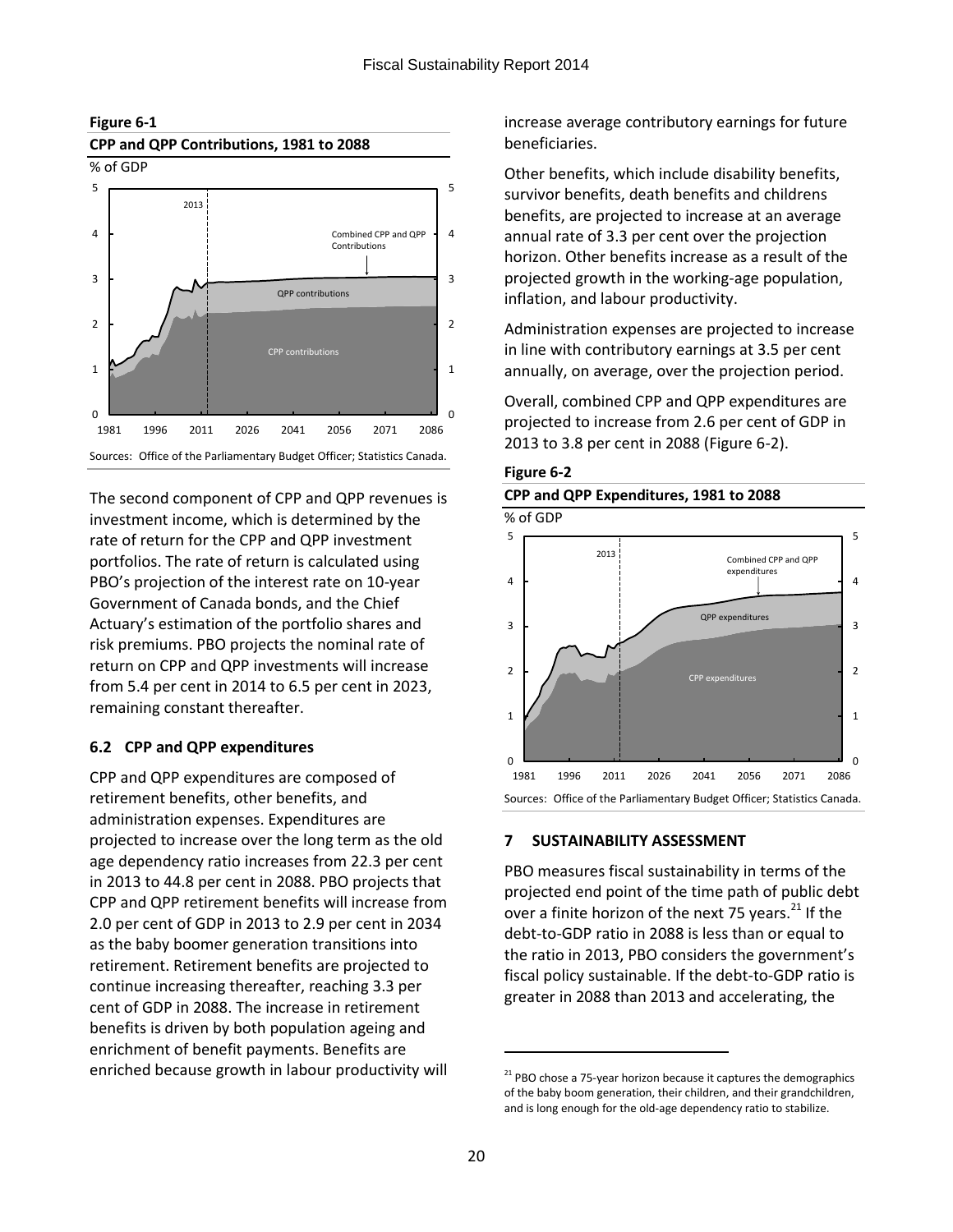

The second component of CPP and QPP revenues is investment income, which is determined by the rate of return for the CPP and QPP investment portfolios. The rate of return is calculated using PBO's projection of the interest rate on 10-year Government of Canada bonds, and the Chief Actuary's estimation of the portfolio shares and risk premiums. PBO projects the nominal rate of return on CPP and QPP investments will increase from 5.4 per cent in 2014 to 6.5 per cent in 2023, remaining constant thereafter.

## <span id="page-22-0"></span>**6.2 CPP and QPP expenditures**

CPP and QPP expenditures are composed of retirement benefits, other benefits, and administration expenses. Expenditures are projected to increase over the long term as the old age dependency ratio increases from 22.3 per cent in 2013 to 44.8 per cent in 2088. PBO projects that CPP and QPP retirement benefits will increase from 2.0 per cent of GDP in 2013 to 2.9 per cent in 2034 as the baby boomer generation transitions into retirement. Retirement benefits are projected to continue increasing thereafter, reaching 3.3 per cent of GDP in 2088. The increase in retirement benefits is driven by both population ageing and enrichment of benefit payments. Benefits are enriched because growth in labour productivity will increase average contributory earnings for future beneficiaries.

Other benefits, which include disability benefits, survivor benefits, death benefits and childrens benefits, are projected to increase at an average annual rate of 3.3 per cent over the projection horizon. Other benefits increase as a result of the projected growth in the working-age population, inflation, and labour productivity.

Administration expenses are projected to increase in line with contributory earnings at 3.5 per cent annually, on average, over the projection period.

Overall, combined CPP and QPP expenditures are projected to increase from 2.6 per cent of GDP in 2013 to 3.8 per cent in 2088 (Figure 6-2).





## <span id="page-22-1"></span>**7 SUSTAINABILITY ASSESSMENT**

PBO measures fiscal sustainability in terms of the projected end point of the time path of public debt over a finite horizon of the next 75 years. $^{21}$  If the debt-to-GDP ratio in 2088 is less than or equal to the ratio in 2013, PBO considers the government's fiscal policy sustainable. If the debt-to-GDP ratio is greater in 2088 than 2013 and accelerating, the

 $\overline{a}$ 

<sup>&</sup>lt;sup>21</sup> PBO chose a 75-year horizon because it captures the demographics of the baby boom generation, their children, and their grandchildren, and is long enough for the old-age dependency ratio to stabilize.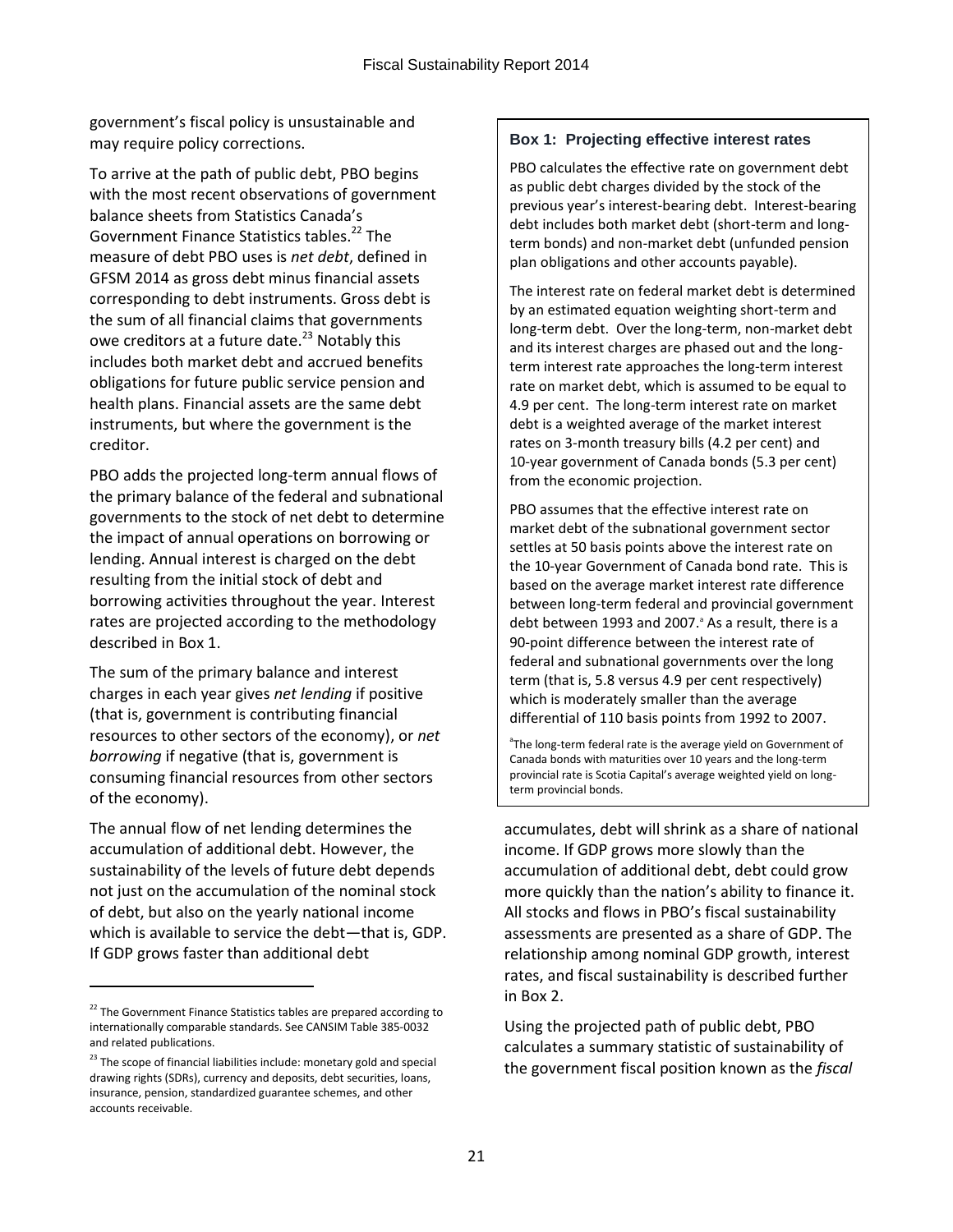government's fiscal policy is unsustainable and may require policy corrections.

To arrive at the path of public debt, PBO begins with the most recent observations of government balance sheets from Statistics Canada's Government Finance Statistics tables. <sup>22</sup> The measure of debt PBO uses is *net debt*, defined in GFSM 2014 as gross debt minus financial assets corresponding to debt instruments. Gross debt is the sum of all financial claims that governments owe creditors at a future date.<sup>23</sup> Notably this includes both market debt and accrued benefits obligations for future public service pension and health plans. Financial assets are the same debt instruments, but where the government is the creditor.

PBO adds the projected long-term annual flows of the primary balance of the federal and subnational governments to the stock of net debt to determine the impact of annual operations on borrowing or lending. Annual interest is charged on the debt resulting from the initial stock of debt and borrowing activities throughout the year. Interest rates are projected according to the methodology described in Box 1.

The sum of the primary balance and interest charges in each year gives *net lending* if positive (that is, government is contributing financial resources to other sectors of the economy), or *net borrowing* if negative (that is, government is consuming financial resources from other sectors of the economy).

The annual flow of net lending determines the accumulation of additional debt. However, the sustainability of the levels of future debt depends not just on the accumulation of the nominal stock of debt, but also on the yearly national income which is available to service the debt—that is, GDP. If GDP grows faster than additional debt

 $\overline{a}$ 

## **Box 1: Projecting effective interest rates**

PBO calculates the effective rate on government debt as public debt charges divided by the stock of the previous year's interest-bearing debt. Interest-bearing debt includes both market debt (short-term and longterm bonds) and non-market debt (unfunded pension plan obligations and other accounts payable).

The interest rate on federal market debt is determined by an estimated equation weighting short-term and long-term debt. Over the long-term, non-market debt and its interest charges are phased out and the longterm interest rate approaches the long-term interest rate on market debt, which is assumed to be equal to 4.9 per cent. The long-term interest rate on market debt is a weighted average of the market interest rates on 3-month treasury bills (4.2 per cent) and 10-year government of Canada bonds (5.3 per cent) from the economic projection.

PBO assumes that the effective interest rate on market debt of the subnational government sector settles at 50 basis points above the interest rate on the 10-year Government of Canada bond rate. This is based on the average market interest rate difference between long-term federal and provincial government debt between 1993 and 2007.<sup>a</sup> As a result, there is a 90-point difference between the interest rate of federal and subnational governments over the long term (that is, 5.8 versus 4.9 per cent respectively) which is moderately smaller than the average differential of 110 basis points from 1992 to 2007.

<sup>a</sup>The long-term federal rate is the average yield on Government of Canada bonds with maturities over 10 years and the long-term provincial rate is Scotia Capital's average weighted yield on longterm provincial bonds.

accumulates, debt will shrink as a share of national income. If GDP grows more slowly than the accumulation of additional debt, debt could grow more quickly than the nation's ability to finance it. All stocks and flows in PBO's fiscal sustainability assessments are presented as a share of GDP. The relationship among nominal GDP growth, interest rates, and fiscal sustainability is described further in Box 2.

Using the projected path of public debt, PBO calculates a summary statistic of sustainability of the government fiscal position known as the *fiscal* 

<sup>&</sup>lt;sup>22</sup> The Government Finance Statistics tables are prepared according to internationally comparable standards. See CANSIM Table 385-0032 and related publications.

 $23$  The scope of financial liabilities include: monetary gold and special drawing rights (SDRs), currency and deposits, debt securities, loans, insurance, pension, standardized guarantee schemes, and other accounts receivable.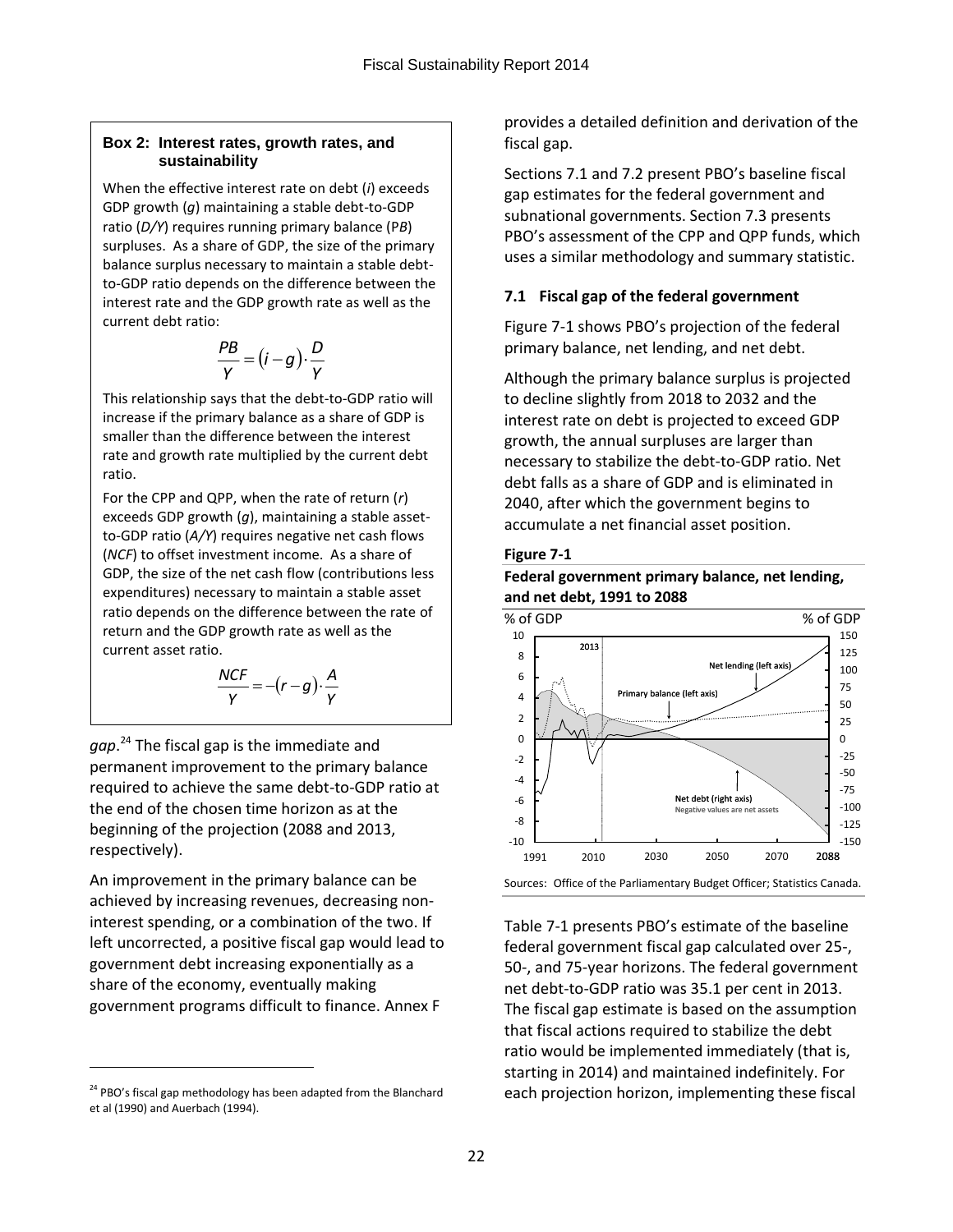#### **Box 2: Interest rates, growth rates, and sustainability**

When the effective interest rate on debt (*i*) exceeds GDP growth (*g*) maintaining a stable debt-to-GDP ratio (*D/Y*) requires running primary balance (P*B*) surpluses. As a share of GDP, the size of the primary balance surplus necessary to maintain a stable debtto-GDP ratio depends on the difference between the interest rate and the GDP growth rate as well as the current debt ratio:

$$
\frac{PB}{Y}=(i-g)\cdot\frac{D}{Y}
$$

This relationship says that the debt-to-GDP ratio will increase if the primary balance as a share of GDP is smaller than the difference between the interest rate and growth rate multiplied by the current debt ratio.

For the CPP and QPP, when the rate of return (*r*) exceeds GDP growth (*g*), maintaining a stable assetto-GDP ratio (*A/Y*) requires negative net cash flows (*NCF*) to offset investment income. As a share of GDP, the size of the net cash flow (contributions less expenditures) necessary to maintain a stable asset ratio depends on the difference between the rate of return and the GDP growth rate as well as the current asset ratio.

$$
\frac{NCF}{Y} = -(r-g)\cdot\frac{A}{Y}
$$

*gap*. <sup>24</sup> The fiscal gap is the immediate and permanent improvement to the primary balance required to achieve the same debt-to-GDP ratio at the end of the chosen time horizon as at the beginning of the projection (2088 and 2013, respectively).

An improvement in the primary balance can be achieved by increasing revenues, decreasing noninterest spending, or a combination of the two. If left uncorrected, a positive fiscal gap would lead to government debt increasing exponentially as a share of the economy, eventually making government programs difficult to finance. Annex F

 $\overline{a}$ 

provides a detailed definition and derivation of the fiscal gap.

Sections 7.1 and 7.2 present PBO's baseline fiscal gap estimates for the federal government and subnational governments. Section 7.3 presents PBO's assessment of the CPP and QPP funds, which uses a similar methodology and summary statistic.

## <span id="page-24-0"></span>**7.1 Fiscal gap of the federal government**

Figure 7-1 shows PBO's projection of the federal primary balance, net lending, and net debt.

Although the primary balance surplus is projected to decline slightly from 2018 to 2032 and the interest rate on debt is projected to exceed GDP growth, the annual surpluses are larger than necessary to stabilize the debt-to-GDP ratio. Net debt falls as a share of GDP and is eliminated in 2040, after which the government begins to accumulate a net financial asset position.

## **Figure 7-1**





Sources: Office of the Parliamentary Budget Officer; Statistics Canada.

Table 7-1 presents PBO's estimate of the baseline federal government fiscal gap calculated over 25-, 50-, and 75-year horizons. The federal government net debt-to-GDP ratio was 35.1 per cent in 2013. The fiscal gap estimate is based on the assumption that fiscal actions required to stabilize the debt ratio would be implemented immediately (that is, starting in 2014) and maintained indefinitely. For each projection horizon, implementing these fiscal

<sup>&</sup>lt;sup>24</sup> PBO's fiscal gap methodology has been adapted from the Blanchard et al (1990) and Auerbach (1994).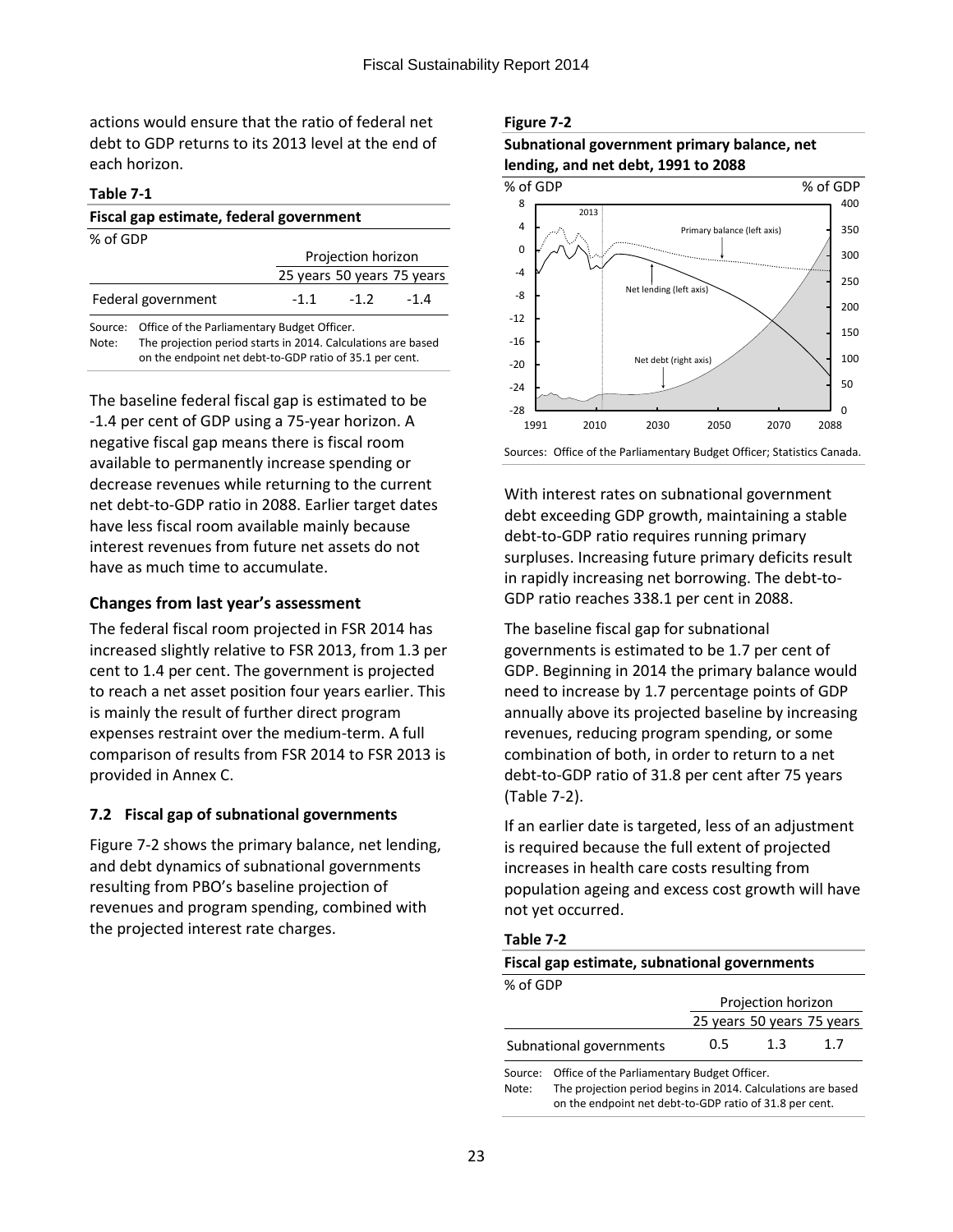actions would ensure that the ratio of federal net debt to GDP returns to its 2013 level at the end of each horizon.

#### **Table 7-1**

| Fiscal gap estimate, federal government                                                                                                                                                    |  |  |  |  |  |  |  |
|--------------------------------------------------------------------------------------------------------------------------------------------------------------------------------------------|--|--|--|--|--|--|--|
| % of GDP                                                                                                                                                                                   |  |  |  |  |  |  |  |
| Projection horizon                                                                                                                                                                         |  |  |  |  |  |  |  |
| 25 years 50 years 75 years                                                                                                                                                                 |  |  |  |  |  |  |  |
| Federal government<br>$-12$<br>$-14$<br>$-1.1$                                                                                                                                             |  |  |  |  |  |  |  |
| Office of the Parliamentary Budget Officer.<br>Source:<br>The projection period starts in 2014. Calculations are based<br>Note:<br>on the endpoint net debt-to-GDP ratio of 35.1 per cent. |  |  |  |  |  |  |  |

The baseline federal fiscal gap is estimated to be -1.4 per cent of GDP using a 75-year horizon. A negative fiscal gap means there is fiscal room available to permanently increase spending or decrease revenues while returning to the current net debt-to-GDP ratio in 2088. Earlier target dates have less fiscal room available mainly because interest revenues from future net assets do not have as much time to accumulate.

#### **Changes from last year's assessment**

The federal fiscal room projected in FSR 2014 has increased slightly relative to FSR 2013, from 1.3 per cent to 1.4 per cent. The government is projected to reach a net asset position four years earlier. This is mainly the result of further direct program expenses restraint over the medium-term. A full comparison of results from FSR 2014 to FSR 2013 is provided in Annex C.

## <span id="page-25-0"></span>**7.2 Fiscal gap of subnational governments**

Figure 7-2 shows the primary balance, net lending, and debt dynamics of subnational governments resulting from PBO's baseline projection of revenues and program spending, combined with the projected interest rate charges.

#### **Figure 7-2**





With interest rates on subnational government debt exceeding GDP growth, maintaining a stable debt-to-GDP ratio requires running primary surpluses. Increasing future primary deficits result in rapidly increasing net borrowing. The debt-to-GDP ratio reaches 338.1 per cent in 2088.

The baseline fiscal gap for subnational governments is estimated to be 1.7 per cent of GDP. Beginning in 2014 the primary balance would need to increase by 1.7 percentage points of GDP annually above its projected baseline by increasing revenues, reducing program spending, or some combination of both, in order to return to a net debt-to-GDP ratio of 31.8 per cent after 75 years (Table 7-2).

If an earlier date is targeted, less of an adjustment is required because the full extent of projected increases in health care costs resulting from population ageing and excess cost growth will have not yet occurred.

#### **Table 7-2**

| Fiscal gap estimate, subnational governments                                                                                 |                         |                    |     |                            |  |  |  |
|------------------------------------------------------------------------------------------------------------------------------|-------------------------|--------------------|-----|----------------------------|--|--|--|
| % of GDP                                                                                                                     |                         |                    |     |                            |  |  |  |
|                                                                                                                              |                         | Projection horizon |     |                            |  |  |  |
|                                                                                                                              |                         |                    |     | 25 years 50 years 75 years |  |  |  |
|                                                                                                                              | Subnational governments | 0.5                | 1.3 | 17                         |  |  |  |
| Source: Office of the Parliamentary Budget Officer.<br>The projection period begins in 2014. Calculations are based<br>Noto: |                         |                    |     |                            |  |  |  |

Note: The projection period begins in 2014. Calculations are based on the endpoint net debt-to-GDP ratio of 31.8 per cent.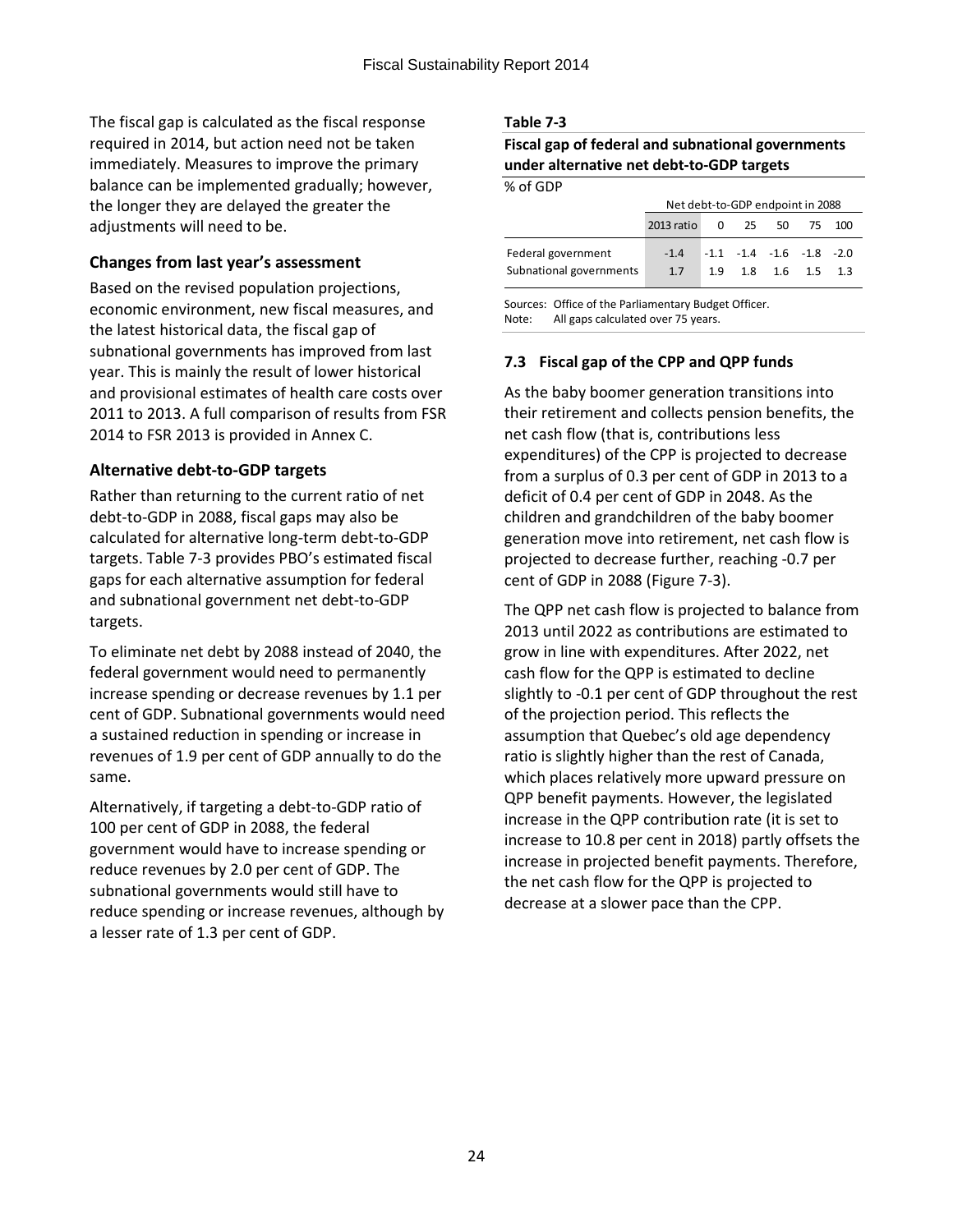The fiscal gap is calculated as the fiscal response required in 2014, but action need not be taken immediately. Measures to improve the primary balance can be implemented gradually; however, the longer they are delayed the greater the adjustments will need to be.

## **Changes from last year's assessment**

Based on the revised population projections, economic environment, new fiscal measures, and the latest historical data, the fiscal gap of subnational governments has improved from last year. This is mainly the result of lower historical and provisional estimates of health care costs over 2011 to 2013. A full comparison of results from FSR 2014 to FSR 2013 is provided in Annex C.

## **Alternative debt-to-GDP targets**

Rather than returning to the current ratio of net debt-to-GDP in 2088, fiscal gaps may also be calculated for alternative long-term debt-to-GDP targets. Table 7-3 provides PBO's estimated fiscal gaps for each alternative assumption for federal and subnational government net debt-to-GDP targets.

To eliminate net debt by 2088 instead of 2040, the federal government would need to permanently increase spending or decrease revenues by 1.1 per cent of GDP. Subnational governments would need a sustained reduction in spending or increase in revenues of 1.9 per cent of GDP annually to do the same.

Alternatively, if targeting a debt-to-GDP ratio of 100 per cent of GDP in 2088, the federal government would have to increase spending or reduce revenues by 2.0 per cent of GDP. The subnational governments would still have to reduce spending or increase revenues, although by a lesser rate of 1.3 per cent of GDP.

#### **Table 7-3**

| Fiscal gap of federal and subnational governments |
|---------------------------------------------------|
| under alternative net debt-to-GDP targets         |

| % of GDP |  |
|----------|--|
|----------|--|

|                                               |               | Net debt-to-GDP endpoint in 2088 |                                                   |  |  |  |
|-----------------------------------------------|---------------|----------------------------------|---------------------------------------------------|--|--|--|
|                                               | 2013 ratio    |                                  | 0 25 50 75 100                                    |  |  |  |
| Federal government<br>Subnational governments | $-1.4$<br>1.7 |                                  | $-1.1 -1.4 -1.6 -1.8 -2.0$<br>1.9 1.8 1.6 1.5 1.3 |  |  |  |

Sources: Office of the Parliamentary Budget Officer. Note: All gaps calculated over 75 years.

## <span id="page-26-0"></span>**7.3 Fiscal gap of the CPP and QPP funds**

As the baby boomer generation transitions into their retirement and collects pension benefits, the net cash flow (that is, contributions less expenditures) of the CPP is projected to decrease from a surplus of 0.3 per cent of GDP in 2013 to a deficit of 0.4 per cent of GDP in 2048. As the children and grandchildren of the baby boomer generation move into retirement, net cash flow is projected to decrease further, reaching -0.7 per cent of GDP in 2088 (Figure 7-3).

The QPP net cash flow is projected to balance from 2013 until 2022 as contributions are estimated to grow in line with expenditures. After 2022, net cash flow for the QPP is estimated to decline slightly to -0.1 per cent of GDP throughout the rest of the projection period. This reflects the assumption that Quebec's old age dependency ratio is slightly higher than the rest of Canada, which places relatively more upward pressure on QPP benefit payments. However, the legislated increase in the QPP contribution rate (it is set to increase to 10.8 per cent in 2018) partly offsets the increase in projected benefit payments. Therefore, the net cash flow for the QPP is projected to decrease at a slower pace than the CPP.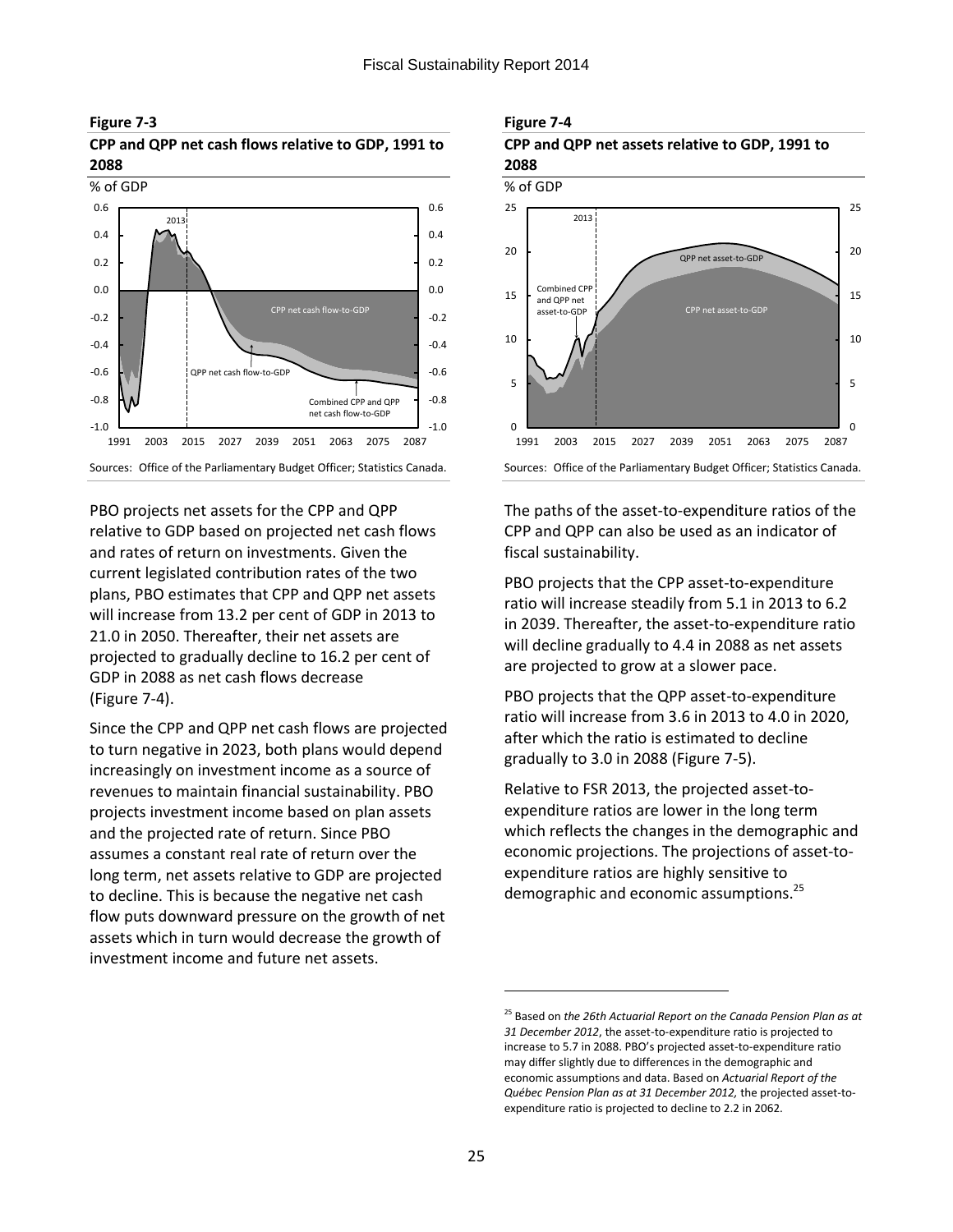#### **Figure 7-3**





PBO projects net assets for the CPP and QPP relative to GDP based on projected net cash flows and rates of return on investments. Given the current legislated contribution rates of the two plans, PBO estimates that CPP and QPP net assets will increase from 13.2 per cent of GDP in 2013 to 21.0 in 2050. Thereafter, their net assets are projected to gradually decline to 16.2 per cent of GDP in 2088 as net cash flows decrease (Figure 7-4).

Since the CPP and QPP net cash flows are projected to turn negative in 2023, both plans would depend increasingly on investment income as a source of revenues to maintain financial sustainability. PBO projects investment income based on plan assets and the projected rate of return. Since PBO assumes a constant real rate of return over the long term, net assets relative to GDP are projected to decline. This is because the negative net cash flow puts downward pressure on the growth of net assets which in turn would decrease the growth of investment income and future net assets.







The paths of the asset-to-expenditure ratios of the CPP and QPP can also be used as an indicator of fiscal sustainability.

PBO projects that the CPP asset-to-expenditure ratio will increase steadily from 5.1 in 2013 to 6.2 in 2039. Thereafter, the asset-to-expenditure ratio will decline gradually to 4.4 in 2088 as net assets are projected to grow at a slower pace.

PBO projects that the QPP asset-to-expenditure ratio will increase from 3.6 in 2013 to 4.0 in 2020, after which the ratio is estimated to decline gradually to 3.0 in 2088 (Figure 7-5).

Relative to FSR 2013, the projected asset-toexpenditure ratios are lower in the long term which reflects the changes in the demographic and economic projections. The projections of asset-toexpenditure ratios are highly sensitive to demographic and economic assumptions.<sup>25</sup>

 $\overline{\phantom{a}}$ 

<sup>25</sup> Based on *the 26th Actuarial Report on the Canada Pension Plan as at 31 December 2012*, the asset-to-expenditure ratio is projected to increase to 5.7 in 2088. PBO's projected asset-to-expenditure ratio may differ slightly due to differences in the demographic and economic assumptions and data. Based on *Actuarial Report of the Québec Pension Plan as at 31 December 2012,* the projected asset-toexpenditure ratio is projected to decline to 2.2 in 2062.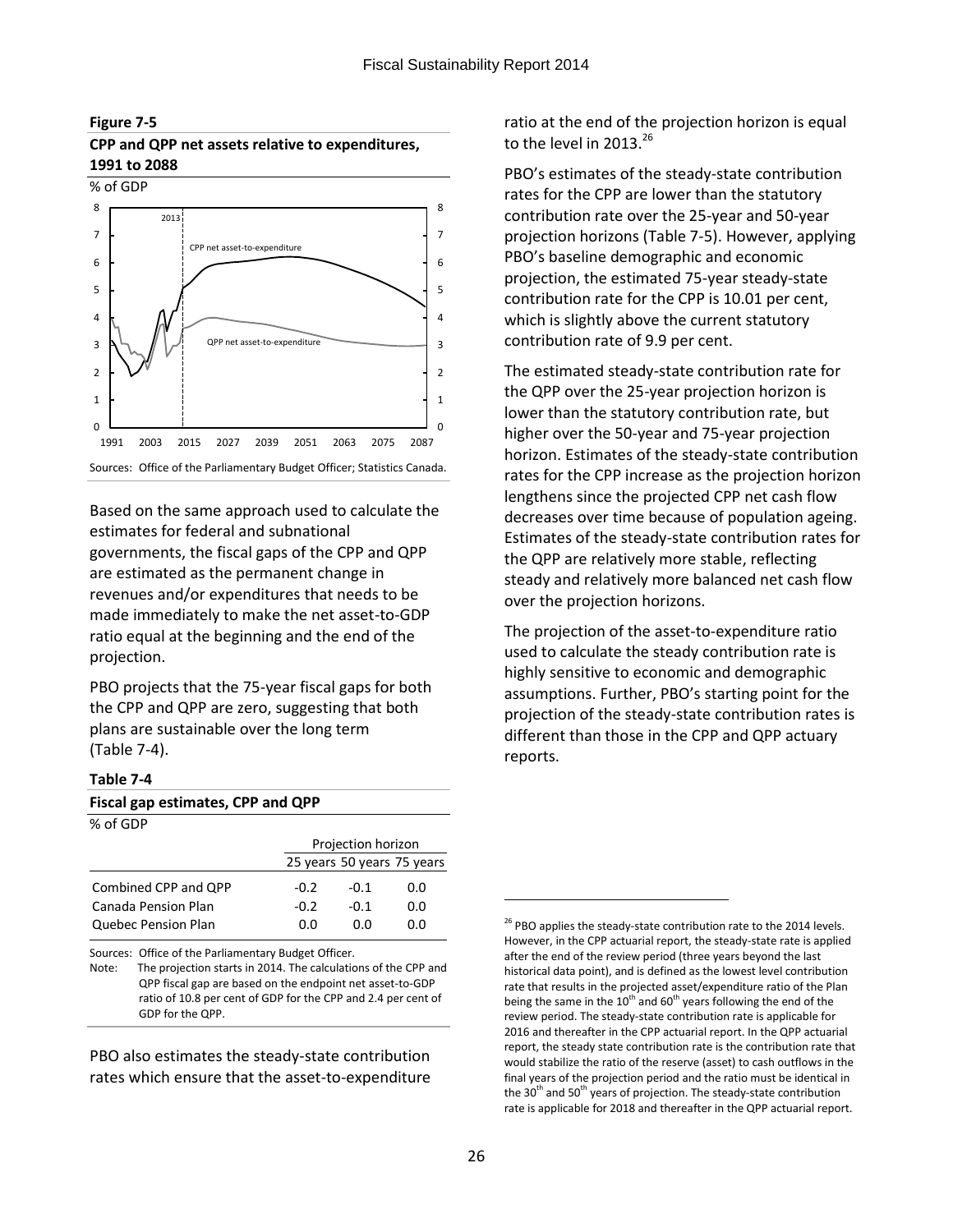





Based on the same approach used to calculate the estimates for federal and subnational governments, the fiscal gaps of the CPP and QPP are estimated as the permanent change in revenues and/or expenditures that needs to be made immediately to make the net asset-to-GDP ratio equal at the beginning and the end of the projection.

PBO projects that the 75-year fiscal gaps for both the CPP and QPP are zero, suggesting that both plans are sustainable over the long term (Table 7-4).

#### **Table 7-4**

| Fiscal gap estimates, CPP and QPP |        |                    |                            |  |  |  |  |
|-----------------------------------|--------|--------------------|----------------------------|--|--|--|--|
| % of GDP                          |        |                    |                            |  |  |  |  |
|                                   |        | Projection horizon |                            |  |  |  |  |
|                                   |        |                    | 25 years 50 years 75 years |  |  |  |  |
| Combined CPP and QPP              | $-0.2$ | $-0.1$             | 0.O                        |  |  |  |  |
| Canada Pension Plan               | $-0.2$ | $-0.1$             | 0.O                        |  |  |  |  |
| Quebec Pension Plan               | 0.0    | 0.0                | 0.O                        |  |  |  |  |

Sources: Office of the Parliamentary Budget Officer.

Note: The projection starts in 2014. The calculations of the CPP and QPP fiscal gap are based on the endpoint net asset-to-GDP ratio of 10.8 per cent of GDP for the CPP and 2.4 per cent of GDP for the QPP.

PBO also estimates the steady-state contribution rates which ensure that the asset-to-expenditure

ratio at the end of the projection horizon is equal to the level in 2013.<sup>26</sup>

PBO's estimates of the steady-state contribution rates for the CPP are lower than the statutory contribution rate over the 25-year and 50-year projection horizons (Table 7-5). However, applying PBO's baseline demographic and economic projection, the estimated 75-year steady-state contribution rate for the CPP is 10.01 per cent, which is slightly above the current statutory contribution rate of 9.9 per cent.

The estimated steady-state contribution rate for the QPP over the 25-year projection horizon is lower than the statutory contribution rate, but higher over the 50-year and 75-year projection horizon. Estimates of the steady-state contribution rates for the CPP increase as the projection horizon lengthens since the projected CPP net cash flow decreases over time because of population ageing. Estimates of the steady-state contribution rates for the QPP are relatively more stable, reflecting steady and relatively more balanced net cash flow over the projection horizons.

The projection of the asset-to-expenditure ratio used to calculate the steady contribution rate is highly sensitive to economic and demographic assumptions. Further, PBO's starting point for the projection of the steady-state contribution rates is different than those in the CPP and QPP actuary reports.

 $\overline{\phantom{a}}$ 

 $26$  PBO applies the steady-state contribution rate to the 2014 levels. However, in the CPP actuarial report, the steady-state rate is applied after the end of the review period (three years beyond the last historical data point), and is defined as the lowest level contribution rate that results in the projected asset/expenditure ratio of the Plan being the same in the  $10^{th}$  and  $60^{th}$  years following the end of the review period. The steady-state contribution rate is applicable for 2016 and thereafter in the CPP actuarial report. In the QPP actuarial report, the steady state contribution rate is the contribution rate that would stabilize the ratio of the reserve (asset) to cash outflows in the final years of the projection period and the ratio must be identical in the  $30<sup>th</sup>$  and  $50<sup>th</sup>$  years of projection. The steady-state contribution rate is applicable for 2018 and thereafter in the QPP actuarial report.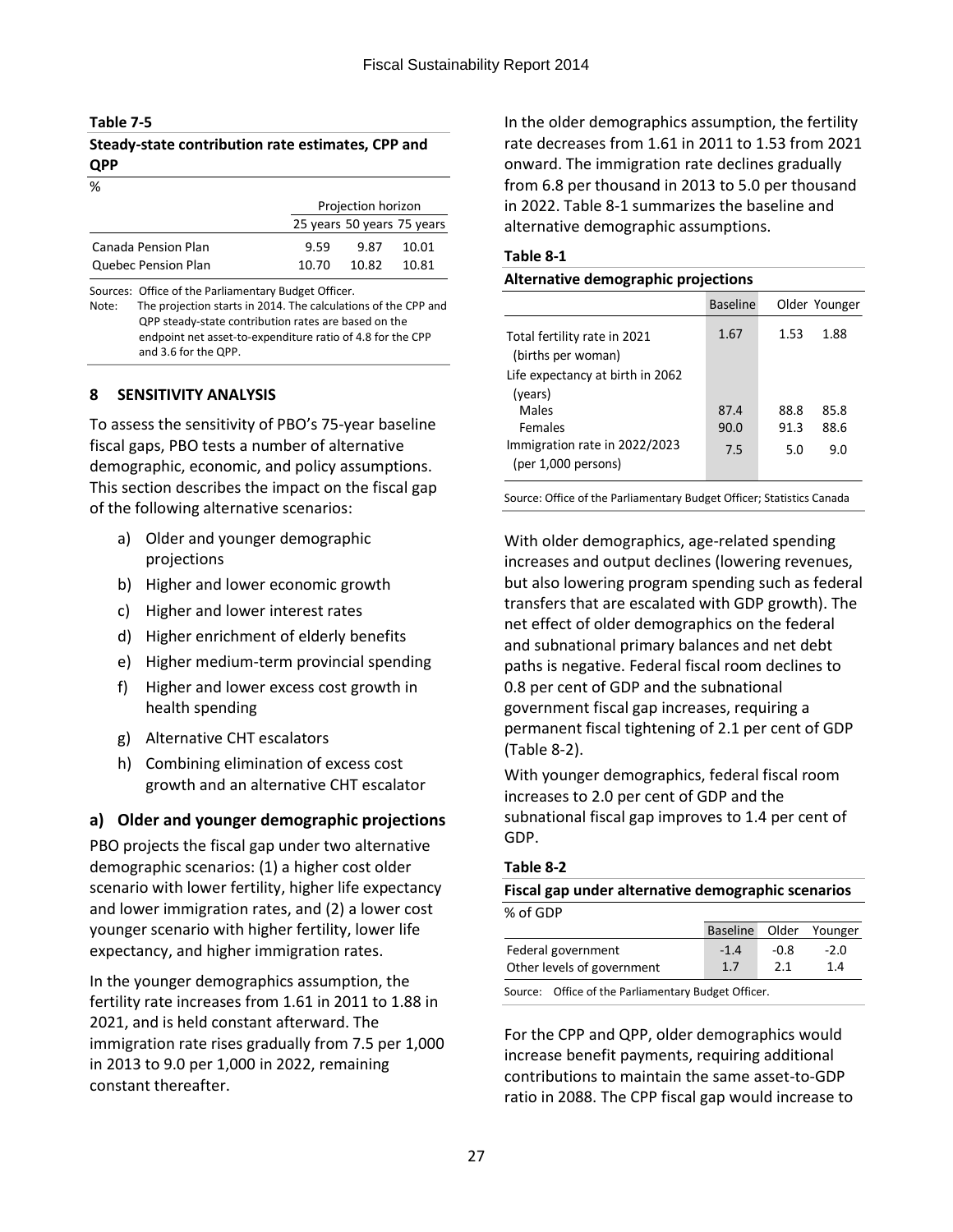## **Table 7-5**

#### **Steady-state contribution rate estimates, CPP and QPP**

| %                   |                            |       |       |
|---------------------|----------------------------|-------|-------|
|                     | Projection horizon         |       |       |
|                     | 25 years 50 years 75 years |       |       |
| Canada Pension Plan | 9.59                       | 9.87  | 10.01 |
| Quebec Pension Plan | 10.70                      | 10.82 | 10.81 |

Sources: Office of the Parliamentary Budget Officer.

Note: The projection starts in 2014. The calculations of the CPP and QPP steady-state contribution rates are based on the endpoint net asset-to-expenditure ratio of 4.8 for the CPP and 3.6 for the QPP.

#### <span id="page-29-0"></span>**8 SENSITIVITY ANALYSIS**

To assess the sensitivity of PBO's 75-year baseline fiscal gaps, PBO tests a number of alternative demographic, economic, and policy assumptions. This section describes the impact on the fiscal gap of the following alternative scenarios:

- a) Older and younger demographic projections
- b) Higher and lower economic growth
- c) Higher and lower interest rates
- d) Higher enrichment of elderly benefits
- e) Higher medium-term provincial spending
- f) Higher and lower excess cost growth in health spending
- g) Alternative CHT escalators
- h) Combining elimination of excess cost growth and an alternative CHT escalator

## **a) Older and younger demographic projections**

PBO projects the fiscal gap under two alternative demographic scenarios: (1) a higher cost older scenario with lower fertility, higher life expectancy and lower immigration rates, and (2) a lower cost younger scenario with higher fertility, lower life expectancy, and higher immigration rates.

In the younger demographics assumption, the fertility rate increases from 1.61 in 2011 to 1.88 in 2021, and is held constant afterward. The immigration rate rises gradually from 7.5 per 1,000 in 2013 to 9.0 per 1,000 in 2022, remaining constant thereafter.

In the older demographics assumption, the fertility rate decreases from 1.61 in 2011 to 1.53 from 2021 onward. The immigration rate declines gradually from 6.8 per thousand in 2013 to 5.0 per thousand in 2022. Table 8-1 summarizes the baseline and alternative demographic assumptions.

#### **Table 8-1**

#### **Alternative demographic projections**

|                                                                                            | <b>Baseline</b>     |                     | Older Younger       |
|--------------------------------------------------------------------------------------------|---------------------|---------------------|---------------------|
| Total fertility rate in 2021<br>(births per woman)<br>Life expectancy at birth in 2062     | 1.67                | 1.53                | 1.88                |
| (years)<br>Males<br><b>Females</b><br>Immigration rate in 2022/2023<br>(per 1,000 persons) | 87.4<br>90.0<br>7.5 | 88.8<br>91.3<br>5.0 | 85.8<br>88.6<br>9.0 |

Source: Office of the Parliamentary Budget Officer; Statistics Canada

With older demographics, age-related spending increases and output declines (lowering revenues, but also lowering program spending such as federal transfers that are escalated with GDP growth). The net effect of older demographics on the federal and subnational primary balances and net debt paths is negative. Federal fiscal room declines to 0.8 per cent of GDP and the subnational government fiscal gap increases, requiring a permanent fiscal tightening of 2.1 per cent of GDP (Table 8-2).

With younger demographics, federal fiscal room increases to 2.0 per cent of GDP and the subnational fiscal gap improves to 1.4 per cent of GDP.

## **Table 8-2**

| Fiscal gap under alternative demographic scenarios |                        |     |     |
|----------------------------------------------------|------------------------|-----|-----|
| % of GDP                                           |                        |     |     |
|                                                    | Baseline Older Younger |     |     |
| Eadaral government                                 |                        | n o | ה ר |

|                            | Baseline Older rounger |        |        |
|----------------------------|------------------------|--------|--------|
| Federal government         | $-1.4$                 | $-0.8$ | $-2.0$ |
| Other levels of government | 1.7                    | 2.1    | 1.4    |
|                            |                        |        |        |

Source: Office of the Parliamentary Budget Officer.

For the CPP and QPP, older demographics would increase benefit payments, requiring additional contributions to maintain the same asset-to-GDP ratio in 2088. The CPP fiscal gap would increase to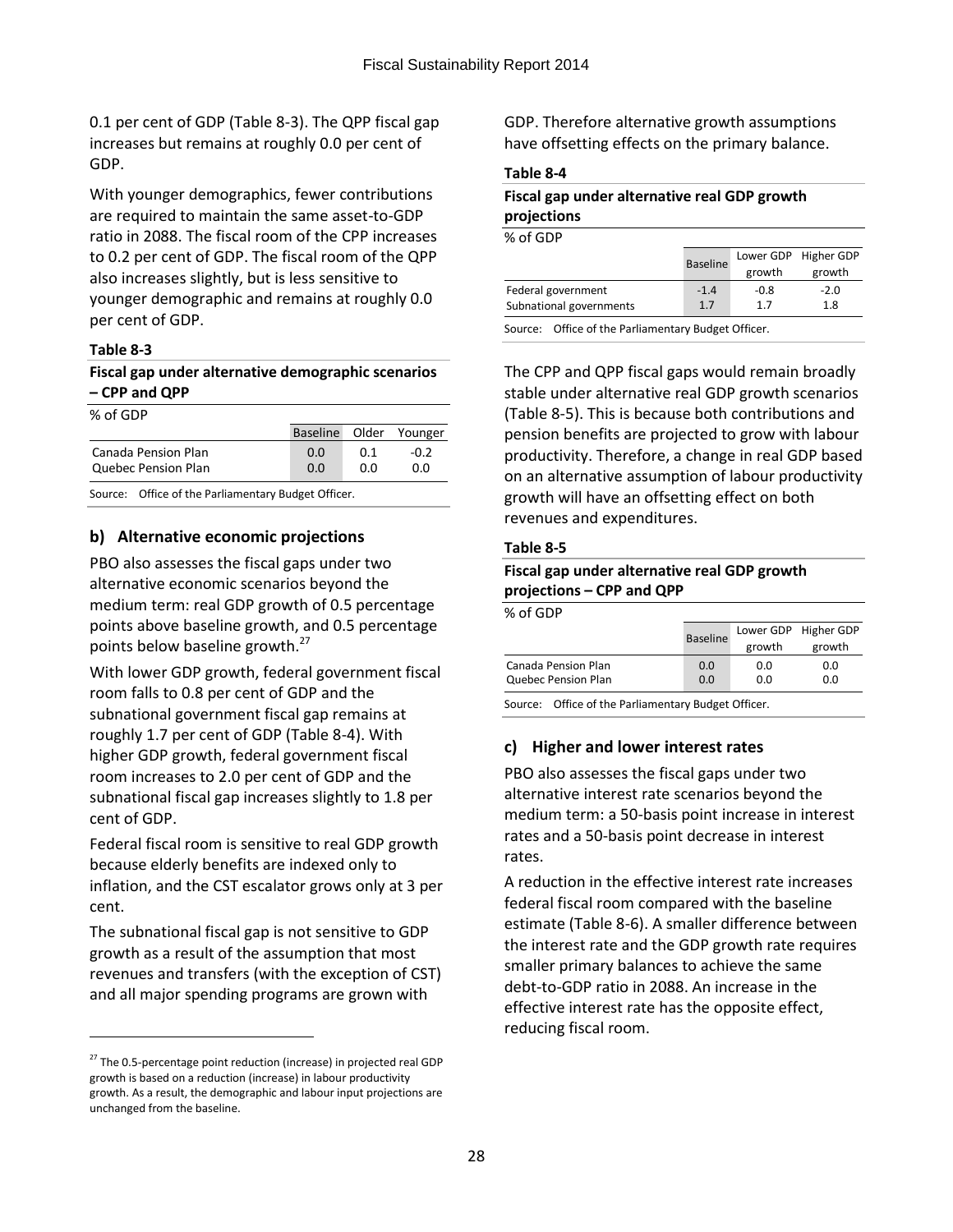0.1 per cent of GDP (Table 8-3). The QPP fiscal gap increases but remains at roughly 0.0 per cent of GDP.

With younger demographics, fewer contributions are required to maintain the same asset-to-GDP ratio in 2088. The fiscal room of the CPP increases to 0.2 per cent of GDP. The fiscal room of the QPP also increases slightly, but is less sensitive to younger demographic and remains at roughly 0.0 per cent of GDP.

## **Table 8-3**

 $\overline{a}$ 

**Fiscal gap under alternative demographic scenarios – CPP and QPP**

| % of GDP            |                        |     |      |
|---------------------|------------------------|-----|------|
|                     | Baseline Older Younger |     |      |
| Canada Pension Plan | 0.0                    | 0.1 | -0.2 |
| Quebec Pension Plan | 0.0                    | 0.O | 0.O  |
|                     |                        |     |      |

Source: Office of the Parliamentary Budget Officer.

## **b) Alternative economic projections**

PBO also assesses the fiscal gaps under two alternative economic scenarios beyond the medium term: real GDP growth of 0.5 percentage points above baseline growth, and 0.5 percentage points below baseline growth.<sup>27</sup>

With lower GDP growth, federal government fiscal room falls to 0.8 per cent of GDP and the subnational government fiscal gap remains at roughly 1.7 per cent of GDP (Table 8-4). With higher GDP growth, federal government fiscal room increases to 2.0 per cent of GDP and the subnational fiscal gap increases slightly to 1.8 per cent of GDP.

Federal fiscal room is sensitive to real GDP growth because elderly benefits are indexed only to inflation, and the CST escalator grows only at 3 per cent.

The subnational fiscal gap is not sensitive to GDP growth as a result of the assumption that most revenues and transfers (with the exception of CST) and all major spending programs are grown with

GDP. Therefore alternative growth assumptions have offsetting effects on the primary balance.

#### **Table 8-4**

| Fiscal gap under alternative real GDP growth |
|----------------------------------------------|
| projections                                  |

| % of GDP                                                        |                 |        |                      |  |
|-----------------------------------------------------------------|-----------------|--------|----------------------|--|
|                                                                 | <b>Baseline</b> |        | Lower GDP Higher GDP |  |
|                                                                 |                 | growth | growth               |  |
| Federal government                                              | $-1.4$          | $-0.8$ | $-2.0$               |  |
| Subnational governments                                         | 1.7             | 1.7    | 1.8                  |  |
| $\alpha$ fft and full and the second and decomposition $\alpha$ |                 |        |                      |  |

Source: Office of the Parliamentary Budget Officer.

The CPP and QPP fiscal gaps would remain broadly stable under alternative real GDP growth scenarios (Table 8-5). This is because both contributions and pension benefits are projected to grow with labour productivity. Therefore, a change in real GDP based on an alternative assumption of labour productivity growth will have an offsetting effect on both revenues and expenditures.

#### **Table 8-5**

## **Fiscal gap under alternative real GDP growth projections – CPP and QPP**

#### % of GDP

|                     | <b>Baseline</b> |        | Lower GDP Higher GDP |
|---------------------|-----------------|--------|----------------------|
|                     |                 | growth | growth               |
| Canada Pension Plan | 0.0             | 0.0    | 0.0                  |
| Quebec Pension Plan | 0.0             | 0.0    | 0.0                  |

Source: Office of the Parliamentary Budget Officer.

## **c) Higher and lower interest rates**

PBO also assesses the fiscal gaps under two alternative interest rate scenarios beyond the medium term: a 50-basis point increase in interest rates and a 50-basis point decrease in interest rates.

A reduction in the effective interest rate increases federal fiscal room compared with the baseline estimate (Table 8-6). A smaller difference between the interest rate and the GDP growth rate requires smaller primary balances to achieve the same debt-to-GDP ratio in 2088. An increase in the effective interest rate has the opposite effect, reducing fiscal room.

<sup>&</sup>lt;sup>27</sup> The 0.5-percentage point reduction (increase) in projected real GDP growth is based on a reduction (increase) in labour productivity growth. As a result, the demographic and labour input projections are unchanged from the baseline.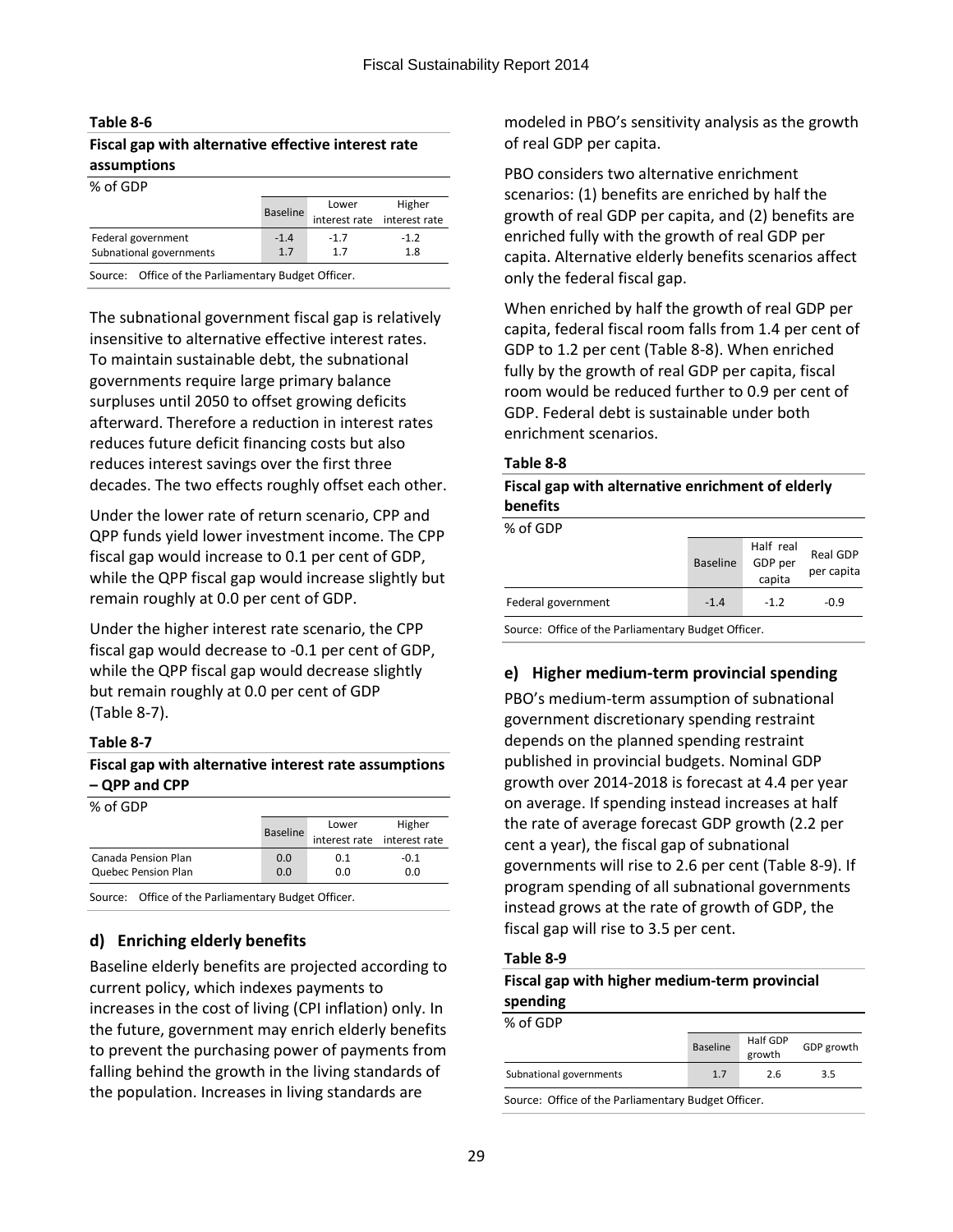#### **Table 8-6**

#### **Fiscal gap with alternative effective interest rate assumptions**

| % of GDP                                           |                 |        |                             |  |
|----------------------------------------------------|-----------------|--------|-----------------------------|--|
|                                                    | <b>Baseline</b> | Lower  | Higher                      |  |
|                                                    |                 |        | interest rate interest rate |  |
| Federal government                                 | $-1.4$          | $-1.7$ | $-1.2$                      |  |
| Subnational governments                            | 1.7             | 1.7    | 1.8                         |  |
| Source: Office of the Parliamentary Budget Officer |                 |        |                             |  |

Source: Office of the Parliamentary Budget Officer.

The subnational government fiscal gap is relatively insensitive to alternative effective interest rates. To maintain sustainable debt, the subnational governments require large primary balance surpluses until 2050 to offset growing deficits afterward. Therefore a reduction in interest rates reduces future deficit financing costs but also reduces interest savings over the first three decades. The two effects roughly offset each other.

Under the lower rate of return scenario, CPP and QPP funds yield lower investment income. The CPP fiscal gap would increase to 0.1 per cent of GDP, while the QPP fiscal gap would increase slightly but remain roughly at 0.0 per cent of GDP.

Under the higher interest rate scenario, the CPP fiscal gap would decrease to -0.1 per cent of GDP, while the QPP fiscal gap would decrease slightly but remain roughly at 0.0 per cent of GDP (Table 8-7).

#### **Table 8-7**

**Fiscal gap with alternative interest rate assumptions – QPP and CPP**

| % of GDP |            |
|----------|------------|
|          | <b>Bas</b> |

|                     | <b>Baseline</b> | Lower | Higher                      |
|---------------------|-----------------|-------|-----------------------------|
|                     |                 |       | interest rate interest rate |
| Canada Pension Plan | 0.0             | 0.1   | $-0.1$                      |
| Quebec Pension Plan | 0.0             | 0.0   | 0.0                         |
|                     |                 |       |                             |

Source: Office of the Parliamentary Budget Officer.

## **d) Enriching elderly benefits**

Baseline elderly benefits are projected according to current policy, which indexes payments to increases in the cost of living (CPI inflation) only. In the future, government may enrich elderly benefits to prevent the purchasing power of payments from falling behind the growth in the living standards of the population. Increases in living standards are

modeled in PBO's sensitivity analysis as the growth of real GDP per capita.

PBO considers two alternative enrichment scenarios: (1) benefits are enriched by half the growth of real GDP per capita, and (2) benefits are enriched fully with the growth of real GDP per capita. Alternative elderly benefits scenarios affect only the federal fiscal gap.

When enriched by half the growth of real GDP per capita, federal fiscal room falls from 1.4 per cent of GDP to 1.2 per cent (Table 8-8). When enriched fully by the growth of real GDP per capita, fiscal room would be reduced further to 0.9 per cent of GDP. Federal debt is sustainable under both enrichment scenarios.

#### **Table 8-8**

## **Fiscal gap with alternative enrichment of elderly benefits**

| % of GDP           |                 |                      |            |
|--------------------|-----------------|----------------------|------------|
|                    | <b>Baseline</b> | Half real<br>GDP per | Real GDP   |
|                    |                 | capita               | per capita |
| Federal government | $-1.4$          | $-1.2$               | $-0.9$     |
|                    |                 |                      |            |

Source: Office of the Parliamentary Budget Officer.

## **e) Higher medium-term provincial spending**

PBO's medium-term assumption of subnational government discretionary spending restraint depends on the planned spending restraint published in provincial budgets. Nominal GDP growth over 2014-2018 is forecast at 4.4 per year on average. If spending instead increases at half the rate of average forecast GDP growth (2.2 per cent a year), the fiscal gap of subnational governments will rise to 2.6 per cent (Table 8-9). If program spending of all subnational governments instead grows at the rate of growth of GDP, the fiscal gap will rise to 3.5 per cent.

## **Table 8-9**

## **Fiscal gap with higher medium-term provincial spending**

#### % of GDP

|                         | <b>Baseline</b> | <b>Half GDP</b><br>growth | GDP growth |
|-------------------------|-----------------|---------------------------|------------|
| Subnational governments | 1.7             | 2.6                       | 3.5        |

Source: Office of the Parliamentary Budget Officer.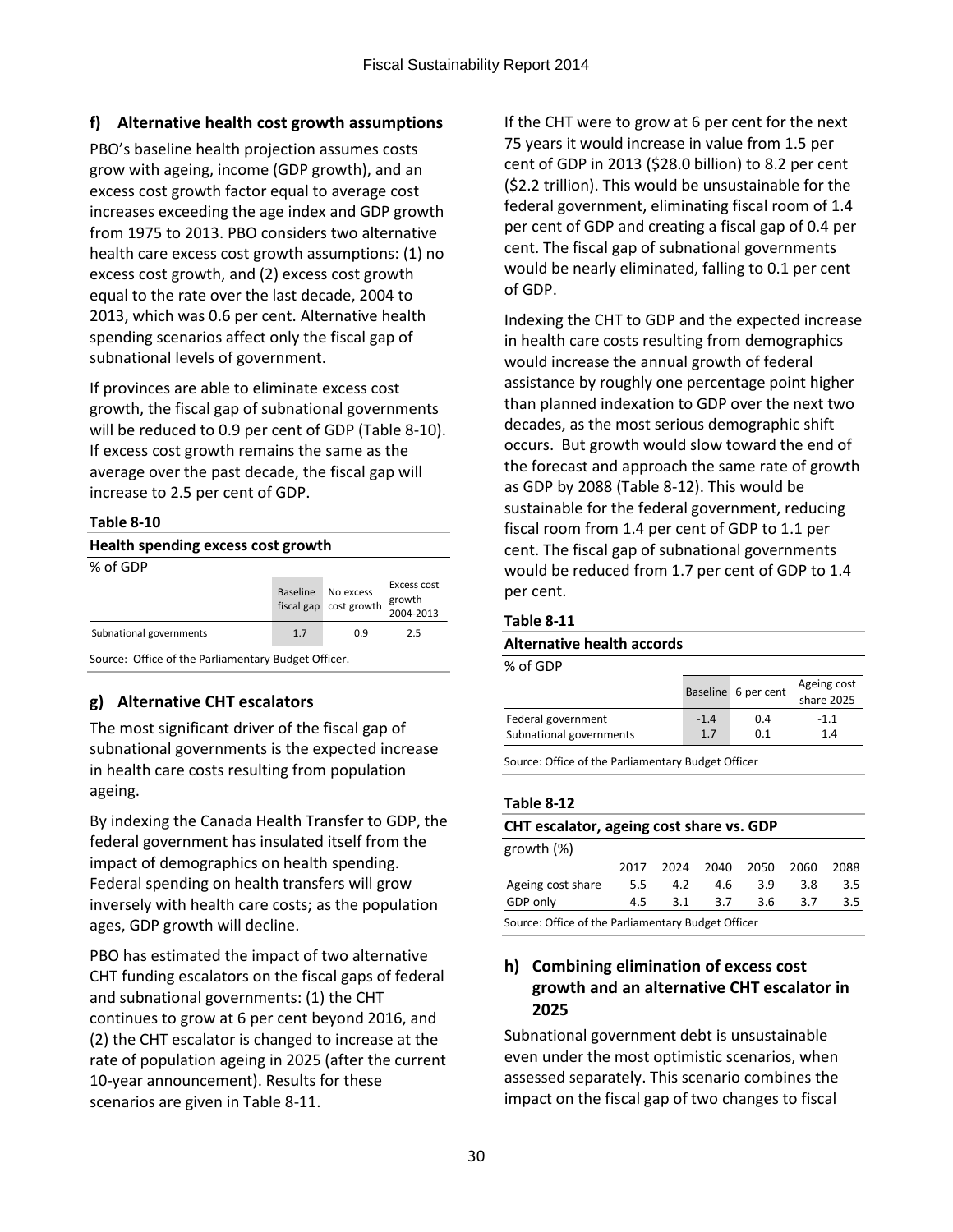## **f) Alternative health cost growth assumptions**

PBO's baseline health projection assumes costs grow with ageing, income (GDP growth), and an excess cost growth factor equal to average cost increases exceeding the age index and GDP growth from 1975 to 2013. PBO considers two alternative health care excess cost growth assumptions: (1) no excess cost growth, and (2) excess cost growth equal to the rate over the last decade, 2004 to 2013, which was 0.6 per cent. Alternative health spending scenarios affect only the fiscal gap of subnational levels of government.

If provinces are able to eliminate excess cost growth, the fiscal gap of subnational governments will be reduced to 0.9 per cent of GDP (Table 8-10). If excess cost growth remains the same as the average over the past decade, the fiscal gap will increase to 2.5 per cent of GDP.

#### **Table 8-10**

| Health spending excess cost growth |                 |                                     |                                    |  |  |
|------------------------------------|-----------------|-------------------------------------|------------------------------------|--|--|
| % of GDP                           |                 |                                     |                                    |  |  |
|                                    | <b>Baseline</b> | No excess<br>fiscal gap cost growth | Excess cost<br>growth<br>2004-2013 |  |  |
| Subnational governments            | 1.7             | 0.9                                 | 2.5                                |  |  |

Source: Office of the Parliamentary Budget Officer.

## **g) Alternative CHT escalators**

The most significant driver of the fiscal gap of subnational governments is the expected increase in health care costs resulting from population ageing.

By indexing the Canada Health Transfer to GDP, the federal government has insulated itself from the impact of demographics on health spending. Federal spending on health transfers will grow inversely with health care costs; as the population ages, GDP growth will decline.

PBO has estimated the impact of two alternative CHT funding escalators on the fiscal gaps of federal and subnational governments: (1) the CHT continues to grow at 6 per cent beyond 2016, and (2) the CHT escalator is changed to increase at the rate of population ageing in 2025 (after the current 10-year announcement). Results for these scenarios are given in Table 8-11.

If the CHT were to grow at 6 per cent for the next 75 years it would increase in value from 1.5 per cent of GDP in 2013 (\$28.0 billion) to 8.2 per cent (\$2.2 trillion). This would be unsustainable for the federal government, eliminating fiscal room of 1.4 per cent of GDP and creating a fiscal gap of 0.4 per cent. The fiscal gap of subnational governments would be nearly eliminated, falling to 0.1 per cent of GDP.

Indexing the CHT to GDP and the expected increase in health care costs resulting from demographics would increase the annual growth of federal assistance by roughly one percentage point higher than planned indexation to GDP over the next two decades, as the most serious demographic shift occurs. But growth would slow toward the end of the forecast and approach the same rate of growth as GDP by 2088 (Table 8-12). This would be sustainable for the federal government, reducing fiscal room from 1.4 per cent of GDP to 1.1 per cent. The fiscal gap of subnational governments would be reduced from 1.7 per cent of GDP to 1.4 per cent.

#### **Table 8-11**

#### **Alternative health accords**

| % of GDP                |        |                     |                          |  |
|-------------------------|--------|---------------------|--------------------------|--|
|                         |        | Baseline 6 per cent | Ageing cost              |  |
|                         |        |                     | $\frac{1}{2}$ share 2025 |  |
| Federal government      | $-1.4$ | 0.4                 | $-1.1$                   |  |
| Subnational governments | 1.7    | 0.1                 | 1.4                      |  |

Source: Office of the Parliamentary Budget Officer

## **Table 8-12**

| CHT escalator, ageing cost share vs. GDP           |      |      |      |      |      |      |
|----------------------------------------------------|------|------|------|------|------|------|
| growth $(%)$                                       |      |      |      |      |      |      |
|                                                    | 2017 | 2024 | 2040 | 2050 | 2060 | 2088 |
| Ageing cost share                                  | 5.5  | 4.2  | 4.6  | 3.9  | 3.8  | 3.5  |
| GDP only                                           | 4.5  | 3.1  | 3.7  | 3.6  | 3.7  | 3.5  |
| Source: Office of the Parliamentary Budget Officer |      |      |      |      |      |      |

Source: Office of the Parliamentary Budget Officer

## **h) Combining elimination of excess cost growth and an alternative CHT escalator in 2025**

Subnational government debt is unsustainable even under the most optimistic scenarios, when assessed separately. This scenario combines the impact on the fiscal gap of two changes to fiscal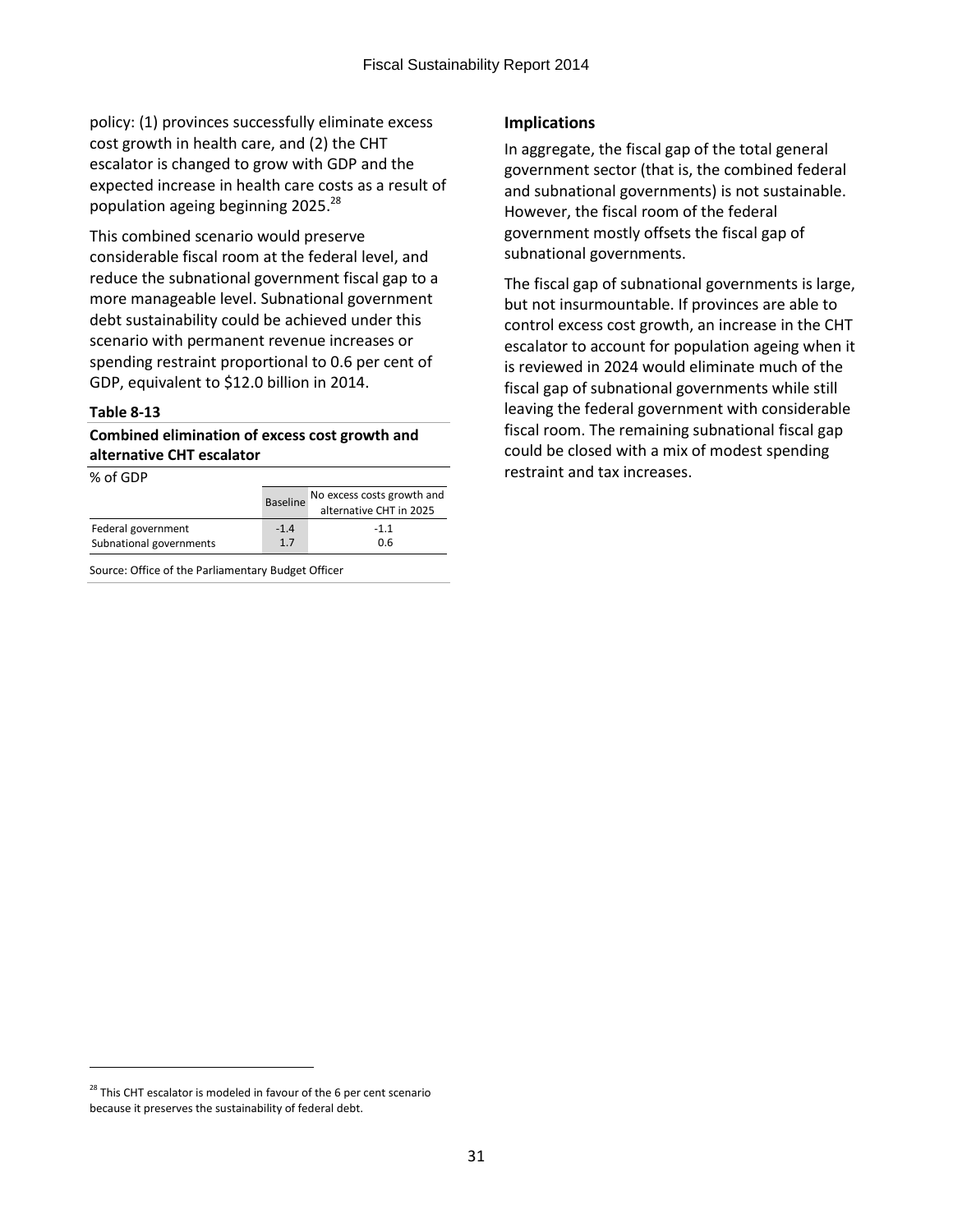policy: (1) provinces successfully eliminate excess cost growth in health care, and (2) the CHT escalator is changed to grow with GDP and the expected increase in health care costs as a result of population ageing beginning 2025.<sup>28</sup>

This combined scenario would preserve considerable fiscal room at the federal level, and reduce the subnational government fiscal gap to a more manageable level. Subnational government debt sustainability could be achieved under this scenario with permanent revenue increases or spending restraint proportional to 0.6 per cent of GDP, equivalent to \$12.0 billion in 2014.

## **Table 8-13**

## **Combined elimination of excess cost growth and alternative CHT escalator**

% of GDP

 $\overline{a}$ 

|                         | <b>Baseline</b> | No excess costs growth and<br>alternative CHT in 2025 |  |  |
|-------------------------|-----------------|-------------------------------------------------------|--|--|
| Federal government      | $-1.4$          | $-1.1$                                                |  |  |
| Subnational governments | 1.7             | 0.6                                                   |  |  |

Source: Office of the Parliamentary Budget Officer

## **Implications**

In aggregate, the fiscal gap of the total general government sector (that is, the combined federal and subnational governments) is not sustainable. However, the fiscal room of the federal government mostly offsets the fiscal gap of subnational governments.

The fiscal gap of subnational governments is large, but not insurmountable. If provinces are able to control excess cost growth, an increase in the CHT escalator to account for population ageing when it is reviewed in 2024 would eliminate much of the fiscal gap of subnational governments while still leaving the federal government with considerable fiscal room. The remaining subnational fiscal gap could be closed with a mix of modest spending restraint and tax increases.

<sup>&</sup>lt;sup>28</sup> This CHT escalator is modeled in favour of the 6 per cent scenario because it preserves the sustainability of federal debt.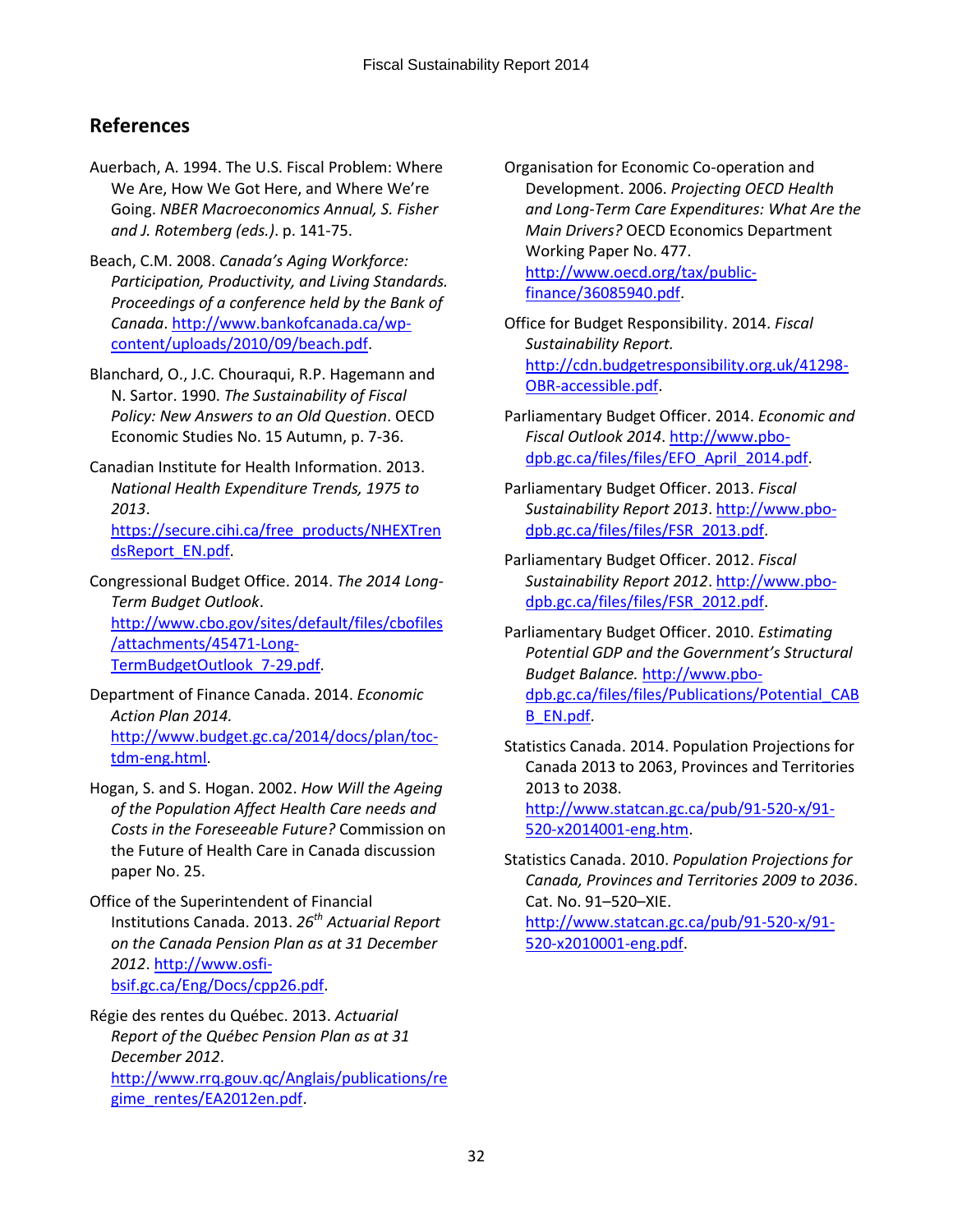## <span id="page-34-0"></span>**References**

- Auerbach, A. 1994. The U.S. Fiscal Problem: Where We Are, How We Got Here, and Where We're Going. *NBER Macroeconomics Annual, S. Fisher and J. Rotemberg (eds.)*. p. 141-75.
- Beach, C.M. 2008. *Canada's Aging Workforce: Participation, Productivity, and Living Standards. Proceedings of a conference held by the Bank of Canada*[. http://www.bankofcanada.ca/wp](http://www.bankofcanada.ca/wp-content/uploads/2010/09/beach.pdf)[content/uploads/2010/09/beach.pdf.](http://www.bankofcanada.ca/wp-content/uploads/2010/09/beach.pdf)
- Blanchard, O., J.C. Chouraqui, R.P. Hagemann and N. Sartor. 1990. *The Sustainability of Fiscal Policy: New Answers to an Old Question*. OECD Economic Studies No. 15 Autumn, p. 7-36.
- Canadian Institute for Health Information. 2013. *National Health Expenditure Trends, 1975 to 2013*. [https://secure.cihi.ca/free\\_products/NHEXTren](https://secure.cihi.ca/free_products/NHEXTrendsReport_EN.pdf)

[dsReport\\_EN.pdf.](https://secure.cihi.ca/free_products/NHEXTrendsReport_EN.pdf) Congressional Budget Office. 2014. *The 2014 Long-Term Budget Outlook*. [http://www.cbo.gov/sites/default/files/cbofiles](http://www.cbo.gov/sites/default/files/cbofiles/attachments/45471-Long-TermBudgetOutlook_7-29.pdf) [/attachments/45471-Long-](http://www.cbo.gov/sites/default/files/cbofiles/attachments/45471-Long-TermBudgetOutlook_7-29.pdf)

TermBudgetOutlook 7-29.pdf.

- Department of Finance Canada. 2014. *Economic Action Plan 2014.*  [http://www.budget.gc.ca/2014/docs/plan/toc](http://www.budget.gc.ca/2014/docs/plan/toc-tdm-eng.html)[tdm-eng.html.](http://www.budget.gc.ca/2014/docs/plan/toc-tdm-eng.html)
- Hogan, S. and S. Hogan. 2002. *How Will the Ageing of the Population Affect Health Care needs and Costs in the Foreseeable Future?* Commission on the Future of Health Care in Canada discussion paper No. 25.

Office of the Superintendent of Financial Institutions Canada. 2013. *26 th Actuarial Report on the Canada Pension Plan as at 31 December 2012*. [http://www.osfi](http://www.osfi-bsif.gc.ca/Eng/Docs/cpp26.pdf)[bsif.gc.ca/Eng/Docs/cpp26.pdf.](http://www.osfi-bsif.gc.ca/Eng/Docs/cpp26.pdf)

Régie des rentes du Québec. 2013. *Actuarial Report of the Québec Pension Plan as at 31 December 2012*. [http://www.rrq.gouv.qc/Anglais/publications/re](http://www.rrq.gouv.qc/Anglais/publications/regime_rentes/EA2012en.pdf) [gime\\_rentes/EA2012en.pdf.](http://www.rrq.gouv.qc/Anglais/publications/regime_rentes/EA2012en.pdf)

Organisation for Economic Co-operation and Development. 2006. *Projecting OECD Health and Long-Term Care Expenditures: What Are the Main Drivers?* OECD Economics Department Working Paper No. 477. [http://www.oecd.org/tax/public](http://www.oecd.org/tax/public-finance/36085940.pdf)[finance/36085940.pdf.](http://www.oecd.org/tax/public-finance/36085940.pdf)

- Office for Budget Responsibility. 2014. *Fiscal Sustainability Report.* [http://cdn.budgetresponsibility.org.uk/41298-](http://cdn.budgetresponsibility.org.uk/41298-OBR-accessible.pdf) [OBR-accessible.pdf.](http://cdn.budgetresponsibility.org.uk/41298-OBR-accessible.pdf)
- Parliamentary Budget Officer. 2014. *Economic and Fiscal Outlook 2014*. [http://www.pbo](http://www.pbo-dpb.gc.ca/files/files/EFO_April_2014.pdf)[dpb.gc.ca/files/files/EFO\\_April\\_2014.pdf.](http://www.pbo-dpb.gc.ca/files/files/EFO_April_2014.pdf)
- Parliamentary Budget Officer. 2013. *Fiscal Sustainability Report 2013*. [http://www.pbo](http://www.pbo-dpb.gc.ca/files/files/FSR_2013.pdf)[dpb.gc.ca/files/files/FSR\\_2013.pdf.](http://www.pbo-dpb.gc.ca/files/files/FSR_2013.pdf)
- Parliamentary Budget Officer. 2012. *Fiscal Sustainability Report 2012*. [http://www.pbo](http://www.pbo-dpb.gc.ca/files/files/FSR_2012.pdf)[dpb.gc.ca/files/files/FSR\\_2012.pdf.](http://www.pbo-dpb.gc.ca/files/files/FSR_2012.pdf)
- Parliamentary Budget Officer. 2010. *Estimating Potential GDP and the Government's Structural Budget Balance.* [http://www.pbo](http://www.pbo-dpb.gc.ca/files/files/Publications/Potential_CABB_EN.pdf)[dpb.gc.ca/files/files/Publications/Potential\\_CAB](http://www.pbo-dpb.gc.ca/files/files/Publications/Potential_CABB_EN.pdf) [B\\_EN.pdf.](http://www.pbo-dpb.gc.ca/files/files/Publications/Potential_CABB_EN.pdf)
- Statistics Canada. 2014. Population Projections for Canada 2013 to 2063, Provinces and Territories 2013 t[o 2038.](2038.%20http:/www.statcan.gc.ca/pub/91-520-x/91-520-x2014001-eng.htm) [http://www.statcan.gc.ca/pub/91-520-x/91-](2038.%20http:/www.statcan.gc.ca/pub/91-520-x/91-520-x2014001-eng.htm)

[520-x2014001-eng.htm.](2038.%20http:/www.statcan.gc.ca/pub/91-520-x/91-520-x2014001-eng.htm)

Statistics Canada. 2010. *Population Projections for Canada, Provinces and Territories 2009 to 2036*. Cat. No. 91–520–XIE. [http://www.statcan.gc.ca/pub/91-520-x/91-](http://www.statcan.gc.ca/pub/91-520-x/91-520-x2010001-eng.pdf) [520-x2010001-eng.pdf.](http://www.statcan.gc.ca/pub/91-520-x/91-520-x2010001-eng.pdf)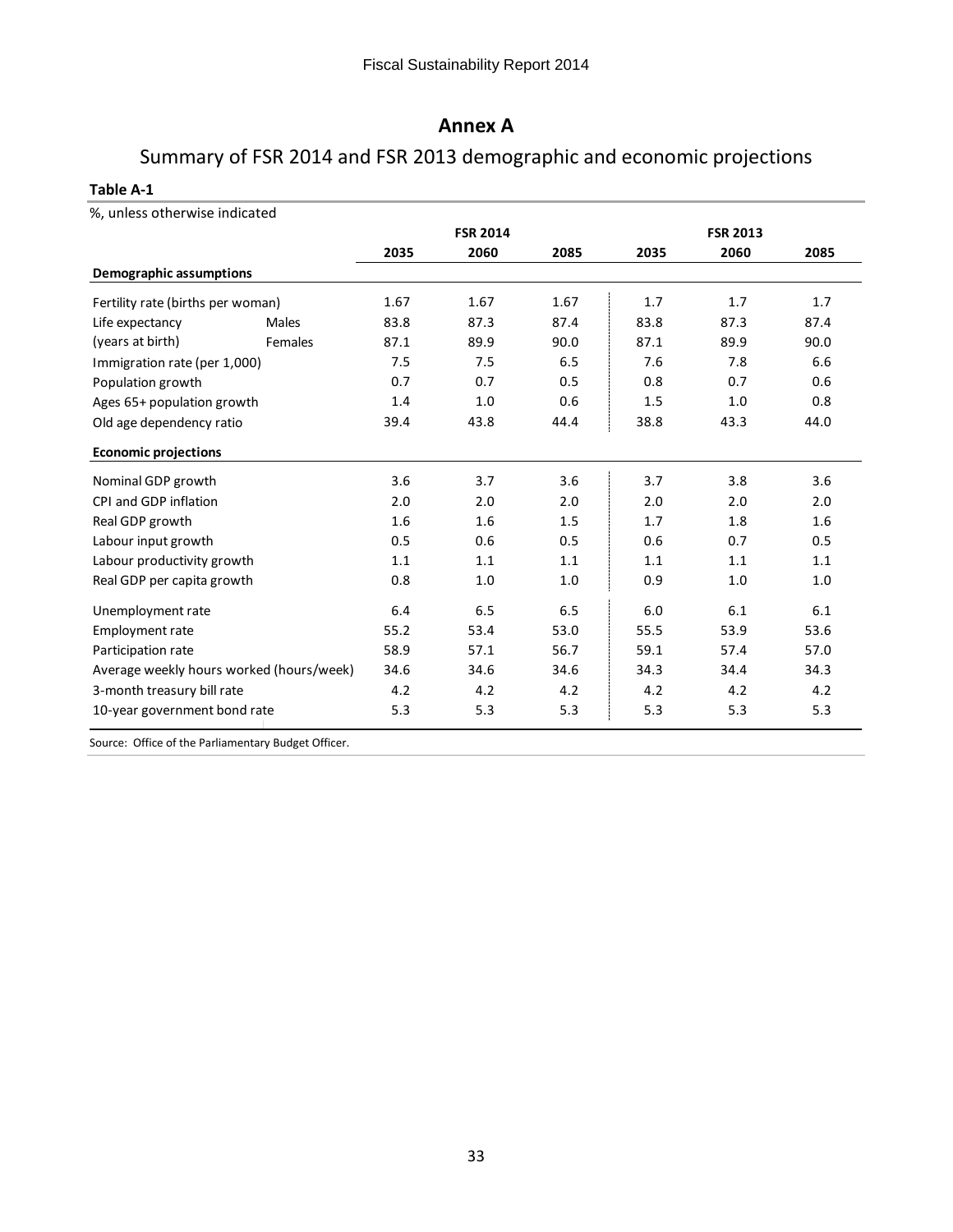## **Annex A**

## <span id="page-35-0"></span>Summary of FSR 2014 and FSR 2013 demographic and economic projections

## **Table A-1**

|                                          |                 | <b>FSR 2014</b> |      |      | <b>FSR 2013</b> |      |  |
|------------------------------------------|-----------------|-----------------|------|------|-----------------|------|--|
|                                          | 2035            | 2060            | 2085 | 2035 | 2060            | 2085 |  |
| Demographic assumptions                  |                 |                 |      |      |                 |      |  |
| Fertility rate (births per woman)        | 1.67            | 1.67            | 1.67 | 1.7  | 1.7             | 1.7  |  |
| Life expectancy<br>Males                 | 83.8            | 87.3            | 87.4 | 83.8 | 87.3            | 87.4 |  |
| (years at birth)                         | Females<br>87.1 | 89.9            | 90.0 | 87.1 | 89.9            | 90.0 |  |
| Immigration rate (per 1,000)             | 7.5             | 7.5             | 6.5  | 7.6  | 7.8             | 6.6  |  |
| Population growth                        | 0.7             | 0.7             | 0.5  | 0.8  | 0.7             | 0.6  |  |
| Ages 65+ population growth               | 1.4             | 1.0             | 0.6  | 1.5  | 1.0             | 0.8  |  |
| Old age dependency ratio                 | 39.4            | 43.8            | 44.4 | 38.8 | 43.3            | 44.0 |  |
| <b>Economic projections</b>              |                 |                 |      |      |                 |      |  |
| Nominal GDP growth                       | 3.6             | 3.7             | 3.6  | 3.7  | 3.8             | 3.6  |  |
| CPI and GDP inflation                    | 2.0             | 2.0             | 2.0  | 2.0  | 2.0             | 2.0  |  |
| Real GDP growth                          | 1.6             | 1.6             | 1.5  | 1.7  | 1.8             | 1.6  |  |
| Labour input growth                      | 0.5             | 0.6             | 0.5  | 0.6  | 0.7             | 0.5  |  |
| Labour productivity growth               | 1.1             | 1.1             | 1.1  | 1.1  | 1.1             | 1.1  |  |
| Real GDP per capita growth               | 0.8             | 1.0             | 1.0  | 0.9  | 1.0             | 1.0  |  |
| Unemployment rate                        | 6.4             | 6.5             | 6.5  | 6.0  | 6.1             | 6.1  |  |
| Employment rate                          | 55.2            | 53.4            | 53.0 | 55.5 | 53.9            | 53.6 |  |
| Participation rate                       | 58.9            | 57.1            | 56.7 | 59.1 | 57.4            | 57.0 |  |
| Average weekly hours worked (hours/week) | 34.6            | 34.6            | 34.6 | 34.3 | 34.4            | 34.3 |  |
| 3-month treasury bill rate               | 4.2             | 4.2             | 4.2  | 4.2  | 4.2             | 4.2  |  |
| 10-year government bond rate             | 5.3             | 5.3             | 5.3  | 5.3  | 5.3             | 5.3  |  |

Source: Office of the Parliamentary Budget Officer.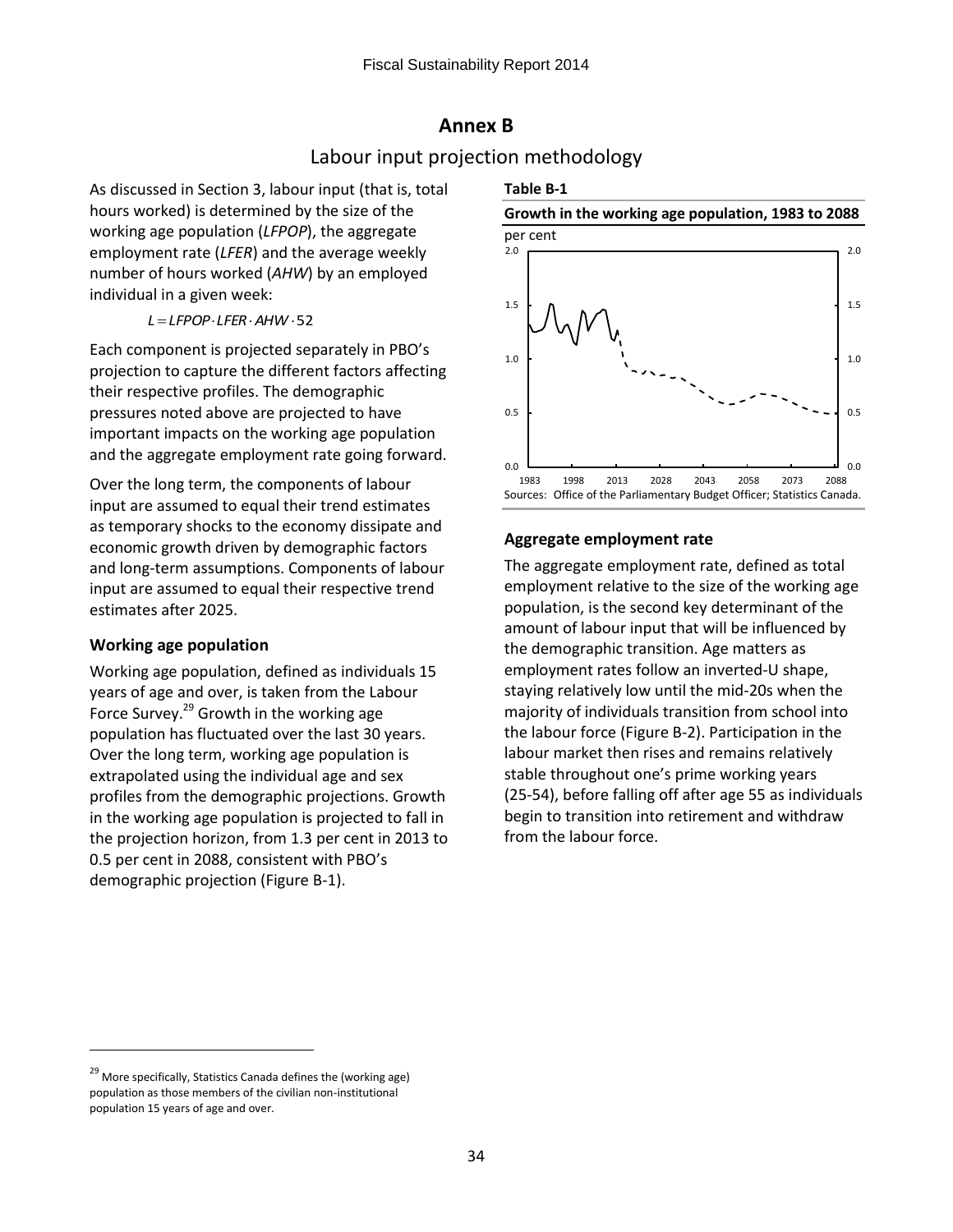## **Annex B**

## Labour input projection methodology

<span id="page-36-0"></span>As discussed in Section 3, labour input (that is, total hours worked) is determined by the size of the working age population (*LFPOP*), the aggregate employment rate (*LFER*) and the average weekly number of hours worked (*AHW*) by an employed individual in a given week:

 $L = LFPOP \cdot LFER \cdot AHW \cdot 52$ 

Each component is projected separately in PBO's projection to capture the different factors affecting their respective profiles. The demographic pressures noted above are projected to have important impacts on the working age population and the aggregate employment rate going forward.

Over the long term, the components of labour input are assumed to equal their trend estimates as temporary shocks to the economy dissipate and economic growth driven by demographic factors and long-term assumptions. Components of labour input are assumed to equal their respective trend estimates after 2025.

## **Working age population**

Working age population, defined as individuals 15 years of age and over, is taken from the Labour Force Survey. $^{29}$  Growth in the working age population has fluctuated over the last 30 years. Over the long term, working age population is extrapolated using the individual age and sex profiles from the demographic projections. Growth in the working age population is projected to fall in the projection horizon, from 1.3 per cent in 2013 to 0.5 per cent in 2088, consistent with PBO's demographic projection (Figure B-1).



# **Table B-1**

## **Aggregate employment rate**

The aggregate employment rate, defined as total employment relative to the size of the working age population, is the second key determinant of the amount of labour input that will be influenced by the demographic transition. Age matters as employment rates follow an inverted-U shape, staying relatively low until the mid-20s when the majority of individuals transition from school into the labour force (Figure B-2). Participation in the labour market then rises and remains relatively stable throughout one's prime working years (25-54), before falling off after age 55 as individuals begin to transition into retirement and withdraw from the labour force.

 $\overline{a}$ 

<sup>&</sup>lt;sup>29</sup> More specifically, Statistics Canada defines the (working age) population as those members of the civilian non-institutional population 15 years of age and over.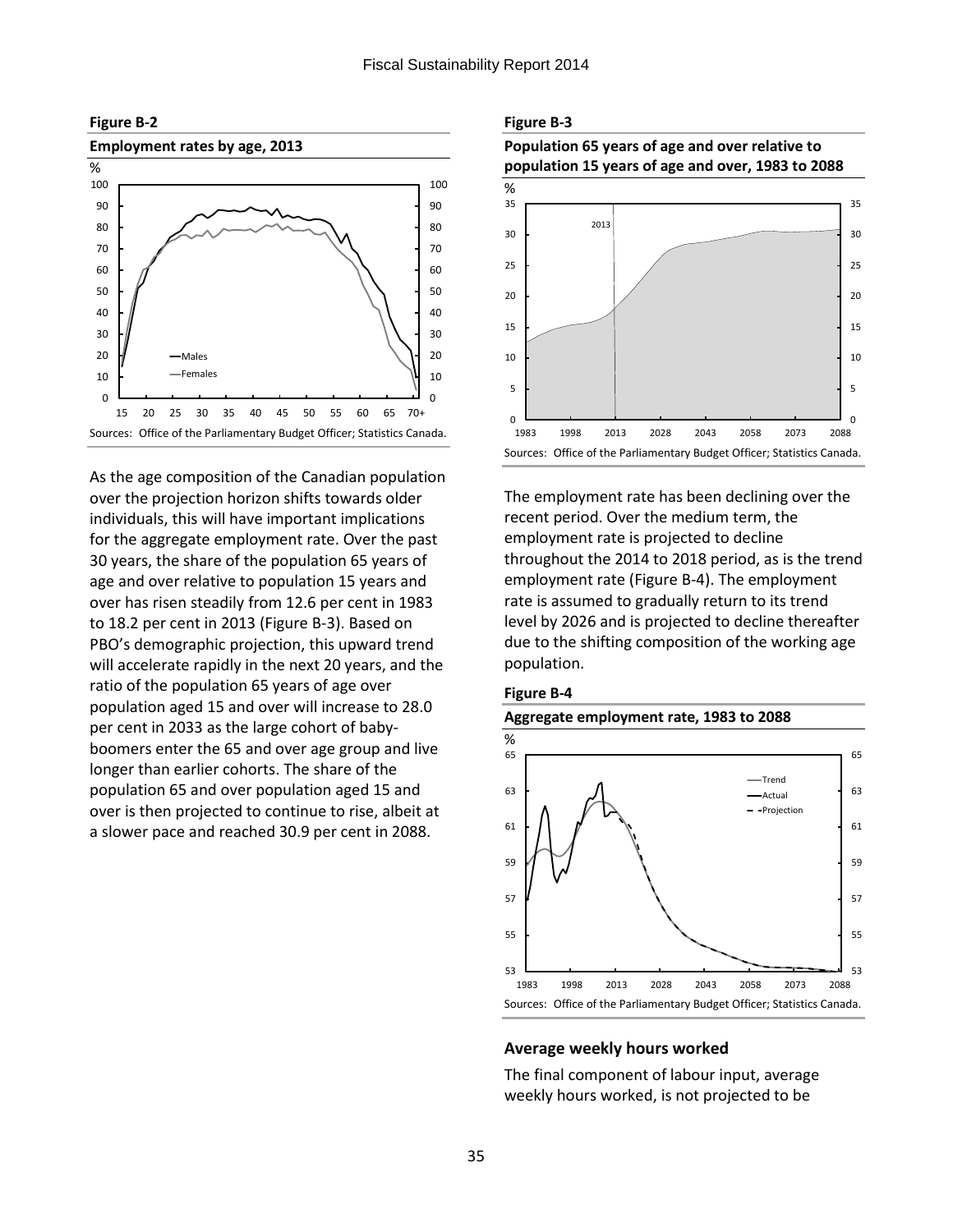



As the age composition of the Canadian population over the projection horizon shifts towards older individuals, this will have important implications for the aggregate employment rate. Over the past 30 years, the share of the population 65 years of age and over relative to population 15 years and over has risen steadily from 12.6 per cent in 1983 to 18.2 per cent in 2013 (Figure B-3). Based on PBO's demographic projection, this upward trend will accelerate rapidly in the next 20 years, and the ratio of the population 65 years of age over population aged 15 and over will increase to 28.0 per cent in 2033 as the large cohort of babyboomers enter the 65 and over age group and live longer than earlier cohorts. The share of the population 65 and over population aged 15 and over is then projected to continue to rise, albeit at a slower pace and reached 30.9 per cent in 2088.

#### **Figure B-3**





The employment rate has been declining over the recent period. Over the medium term, the employment rate is projected to decline throughout the 2014 to 2018 period, as is the trend employment rate (Figure B-4). The employment rate is assumed to gradually return to its trend level by 2026 and is projected to decline thereafter due to the shifting composition of the working age population.

#### **Figure B-4**





#### **Average weekly hours worked**

The final component of labour input, average weekly hours worked, is not projected to be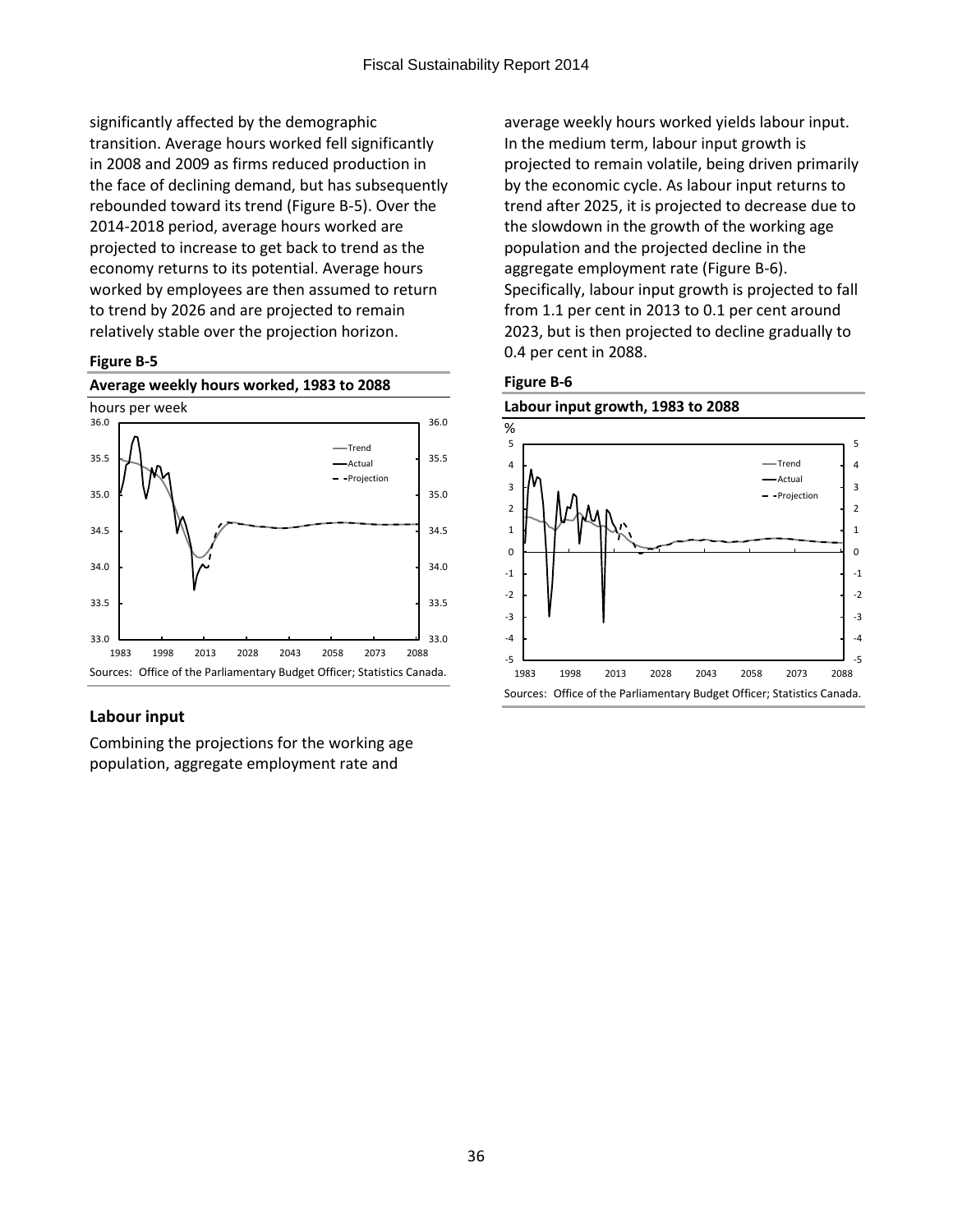significantly affected by the demographic transition. Average hours worked fell significantly in 2008 and 2009 as firms reduced production in the face of declining demand, but has subsequently rebounded toward its trend (Figure B-5). Over the 2014-2018 period, average hours worked are projected to increase to get back to trend as the economy returns to its potential. Average hours worked by employees are then assumed to return to trend by 2026 and are projected to remain relatively stable over the projection horizon.

#### **Figure B-5**



## **Labour input**

Combining the projections for the working age population, aggregate employment rate and

average weekly hours worked yields labour input. In the medium term, labour input growth is projected to remain volatile, being driven primarily by the economic cycle. As labour input returns to trend after 2025, it is projected to decrease due to the slowdown in the growth of the working age population and the projected decline in the aggregate employment rate (Figure B-6). Specifically, labour input growth is projected to fall from 1.1 per cent in 2013 to 0.1 per cent around 2023, but is then projected to decline gradually to 0.4 per cent in 2088.

## **Figure B-6**



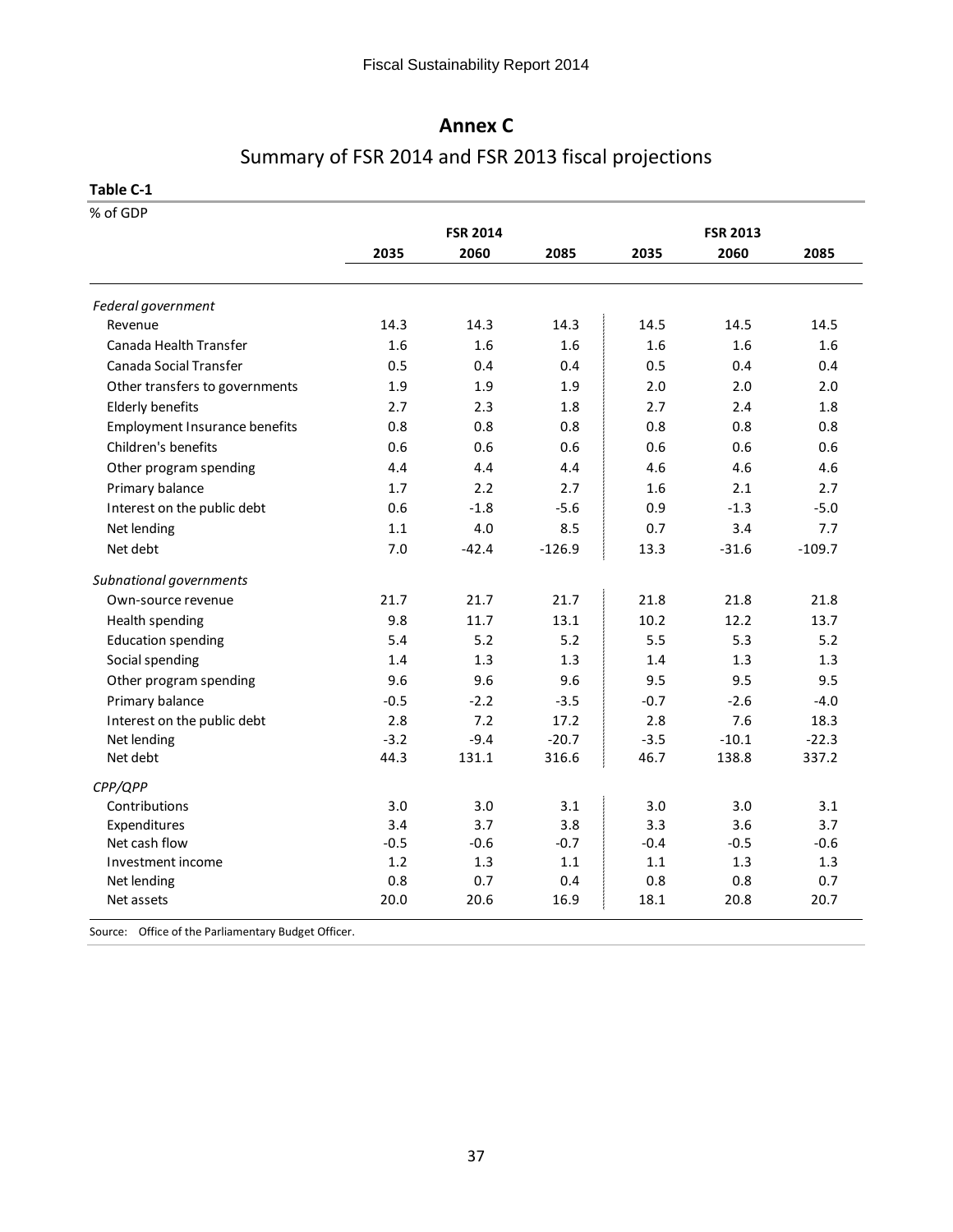## **Annex C**

## Summary of FSR 2014 and FSR 2013 fiscal projections

<span id="page-39-0"></span>

| able |  |
|------|--|
|------|--|

| % of GDP                             | <b>FSR 2014</b> |         |          | <b>FSR 2013</b> |         |          |
|--------------------------------------|-----------------|---------|----------|-----------------|---------|----------|
|                                      | 2035            | 2060    | 2085     | 2035            | 2060    | 2085     |
|                                      |                 |         |          |                 |         |          |
| Federal government                   |                 |         |          |                 |         |          |
| Revenue                              | 14.3            | 14.3    | 14.3     | 14.5            | 14.5    | 14.5     |
| Canada Health Transfer               | 1.6             | 1.6     | 1.6      | 1.6             | 1.6     | 1.6      |
| Canada Social Transfer               | 0.5             | 0.4     | 0.4      | 0.5             | 0.4     | 0.4      |
| Other transfers to governments       | 1.9             | 1.9     | 1.9      | 2.0             | 2.0     | 2.0      |
| <b>Elderly benefits</b>              | 2.7             | 2.3     | 1.8      | 2.7             | 2.4     | 1.8      |
| <b>Employment Insurance benefits</b> | 0.8             | 0.8     | 0.8      | 0.8             | 0.8     | 0.8      |
| Children's benefits                  | 0.6             | 0.6     | 0.6      | 0.6             | 0.6     | 0.6      |
| Other program spending               | 4.4             | 4.4     | 4.4      | 4.6             | 4.6     | 4.6      |
| Primary balance                      | 1.7             | 2.2     | 2.7      | 1.6             | 2.1     | 2.7      |
| Interest on the public debt          | 0.6             | $-1.8$  | $-5.6$   | 0.9             | $-1.3$  | $-5.0$   |
| Net lending                          | 1.1             | 4.0     | 8.5      | 0.7             | 3.4     | 7.7      |
| Net debt                             | 7.0             | $-42.4$ | $-126.9$ | 13.3            | $-31.6$ | $-109.7$ |
| Subnational governments              |                 |         |          |                 |         |          |
| Own-source revenue                   | 21.7            | 21.7    | 21.7     | 21.8            | 21.8    | 21.8     |
| Health spending                      | 9.8             | 11.7    | 13.1     | 10.2            | 12.2    | 13.7     |
| <b>Education spending</b>            | 5.4             | 5.2     | 5.2      | 5.5             | 5.3     | 5.2      |
| Social spending                      | 1.4             | 1.3     | 1.3      | 1.4             | 1.3     | 1.3      |
| Other program spending               | 9.6             | 9.6     | 9.6      | 9.5             | 9.5     | 9.5      |
| Primary balance                      | $-0.5$          | $-2.2$  | $-3.5$   | $-0.7$          | $-2.6$  | $-4.0$   |
| Interest on the public debt          | 2.8             | 7.2     | 17.2     | 2.8             | 7.6     | 18.3     |
| Net lending                          | $-3.2$          | $-9.4$  | $-20.7$  | $-3.5$          | $-10.1$ | $-22.3$  |
| Net debt                             | 44.3            | 131.1   | 316.6    | 46.7            | 138.8   | 337.2    |
| CPP/QPP                              |                 |         |          |                 |         |          |
| Contributions                        | 3.0             | 3.0     | 3.1      | 3.0             | 3.0     | 3.1      |
| Expenditures                         | 3.4             | 3.7     | 3.8      | 3.3             | 3.6     | 3.7      |
| Net cash flow                        | $-0.5$          | $-0.6$  | $-0.7$   | $-0.4$          | $-0.5$  | $-0.6$   |
| Investment income                    | 1.2             | 1.3     | $1.1\,$  | 1.1             | 1.3     | 1.3      |
| Net lending                          | 0.8             | 0.7     | 0.4      | 0.8             | 0.8     | 0.7      |
| Net assets                           | 20.0            | 20.6    | 16.9     | 18.1            | 20.8    | 20.7     |

Source: Office of the Parliamentary Budget Officer.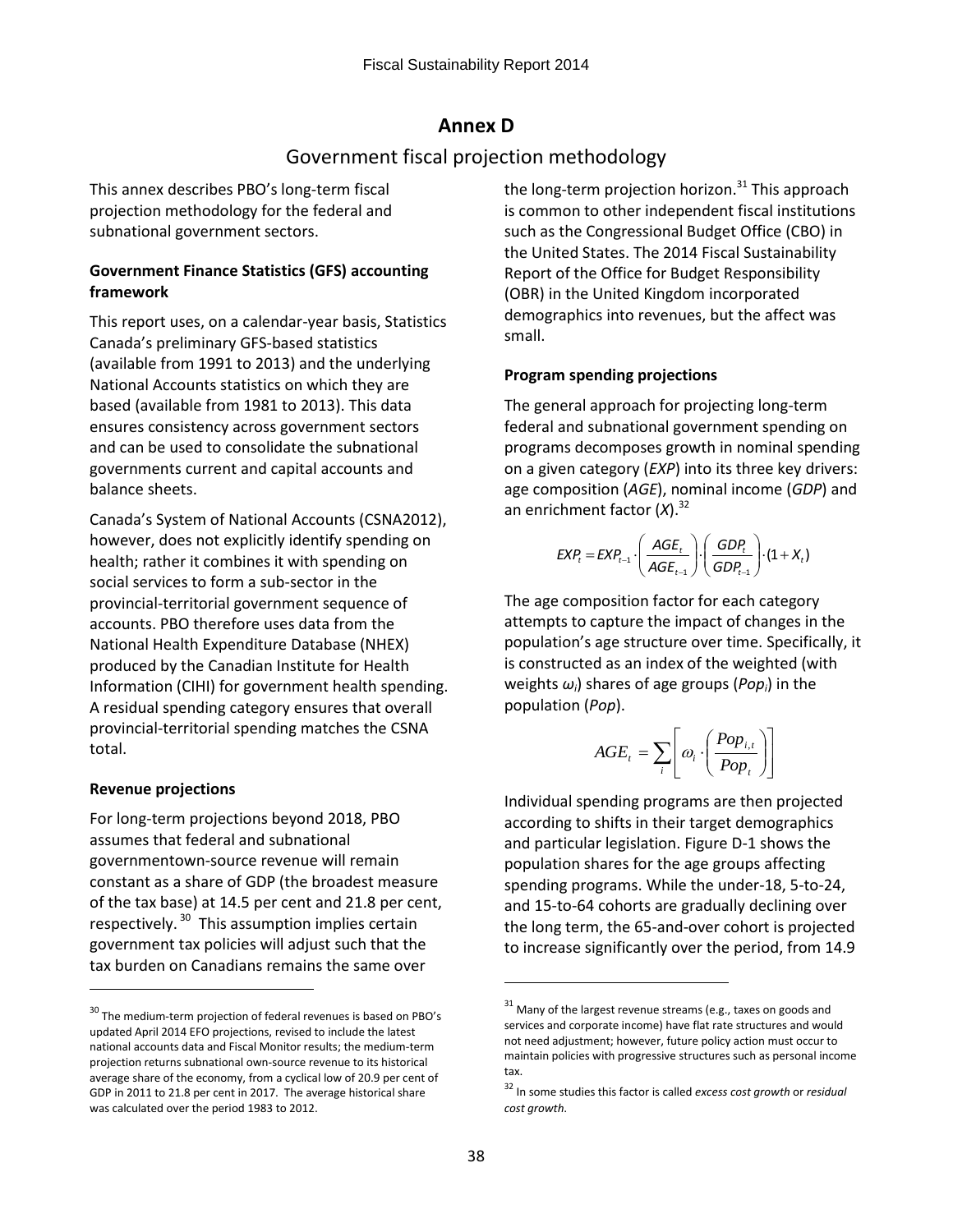## **Annex D**

## Government fiscal projection methodology

<span id="page-40-0"></span>This annex describes PBO's long-term fiscal projection methodology for the federal and subnational government sectors.

## **Government Finance Statistics (GFS) accounting framework**

This report uses, on a calendar-year basis, Statistics Canada's preliminary GFS-based statistics (available from 1991 to 2013) and the underlying National Accounts statistics on which they are based (available from 1981 to 2013). This data ensures consistency across government sectors and can be used to consolidate the subnational governments current and capital accounts and balance sheets.

Canada's System of National Accounts (CSNA2012), however, does not explicitly identify spending on health; rather it combines it with spending on social services to form a sub-sector in the provincial-territorial government sequence of accounts. PBO therefore uses data from the National Health Expenditure Database (NHEX) produced by the Canadian Institute for Health Information (CIHI) for government health spending. A residual spending category ensures that overall provincial-territorial spending matches the CSNA total.

## **Revenue projections**

 $\overline{a}$ 

For long-term projections beyond 2018, PBO assumes that federal and subnational governmentown-source revenue will remain constant as a share of GDP (the broadest measure of the tax base) at 14.5 per cent and 21.8 per cent, respectively. <sup>30</sup> This assumption implies certain government tax policies will adjust such that the tax burden on Canadians remains the same over

the long-term projection horizon.<sup>31</sup> This approach is common to other independent fiscal institutions such as the Congressional Budget Office (CBO) in the United States. The 2014 Fiscal Sustainability Report of the Office for Budget Responsibility (OBR) in the United Kingdom incorporated demographics into revenues, but the affect was small.

## **Program spending projections**

The general approach for projecting long-term federal and subnational government spending on programs decomposes growth in nominal spending on a given category (*EXP*) into its three key drivers: age composition (*AGE*), nominal income (*GDP*) and an enrichment factor  $(X)$ .<sup>32</sup>

$$
EXP_{t} = EXP_{t-1} \cdot \left(\frac{AGE_{t}}{AGE_{t-1}}\right) \cdot \left(\frac{GDP_{t}}{GDP_{t-1}}\right) \cdot \left(1 + X_{t}\right)
$$

The age composition factor for each category attempts to capture the impact of changes in the population's age structure over time. Specifically, it is constructed as an index of the weighted (with weights *ωi*) shares of age groups (*Popi*) in the population (*Pop*).

$$
AGE_{t} = \sum_{i} \left[ \omega_{i} \cdot \left( \frac{Pop_{i,t}}{Pop_{t}} \right) \right]
$$

Individual spending programs are then projected according to shifts in their target demographics and particular legislation. Figure D-1 shows the population shares for the age groups affecting spending programs. While the under-18, 5-to-24, and 15-to-64 cohorts are gradually declining over the long term, the 65-and-over cohort is projected to increase significantly over the period, from 14.9

 $\overline{\phantom{a}}$ 

<sup>&</sup>lt;sup>30</sup> The medium-term projection of federal revenues is based on PBO's updated April 2014 EFO projections, revised to include the latest national accounts data and Fiscal Monitor results; the medium-term projection returns subnational own-source revenue to its historical average share of the economy, from a cyclical low of 20.9 per cent of GDP in 2011 to 21.8 per cent in 2017. The average historical share was calculated over the period 1983 to 2012.

 $31$  Many of the largest revenue streams (e.g., taxes on goods and services and corporate income) have flat rate structures and would not need adjustment; however, future policy action must occur to maintain policies with progressive structures such as personal income tax.

<sup>32</sup> In some studies this factor is called *excess cost growth* or *residual cost growth*.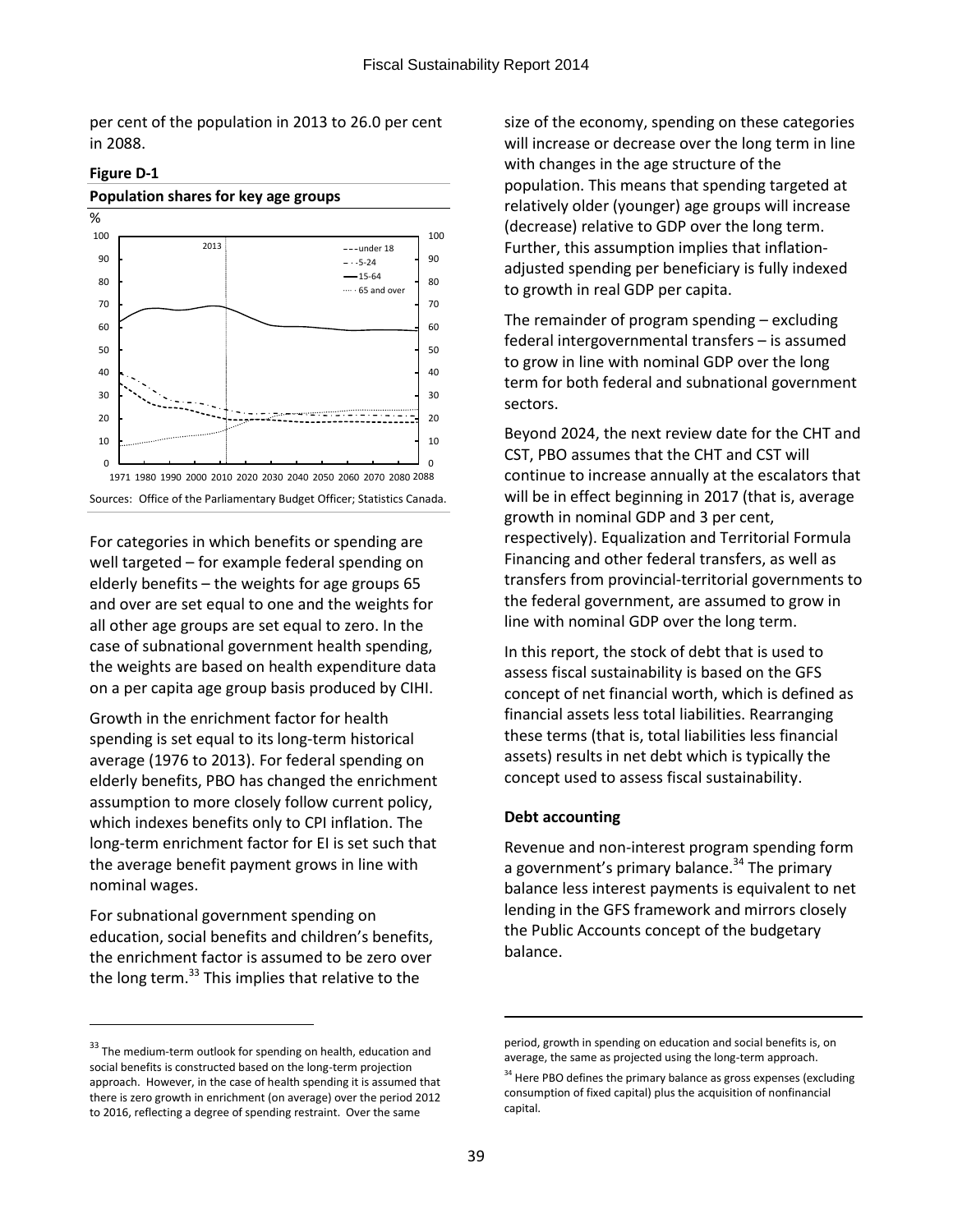per cent of the population in 2013 to 26.0 per cent in 2088.

#### **Figure D-1**

#### **Population shares for key age groups** %  $\Omega$ 10 20 30 40 50 60 70  $80$ 90 100  $\sqrt{2}$ 10 20 30 40 50 60 70  $80$ 90 100 1971 1980 1990 2000 2010 2020 2030 2040 2050 2060 2070 2080 2088  $--$ under 18  $-0.5 - 24$  $-15-64$ .... 65 and over 2013 Sources: Office of the Parliamentary Budget Officer; Statistics Canada.

For categories in which benefits or spending are well targeted – for example federal spending on elderly benefits – the weights for age groups 65 and over are set equal to one and the weights for all other age groups are set equal to zero. In the case of subnational government health spending, the weights are based on health expenditure data on a per capita age group basis produced by CIHI.

Growth in the enrichment factor for health spending is set equal to its long-term historical average (1976 to 2013). For federal spending on elderly benefits, PBO has changed the enrichment assumption to more closely follow current policy, which indexes benefits only to CPI inflation. The long-term enrichment factor for EI is set such that the average benefit payment grows in line with nominal wages.

For subnational government spending on education, social benefits and children's benefits, the enrichment factor is assumed to be zero over the long term.<sup>33</sup> This implies that relative to the

<sup>33</sup> The medium-term outlook for spending on health, education and social benefits is constructed based on the long-term projection approach. However, in the case of health spending it is assumed that there is zero growth in enrichment (on average) over the period 2012 to 2016, reflecting a degree of spending restraint. Over the same

 $\overline{a}$ 

size of the economy, spending on these categories will increase or decrease over the long term in line with changes in the age structure of the population. This means that spending targeted at relatively older (younger) age groups will increase (decrease) relative to GDP over the long term. Further, this assumption implies that inflationadjusted spending per beneficiary is fully indexed to growth in real GDP per capita.

The remainder of program spending – excluding federal intergovernmental transfers – is assumed to grow in line with nominal GDP over the long term for both federal and subnational government sectors.

Beyond 2024, the next review date for the CHT and CST, PBO assumes that the CHT and CST will continue to increase annually at the escalators that will be in effect beginning in 2017 (that is, average growth in nominal GDP and 3 per cent, respectively). Equalization and Territorial Formula Financing and other federal transfers, as well as transfers from provincial-territorial governments to the federal government, are assumed to grow in line with nominal GDP over the long term.

In this report, the stock of debt that is used to assess fiscal sustainability is based on the GFS concept of net financial worth, which is defined as financial assets less total liabilities. Rearranging these terms (that is, total liabilities less financial assets) results in net debt which is typically the concept used to assess fiscal sustainability.

#### **Debt accounting**

Revenue and non-interest program spending form a government's primary balance.<sup>34</sup> The primary balance less interest payments is equivalent to net lending in the GFS framework and mirrors closely the Public Accounts concept of the budgetary balance.

 $\overline{a}$ 

period, growth in spending on education and social benefits is, on average, the same as projected using the long-term approach.

<sup>&</sup>lt;sup>34</sup> Here PBO defines the primary balance as gross expenses (excluding consumption of fixed capital) plus the acquisition of nonfinancial capital.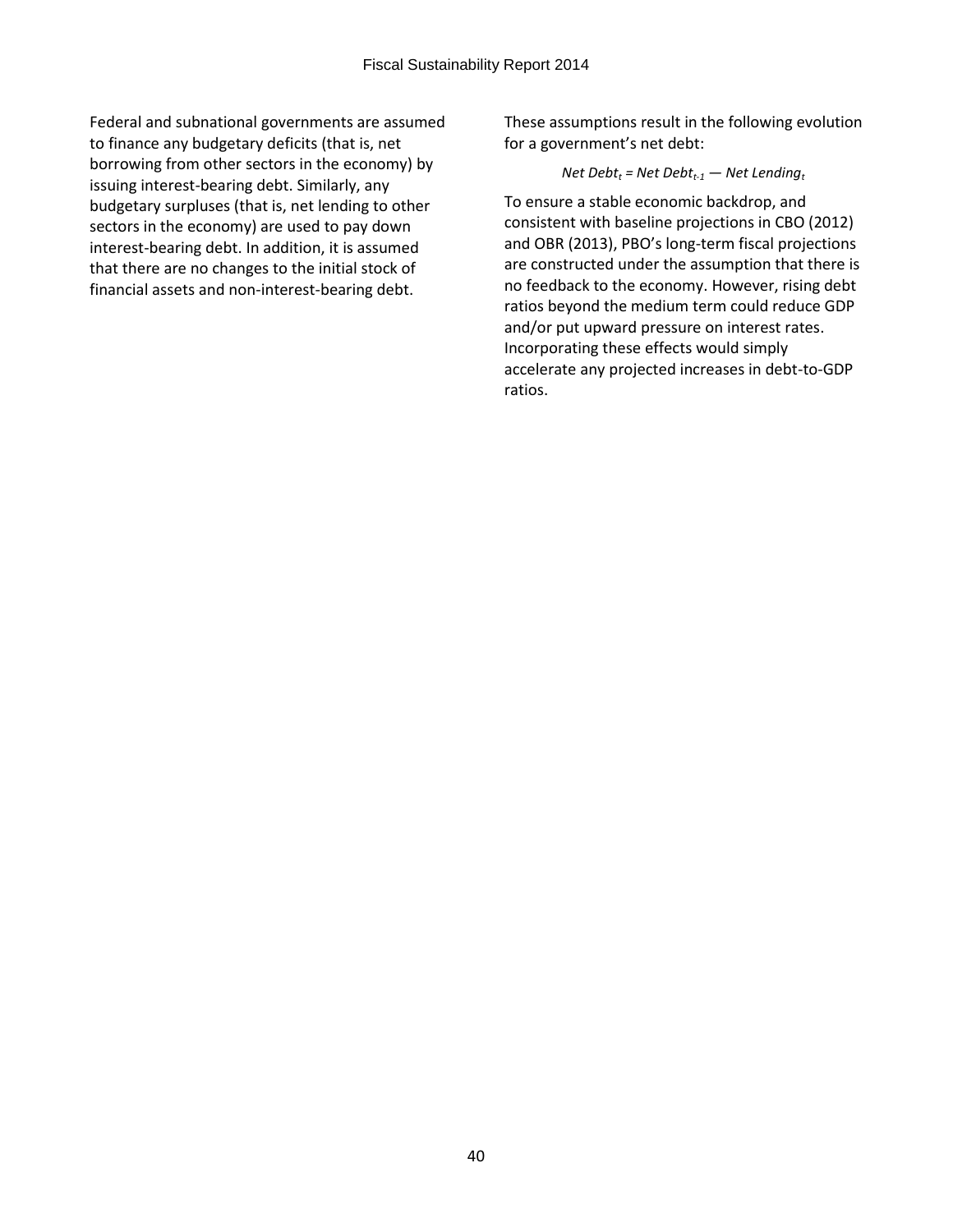Federal and subnational governments are assumed to finance any budgetary deficits (that is, net borrowing from other sectors in the economy) by issuing interest-bearing debt. Similarly, any budgetary surpluses (that is, net lending to other sectors in the economy) are used to pay down interest-bearing debt. In addition, it is assumed that there are no changes to the initial stock of financial assets and non-interest-bearing debt.

These assumptions result in the following evolution for a government's net debt:

## *Net Debt*<sub>*t*</sub> = Net Debt<sub>*t*-1</sub>  $-$  *Net Lending<sub>t</sub></sub>*

To ensure a stable economic backdrop, and consistent with baseline projections in CBO (2012) and OBR (2013), PBO's long-term fiscal projections are constructed under the assumption that there is no feedback to the economy. However, rising debt ratios beyond the medium term could reduce GDP and/or put upward pressure on interest rates. Incorporating these effects would simply accelerate any projected increases in debt-to-GDP ratios.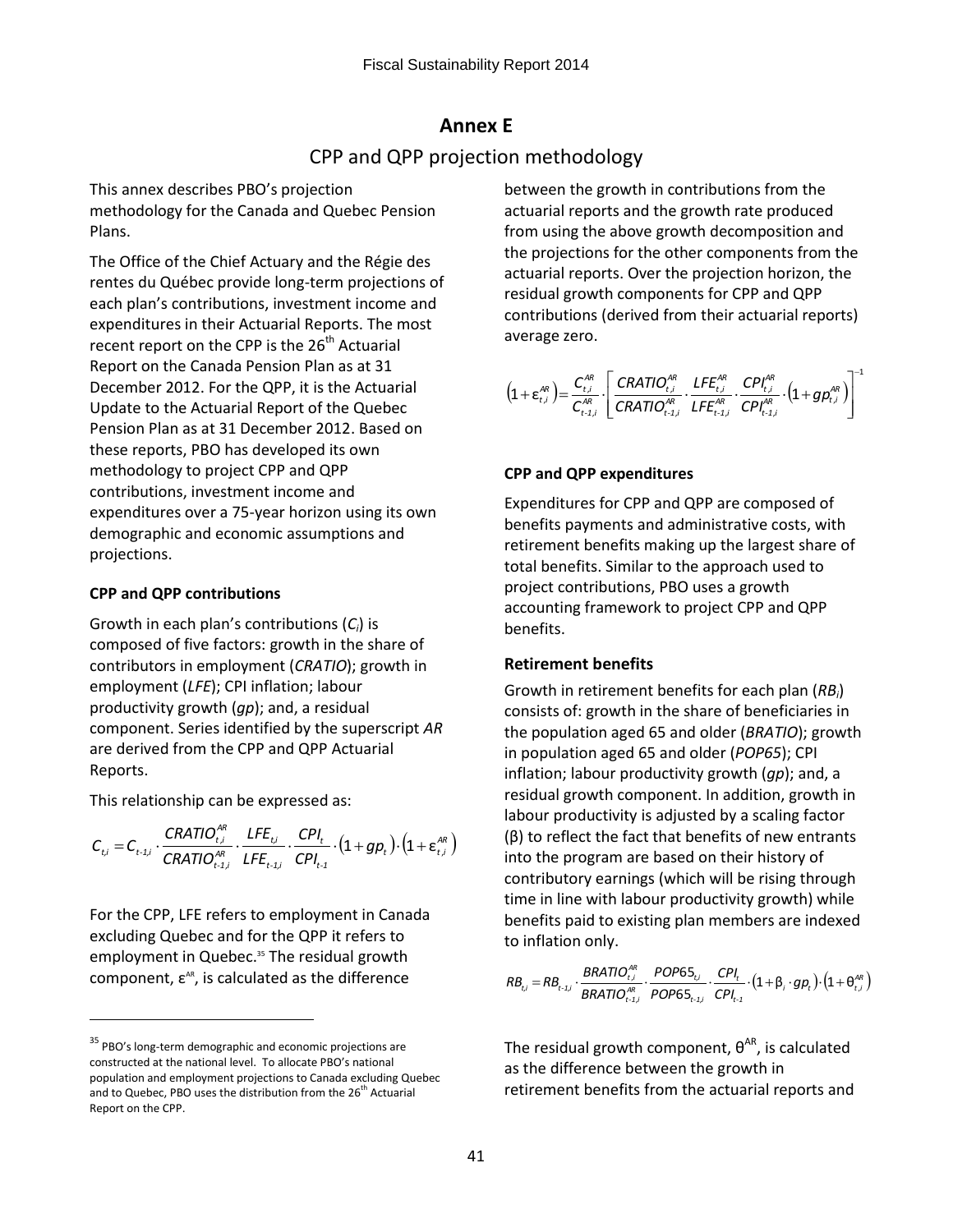## **Annex E**

## CPP and QPP projection methodology

<span id="page-43-0"></span>This annex describes PBO's projection methodology for the Canada and Quebec Pension Plans.

The Office of the Chief Actuary and the Régie des rentes du Québec provide long-term projections of each plan's contributions, investment income and expenditures in their Actuarial Reports. The most recent report on the CPP is the 26<sup>th</sup> Actuarial Report on the Canada Pension Plan as at 31 December 2012. For the QPP, it is the Actuarial Update to the Actuarial Report of the Quebec Pension Plan as at 31 December 2012. Based on these reports, PBO has developed its own methodology to project CPP and QPP contributions, investment income and expenditures over a 75-year horizon using its own demographic and economic assumptions and projections.

## **CPP and QPP contributions**

Growth in each plan's contributions (*Ci*) is composed of five factors: growth in the share of contributors in employment (*CRATIO*); growth in employment (*LFE*); CPI inflation; labour productivity growth (*gp*); and, a residual component. Series identified by the superscript *AR* are derived from the CPP and QPP Actuarial Reports.

This relationship can be expressed as:

 $\overline{a}$ 

$$
C_{t,i} = C_{t\text{-}1,i} \cdot \frac{CRATIO_{t,i}^{AR}}{CRATIO_{t\text{-}1,i}^{AR}} \cdot \frac{LFE_{t,i}}{LFE_{t\text{-}1,i}} \cdot \frac{CPI_t}{CPI_{t\text{-}1}} \cdot \left(1 + gp_t\right) \cdot \left(1 + \varepsilon_{t,i}^{AR}\right)
$$

For the CPP, LFE refers to employment in Canada excluding Quebec and for the QPP it refers to employment in Quebec.<sup>35</sup> The residual growth component,  $\varepsilon^{AR}$ , is calculated as the difference

between the growth in contributions from the actuarial reports and the growth rate produced from using the above growth decomposition and the projections for the other components from the actuarial reports. Over the projection horizon, the residual growth components for CPP and QPP contributions (derived from their actuarial reports) average zero.

$$
\left(1+\varepsilon_{t,i}^{AR}\right) = \frac{C_{t,i}^{AR}}{C_{t\text{-}1,i}^{AR}}\cdot\left[\frac{CRATIO_{t,i}^{AR}}{CRATIO_{t\text{-}1,i}^{AR}}\cdot\frac{LFE_{t,i}^{AR}}{LFE_{t\text{-}1,i}^{AR}}\cdot\frac{CPI_{t,i}^{AR}}{CPI_{t\text{-}1,i}^{AR}}\cdot\left(1+gp_{t,i}^{AR}\right)\right]^{-1}
$$

## **CPP and QPP expenditures**

Expenditures for CPP and QPP are composed of benefits payments and administrative costs, with retirement benefits making up the largest share of total benefits. Similar to the approach used to project contributions, PBO uses a growth accounting framework to project CPP and QPP benefits.

## **Retirement benefits**

Growth in retirement benefits for each plan (*RBi*) consists of: growth in the share of beneficiaries in the population aged 65 and older (*BRATIO*); growth in population aged 65 and older (*POP65*); CPI inflation; labour productivity growth (*gp*); and, a residual growth component. In addition, growth in labour productivity is adjusted by a scaling factor (β) to reflect the fact that benefits of new entrants into the program are based on their history of contributory earnings (which will be rising through time in line with labour productivity growth) while benefits paid to existing plan members are indexed to inflation only.

$$
RB_{t,i} = RB_{t \text{-}1,i} \cdot \frac{BRATIO_{t,i}^{AR}}{BRATIO_{t \text{-}1,i}^{AR}} \cdot \frac{POP65_{t,i}}{POP65_{t \text{-}1,i}} \cdot \frac{CPI_{t}}{CPI_{t \text{-}1}} \cdot (1 + \beta_i \cdot gp_t) \cdot (1 + \theta_{t,i}^{AR})
$$

The residual growth component,  $\theta^{AR}$ , is calculated as the difference between the growth in retirement benefits from the actuarial reports and

<sup>&</sup>lt;sup>35</sup> PBO's long-term demographic and economic projections are constructed at the national level. To allocate PBO's national population and employment projections to Canada excluding Quebec and to Quebec, PBO uses the distribution from the 26<sup>th</sup> Actuarial Report on the CPP.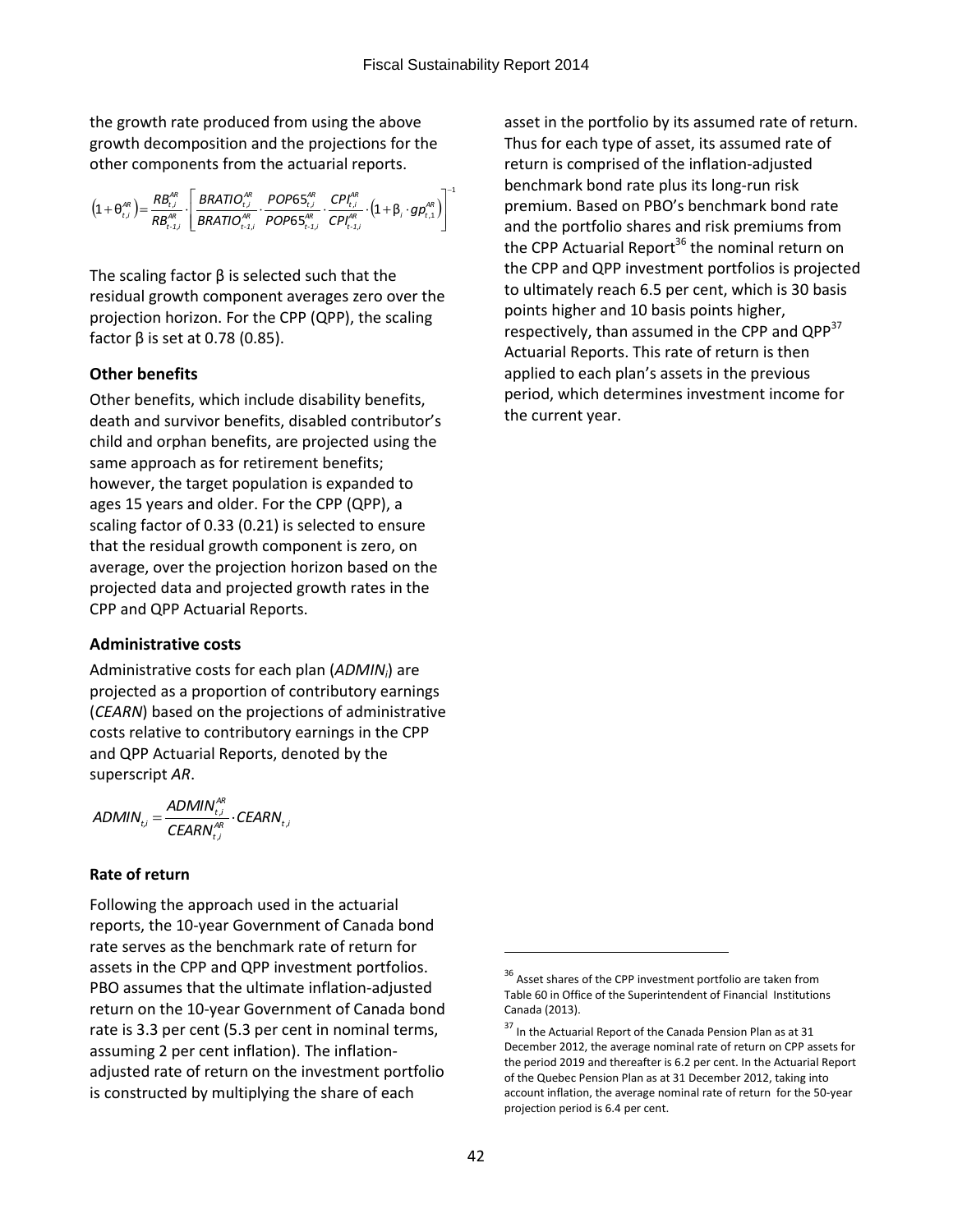the growth rate produced from using the above growth decomposition and the projections for the other components from the actuarial reports.

$$
\left(1+\theta_{t,i}^{\text{AR}}\right)\!\!=\!\frac{RB_{t,i}^{\text{AR}}}{RB_{t,i,i}^{\text{AR}}}\!\cdot\!\left[\frac{BRATIO_{t,i}^{\text{AR}}}{BRATIO_{t,i}^{\text{AR}}}\!\cdot\!\frac{POP65_{t,i}^{\text{AR}}}{POP65_{t,i,i}^{\text{AR}}}\!\cdot\!\frac{CPI_{t,i}^{\text{AR}}}{CPI_{t,i,i}^{\text{AR}}}\!\cdot\!\left(1+\beta_i\cdot\!gp_{t,i}^{\text{AR}}\right)\right]^\!\!-\!\!\!\!\!
$$

The scaling factor  $\beta$  is selected such that the residual growth component averages zero over the projection horizon. For the CPP (QPP), the scaling factor  $β$  is set at 0.78 (0.85).

## **Other benefits**

Other benefits, which include disability benefits, death and survivor benefits, disabled contributor's child and orphan benefits, are projected using the same approach as for retirement benefits; however, the target population is expanded to ages 15 years and older. For the CPP (QPP), a scaling factor of 0.33 (0.21) is selected to ensure that the residual growth component is zero, on average, over the projection horizon based on the projected data and projected growth rates in the CPP and QPP Actuarial Reports.

## **Administrative costs**

Administrative costs for each plan (*ADMINi*) are projected as a proportion of contributory earnings (*CEARN*) based on the projections of administrative costs relative to contributory earnings in the CPP and QPP Actuarial Reports, denoted by the superscript *AR*.

$$
ADMIN_{t,i} = \frac{ADMIN_{t,i}^{AR}}{CEARN_{t,i}^{AR}} \cdot CEARN_{t,i}
$$

## **Rate of return**

Following the approach used in the actuarial reports, the 10-year Government of Canada bond rate serves as the benchmark rate of return for assets in the CPP and QPP investment portfolios. PBO assumes that the ultimate inflation-adjusted return on the 10-year Government of Canada bond rate is 3.3 per cent (5.3 per cent in nominal terms, assuming 2 per cent inflation). The inflationadjusted rate of return on the investment portfolio is constructed by multiplying the share of each

asset in the portfolio by its assumed rate of return. Thus for each type of asset, its assumed rate of return is comprised of the inflation-adjusted benchmark bond rate plus its long-run risk premium. Based on PBO's benchmark bond rate and the portfolio shares and risk premiums from the CPP Actuarial Report<sup>36</sup> the nominal return on the CPP and QPP investment portfolios is projected to ultimately reach 6.5 per cent, which is 30 basis points higher and 10 basis points higher, respectively, than assumed in the CPP and QPP<sup>37</sup> Actuarial Reports. This rate of return is then applied to each plan's assets in the previous period, which determines investment income for the current year.

l

<sup>&</sup>lt;sup>36</sup> Asset shares of the CPP investment portfolio are taken from Table 60 in Office of the Superintendent of Financial Institutions Canada (2013).

 $37$  In the Actuarial Report of the Canada Pension Plan as at 31 December 2012, the average nominal rate of return on CPP assets for the period 2019 and thereafter is 6.2 per cent. In the Actuarial Report of the Quebec Pension Plan as at 31 December 2012, taking into account inflation, the average nominal rate of return for the 50-year projection period is 6.4 per cent.